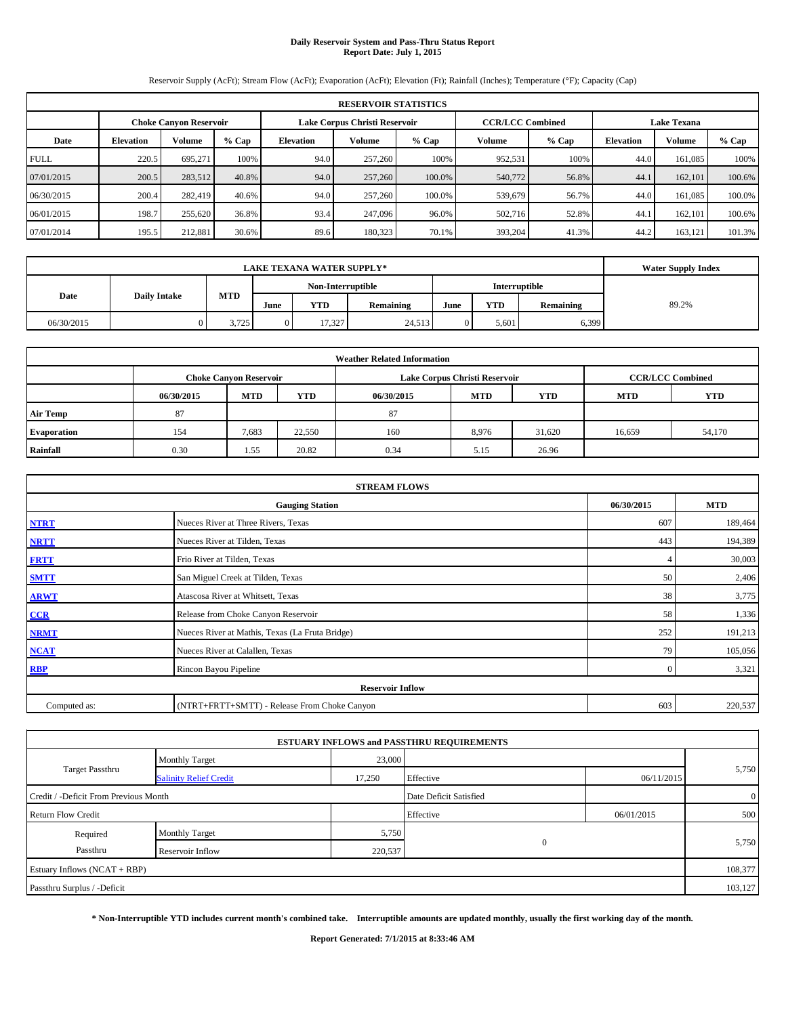## **Daily Reservoir System and Pass-Thru Status Report Report Date: July 1, 2015**

Reservoir Supply (AcFt); Stream Flow (AcFt); Evaporation (AcFt); Elevation (Ft); Rainfall (Inches); Temperature (°F); Capacity (Cap)

| <b>RESERVOIR STATISTICS</b> |                                                                                                                 |               |         |                  |               |         |         |         |                  |               |         |  |
|-----------------------------|-----------------------------------------------------------------------------------------------------------------|---------------|---------|------------------|---------------|---------|---------|---------|------------------|---------------|---------|--|
|                             | <b>CCR/LCC Combined</b><br><b>Lake Texana</b><br>Lake Corpus Christi Reservoir<br><b>Choke Canvon Reservoir</b> |               |         |                  |               |         |         |         |                  |               |         |  |
| Date                        | <b>Elevation</b>                                                                                                | <b>Volume</b> | $%$ Cap | <b>Elevation</b> | <b>Volume</b> | $%$ Cap | Volume  | $%$ Cap | <b>Elevation</b> | <b>Volume</b> | $%$ Cap |  |
| <b>FULL</b>                 | 220.5                                                                                                           | 695.271       | 100%    | 94.0             | 257,260       | 100%    | 952,531 | 100%    | 44.0             | 161.085       | 100%    |  |
| 07/01/2015                  | 200.5                                                                                                           | 283,512       | 40.8%   | 94.0             | 257,260       | 100.0%  | 540,772 | 56.8%   | 44.1             | 162,101       | 100.6%  |  |
| 06/30/2015                  | 200.4                                                                                                           | 282,419       | 40.6%   | 94.0             | 257,260       | 100.0%  | 539,679 | 56.7%   | 44.0             | 161.085       | 100.0%  |  |
| 06/01/2015                  | 198.7                                                                                                           | 255,620       | 36.8%   | 93.4             | 247,096       | 96.0%   | 502,716 | 52.8%   | 44.1             | 162,101       | 100.6%  |  |
| 07/01/2014                  | 195.5                                                                                                           | 212.881       | 30.6%   | 89.6             | 180,323       | 70.1%   | 393,204 | 41.3%   | 44.2             | 163,121       | 101.3%  |  |

|                             |  | <b>Water Supply Index</b> |                   |            |           |      |            |               |       |
|-----------------------------|--|---------------------------|-------------------|------------|-----------|------|------------|---------------|-------|
|                             |  |                           | Non-Interruptible |            |           |      |            | Interruptible |       |
| <b>Daily Intake</b><br>Date |  | <b>MTD</b>                | June              | <b>YTD</b> | Remaining | June | <b>YTD</b> | Remaining     | 89.2% |
| 06/30/2015                  |  | 3.725                     | $\overline{0}$    | 17.327     | 24,513    |      | 5.601      | 6,399         |       |

| <b>Weather Related Information</b> |            |                               |            |            |                               |                         |        |        |  |  |  |
|------------------------------------|------------|-------------------------------|------------|------------|-------------------------------|-------------------------|--------|--------|--|--|--|
|                                    |            | <b>Choke Canyon Reservoir</b> |            |            | Lake Corpus Christi Reservoir | <b>CCR/LCC Combined</b> |        |        |  |  |  |
|                                    | 06/30/2015 | <b>MTD</b>                    | <b>YTD</b> | 06/30/2015 | <b>MTD</b>                    | <b>YTD</b>              |        |        |  |  |  |
| <b>Air Temp</b>                    | 87         |                               |            | 87         |                               |                         |        |        |  |  |  |
| <b>Evaporation</b>                 | 154        | 7,683                         | 22,550     | 160        | 8,976                         | 31.620                  | 16,659 | 54,170 |  |  |  |
| Rainfall                           | 0.30       | 1.55                          | 20.82      | 0.34       | 5.15                          | 26.96                   |        |        |  |  |  |

| <b>STREAM FLOWS</b> |                                                 |       |         |  |  |  |  |  |  |
|---------------------|-------------------------------------------------|-------|---------|--|--|--|--|--|--|
|                     | <b>Gauging Station</b>                          |       |         |  |  |  |  |  |  |
| <b>NTRT</b>         | Nueces River at Three Rivers, Texas             | 607   | 189,464 |  |  |  |  |  |  |
| <b>NRTT</b>         | Nueces River at Tilden, Texas                   | 443   | 194,389 |  |  |  |  |  |  |
| <b>FRTT</b>         | Frio River at Tilden, Texas                     |       | 30,003  |  |  |  |  |  |  |
| <b>SMTT</b>         | 50                                              | 2,406 |         |  |  |  |  |  |  |
| <b>ARWT</b>         | 38                                              | 3,775 |         |  |  |  |  |  |  |
| CCR                 | Release from Choke Canyon Reservoir             | 58    | 1,336   |  |  |  |  |  |  |
| <b>NRMT</b>         | Nueces River at Mathis, Texas (La Fruta Bridge) | 252   | 191,213 |  |  |  |  |  |  |
| <b>NCAT</b>         | Nueces River at Calallen, Texas                 | 79    | 105,056 |  |  |  |  |  |  |
| <b>RBP</b>          | $\mathbf{0}$                                    | 3,321 |         |  |  |  |  |  |  |
|                     | <b>Reservoir Inflow</b>                         |       |         |  |  |  |  |  |  |
| Computed as:        | (NTRT+FRTT+SMTT) - Release From Choke Canyon    |       |         |  |  |  |  |  |  |

|                                       |                                         |        | <b>ESTUARY INFLOWS and PASSTHRU REQUIREMENTS</b> |            |                |  |  |  |
|---------------------------------------|-----------------------------------------|--------|--------------------------------------------------|------------|----------------|--|--|--|
|                                       | <b>Monthly Target</b>                   | 23,000 |                                                  |            |                |  |  |  |
| <b>Target Passthru</b>                | <b>Salinity Relief Credit</b>           | 17,250 | Effective                                        | 06/11/2015 | 5,750          |  |  |  |
| Credit / -Deficit From Previous Month |                                         |        | Date Deficit Satisfied                           |            | $\overline{0}$ |  |  |  |
| <b>Return Flow Credit</b>             |                                         |        | Effective                                        | 06/01/2015 | 500            |  |  |  |
| Required                              | <b>Monthly Target</b>                   | 5,750  |                                                  |            | 5,750          |  |  |  |
| Passthru                              | $\Omega$<br>220,537<br>Reservoir Inflow |        |                                                  |            |                |  |  |  |
| Estuary Inflows $(NCAT + RBP)$        |                                         |        |                                                  |            | 108,377        |  |  |  |
| Passthru Surplus / -Deficit           |                                         |        |                                                  |            |                |  |  |  |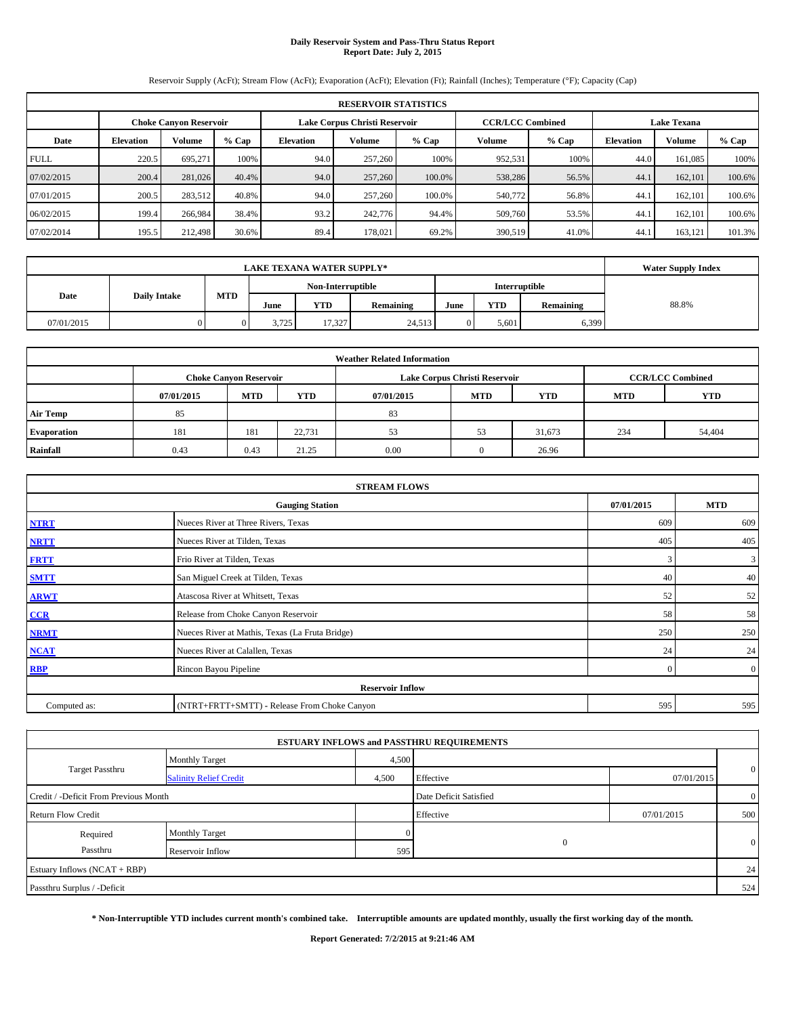## **Daily Reservoir System and Pass-Thru Status Report Report Date: July 2, 2015**

Reservoir Supply (AcFt); Stream Flow (AcFt); Evaporation (AcFt); Elevation (Ft); Rainfall (Inches); Temperature (°F); Capacity (Cap)

| <b>RESERVOIR STATISTICS</b> |                                                                                                                 |         |         |                  |         |         |         |         |                  |               |        |  |
|-----------------------------|-----------------------------------------------------------------------------------------------------------------|---------|---------|------------------|---------|---------|---------|---------|------------------|---------------|--------|--|
|                             | <b>CCR/LCC Combined</b><br>Lake Corpus Christi Reservoir<br><b>Lake Texana</b><br><b>Choke Canvon Reservoir</b> |         |         |                  |         |         |         |         |                  |               |        |  |
| Date                        | <b>Elevation</b>                                                                                                | Volume  | $%$ Cap | <b>Elevation</b> | Volume  | $%$ Cap | Volume  | $%$ Cap | <b>Elevation</b> | <b>Volume</b> | % Cap  |  |
| <b>FULL</b>                 | 220.5                                                                                                           | 695.271 | 100%    | 94.0             | 257,260 | 100%    | 952,531 | 100%    | 44.0             | 161.085       | 100%   |  |
| 07/02/2015                  | 200.4                                                                                                           | 281,026 | 40.4%   | 94.0             | 257,260 | 100.0%  | 538,286 | 56.5%   | 44.1             | 162,101       | 100.6% |  |
| 07/01/2015                  | 200.5                                                                                                           | 283,512 | 40.8%   | 94.0             | 257,260 | 100.0%  | 540,772 | 56.8%   | 44.1             | 162.101       | 100.6% |  |
| 06/02/2015                  | 199.4                                                                                                           | 266,984 | 38.4%   | 93.2             | 242,776 | 94.4%   | 509,760 | 53.5%   | 44.1             | 162,101       | 100.6% |  |
| 07/02/2014                  | 195.5                                                                                                           | 212,498 | 30.6%   | 89.4             | 178,021 | 69.2%   | 390,519 | 41.0%   | 44.              | 163,121       | 101.3% |  |

|            | <b>Water Supply Index</b> |     |       |                   |           |      |       |           |       |
|------------|---------------------------|-----|-------|-------------------|-----------|------|-------|-----------|-------|
|            |                           | MTD |       | Non-Interruptible |           |      |       |           |       |
| Date       | <b>Daily Intake</b>       |     | June  | YTD               | Remaining | June | YTD   | Remaining | 88.8% |
| 07/01/2015 |                           |     | 3.725 | 17.327            | 24,513    |      | 5.601 | 6,399     |       |

| <b>Weather Related Information</b> |            |                               |            |            |                               |                         |            |            |  |  |  |
|------------------------------------|------------|-------------------------------|------------|------------|-------------------------------|-------------------------|------------|------------|--|--|--|
|                                    |            | <b>Choke Canyon Reservoir</b> |            |            | Lake Corpus Christi Reservoir | <b>CCR/LCC Combined</b> |            |            |  |  |  |
|                                    | 07/01/2015 | <b>MTD</b>                    | <b>YTD</b> | 07/01/2015 | <b>MTD</b>                    | <b>YTD</b>              | <b>MTD</b> | <b>YTD</b> |  |  |  |
| <b>Air Temp</b>                    | 85         |                               |            | 83         |                               |                         |            |            |  |  |  |
| <b>Evaporation</b>                 | 181        | 181                           | 22,731     | 53         | 53                            | 31,673                  | 234        | 54,404     |  |  |  |
| Rainfall                           | 0.43       | 0.43                          | 21.25      | 0.00       |                               | 26.96                   |            |            |  |  |  |

| <b>STREAM FLOWS</b> |                                                    |     |              |  |  |  |  |  |  |
|---------------------|----------------------------------------------------|-----|--------------|--|--|--|--|--|--|
|                     | 07/01/2015<br><b>MTD</b><br><b>Gauging Station</b> |     |              |  |  |  |  |  |  |
| <b>NTRT</b>         | Nueces River at Three Rivers, Texas                | 609 | 609          |  |  |  |  |  |  |
| <b>NRTT</b>         | Nueces River at Tilden, Texas                      | 405 | 405          |  |  |  |  |  |  |
| <b>FRTT</b>         | Frio River at Tilden, Texas                        | 3   | $\mathbf{3}$ |  |  |  |  |  |  |
| <b>SMTT</b>         | San Miguel Creek at Tilden, Texas                  | 40  | 40           |  |  |  |  |  |  |
| <b>ARWT</b>         | 52                                                 | 52  |              |  |  |  |  |  |  |
| CCR                 | Release from Choke Canyon Reservoir                | 58  | 58           |  |  |  |  |  |  |
| <b>NRMT</b>         | Nueces River at Mathis, Texas (La Fruta Bridge)    | 250 | 250          |  |  |  |  |  |  |
| <b>NCAT</b>         | Nueces River at Calallen, Texas                    | 24  | 24           |  |  |  |  |  |  |
| RBP                 | Rincon Bayou Pipeline                              |     |              |  |  |  |  |  |  |
|                     | <b>Reservoir Inflow</b>                            |     |              |  |  |  |  |  |  |
| Computed as:        | (NTRT+FRTT+SMTT) - Release From Choke Canyon       |     |              |  |  |  |  |  |  |

|                                       |                               |       | <b>ESTUARY INFLOWS and PASSTHRU REQUIREMENTS</b> |            |                |
|---------------------------------------|-------------------------------|-------|--------------------------------------------------|------------|----------------|
|                                       | Monthly Target                | 4,500 |                                                  |            |                |
| <b>Target Passthru</b>                | <b>Salinity Relief Credit</b> | 4,500 | Effective                                        | 07/01/2015 | $\overline{0}$ |
| Credit / -Deficit From Previous Month |                               |       | Date Deficit Satisfied                           |            | $\overline{0}$ |
| <b>Return Flow Credit</b>             |                               |       | Effective                                        | 07/01/2015 | 500            |
| Required                              | Monthly Target                |       |                                                  |            |                |
| Passthru                              | Reservoir Inflow              | 595   |                                                  |            | $\overline{0}$ |
| Estuary Inflows (NCAT + RBP)          |                               |       |                                                  |            | 24             |
| Passthru Surplus / -Deficit           |                               |       |                                                  |            | 524            |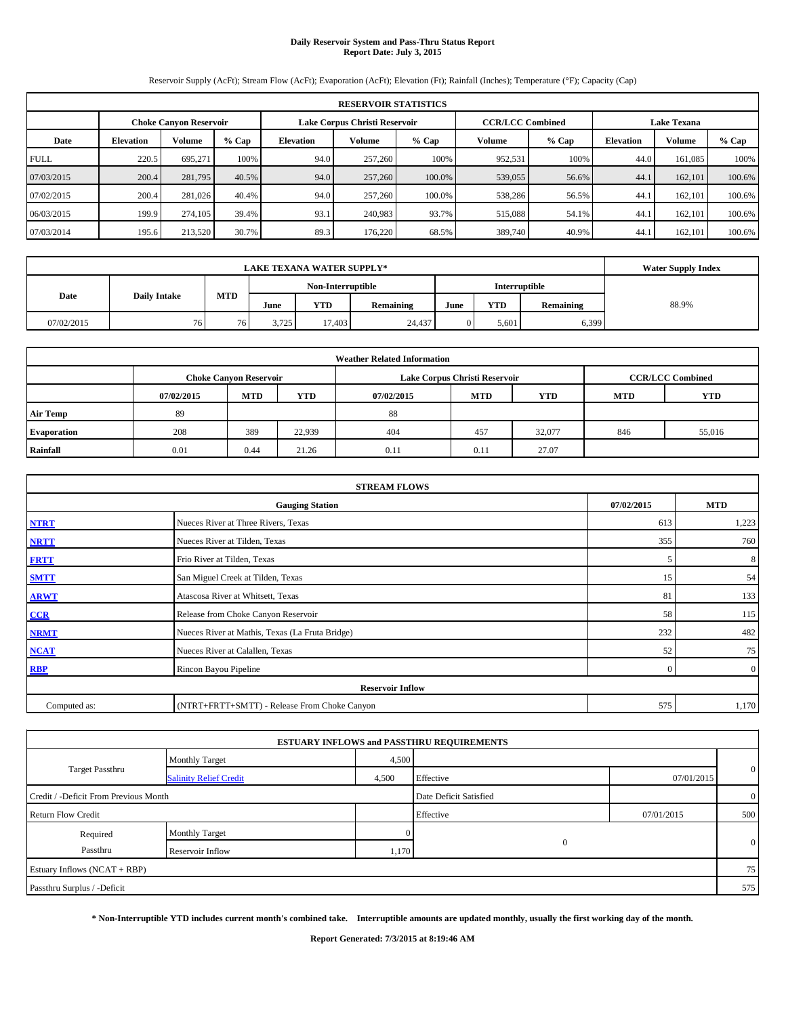## **Daily Reservoir System and Pass-Thru Status Report Report Date: July 3, 2015**

Reservoir Supply (AcFt); Stream Flow (AcFt); Evaporation (AcFt); Elevation (Ft); Rainfall (Inches); Temperature (°F); Capacity (Cap)

| <b>RESERVOIR STATISTICS</b> |                                                                                                                 |               |         |                  |               |         |         |         |                  |         |         |  |
|-----------------------------|-----------------------------------------------------------------------------------------------------------------|---------------|---------|------------------|---------------|---------|---------|---------|------------------|---------|---------|--|
|                             | <b>Lake Texana</b><br>Lake Corpus Christi Reservoir<br><b>CCR/LCC Combined</b><br><b>Choke Canyon Reservoir</b> |               |         |                  |               |         |         |         |                  |         |         |  |
| Date                        | <b>Elevation</b>                                                                                                | <b>Volume</b> | $%$ Cap | <b>Elevation</b> | <b>Volume</b> | $%$ Cap | Volume  | $%$ Cap | <b>Elevation</b> | Volume  | $%$ Cap |  |
| <b>FULL</b>                 | 220.5                                                                                                           | 695.271       | 100%    | 94.0             | 257,260       | 100%    | 952,531 | 100%    | 44.0             | 161.085 | 100%    |  |
| 07/03/2015                  | 200.4                                                                                                           | 281,795       | 40.5%   | 94.0             | 257,260       | 100.0%  | 539,055 | 56.6%   | 44.1             | 162,101 | 100.6%  |  |
| 07/02/2015                  | 200.4                                                                                                           | 281,026       | 40.4%   | 94.0             | 257,260       | 100.0%  | 538,286 | 56.5%   | 44.1             | 162.101 | 100.6%  |  |
| 06/03/2015                  | 199.9                                                                                                           | 274,105       | 39.4%   | 93.1             | 240.983       | 93.7%   | 515,088 | 54.1%   | 44.1             | 162,101 | 100.6%  |  |
| 07/03/2014                  | 195.6                                                                                                           | 213,520       | 30.7%   | 89.3             | 176,220       | 68.5%   | 389,740 | 40.9%   | 44.              | 162,101 | 100.6%  |  |

|            |                     | <b>Water Supply Index</b> |                                           |        |           |      |       |           |       |
|------------|---------------------|---------------------------|-------------------------------------------|--------|-----------|------|-------|-----------|-------|
|            |                     |                           | Non-Interruptible<br><b>Interruptible</b> |        |           |      |       |           |       |
| Date       | <b>Daily Intake</b> | MTD                       | June                                      | YTD    | Remaining | June | YTD   | Remaining | 88.9% |
| 07/02/2015 | 76.                 | 76 <sub>1</sub>           | 3.725                                     | 17,403 | 24,437    |      | 5.601 | 6,399     |       |

| <b>Weather Related Information</b> |            |                               |        |            |                               |                         |            |            |  |  |
|------------------------------------|------------|-------------------------------|--------|------------|-------------------------------|-------------------------|------------|------------|--|--|
|                                    |            | <b>Choke Canyon Reservoir</b> |        |            | Lake Corpus Christi Reservoir | <b>CCR/LCC Combined</b> |            |            |  |  |
|                                    | 07/02/2015 | <b>MTD</b>                    | YTD    | 07/02/2015 | <b>MTD</b>                    | <b>YTD</b>              | <b>MTD</b> | <b>YTD</b> |  |  |
| <b>Air Temp</b>                    | 89         |                               |        | 88         |                               |                         |            |            |  |  |
| <b>Evaporation</b>                 | 208        | 389                           | 22,939 | 404        | 457                           | 32,077                  | 846        | 55,016     |  |  |
| Rainfall                           | 0.01       | 0.44                          | 21.26  | 0.11       | 0.11                          | 27.07                   |            |            |  |  |

| <b>STREAM FLOWS</b> |                                                 |          |                |  |  |  |  |  |  |
|---------------------|-------------------------------------------------|----------|----------------|--|--|--|--|--|--|
|                     | <b>Gauging Station</b>                          |          |                |  |  |  |  |  |  |
| <b>NTRT</b>         | Nueces River at Three Rivers, Texas             | 613      | 1,223          |  |  |  |  |  |  |
| <b>NRTT</b>         | Nueces River at Tilden, Texas                   | 355      | 760            |  |  |  |  |  |  |
| <b>FRTT</b>         | Frio River at Tilden, Texas                     | ``       | 8              |  |  |  |  |  |  |
| <b>SMTT</b>         | San Miguel Creek at Tilden, Texas               | 15       | 54             |  |  |  |  |  |  |
| <b>ARWT</b>         | Atascosa River at Whitsett, Texas               | 81       | 133            |  |  |  |  |  |  |
| CCR                 | Release from Choke Canyon Reservoir             | 58       | 115            |  |  |  |  |  |  |
| <b>NRMT</b>         | Nueces River at Mathis, Texas (La Fruta Bridge) | 232      | 482            |  |  |  |  |  |  |
| <b>NCAT</b>         | Nueces River at Calallen, Texas                 | 52       | 75             |  |  |  |  |  |  |
| <b>RBP</b>          | Rincon Bayou Pipeline                           | $\Omega$ | $\overline{0}$ |  |  |  |  |  |  |
|                     | <b>Reservoir Inflow</b>                         |          |                |  |  |  |  |  |  |
| Computed as:        | (NTRT+FRTT+SMTT) - Release From Choke Canyon    | 575      | 1,170          |  |  |  |  |  |  |

|                                       |                               |       | <b>ESTUARY INFLOWS and PASSTHRU REQUIREMENTS</b> |            |                |
|---------------------------------------|-------------------------------|-------|--------------------------------------------------|------------|----------------|
|                                       | <b>Monthly Target</b>         | 4,500 |                                                  |            |                |
| <b>Target Passthru</b>                | <b>Salinity Relief Credit</b> | 4,500 | Effective                                        | 07/01/2015 | $\overline{0}$ |
| Credit / -Deficit From Previous Month |                               |       | Date Deficit Satisfied                           |            | $\overline{0}$ |
| <b>Return Flow Credit</b>             |                               |       | Effective                                        | 07/01/2015 | 500            |
| Required                              | <b>Monthly Target</b>         |       |                                                  |            |                |
| Passthru                              | Reservoir Inflow              | 1,170 |                                                  |            | $\overline{0}$ |
| Estuary Inflows (NCAT + RBP)          |                               |       |                                                  |            | 75             |
| Passthru Surplus / -Deficit           |                               |       |                                                  |            | 575            |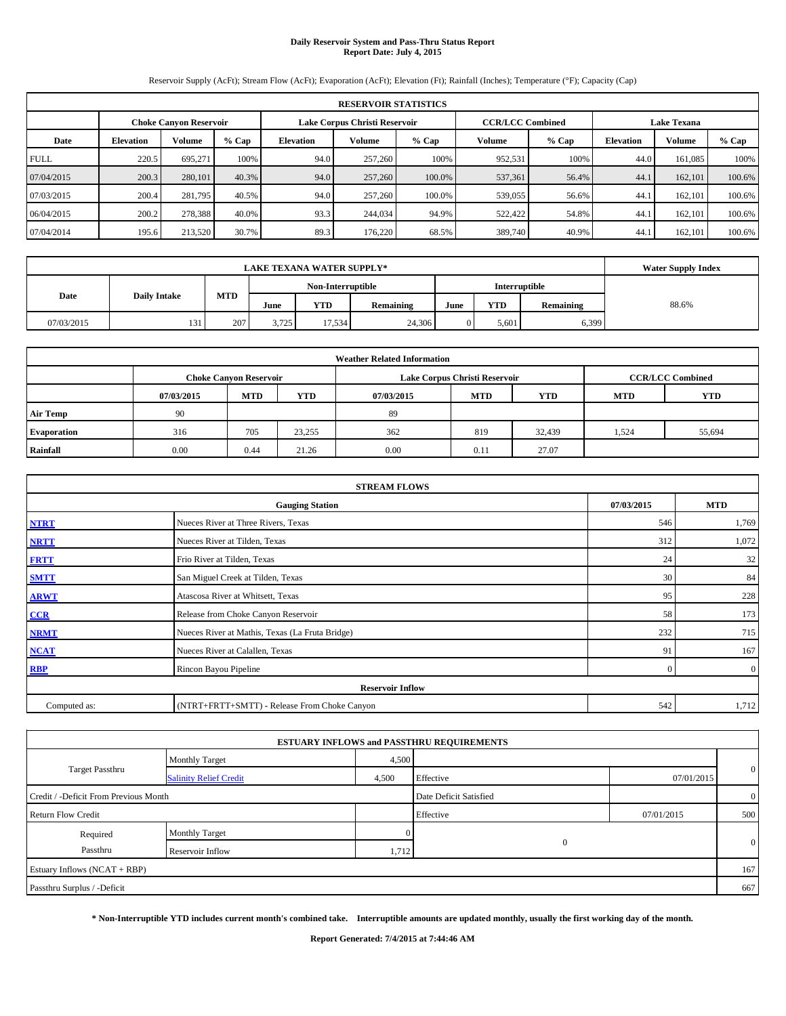## **Daily Reservoir System and Pass-Thru Status Report Report Date: July 4, 2015**

Reservoir Supply (AcFt); Stream Flow (AcFt); Evaporation (AcFt); Elevation (Ft); Rainfall (Inches); Temperature (°F); Capacity (Cap)

|             | <b>RESERVOIR STATISTICS</b> |                               |         |                  |                               |         |                         |         |                  |                    |        |  |
|-------------|-----------------------------|-------------------------------|---------|------------------|-------------------------------|---------|-------------------------|---------|------------------|--------------------|--------|--|
|             |                             | <b>Choke Canvon Reservoir</b> |         |                  | Lake Corpus Christi Reservoir |         | <b>CCR/LCC Combined</b> |         |                  | <b>Lake Texana</b> |        |  |
| Date        | <b>Elevation</b>            | Volume                        | $%$ Cap | <b>Elevation</b> | Volume                        | $%$ Cap | Volume                  | $%$ Cap | <b>Elevation</b> | <b>Volume</b>      | % Cap  |  |
| <b>FULL</b> | 220.5                       | 695.271                       | 100%    | 94.0             | 257,260                       | 100%    | 952,531                 | 100%    | 44.0             | 161.085            | 100%   |  |
| 07/04/2015  | 200.3                       | 280,101                       | 40.3%   | 94.0             | 257,260                       | 100.0%  | 537,361                 | 56.4%   | 44.1             | 162,101            | 100.6% |  |
| 07/03/2015  | 200.4                       | 281,795                       | 40.5%   | 94.0             | 257,260                       | 100.0%  | 539,055                 | 56.6%   | 44.1             | 162.101            | 100.6% |  |
| 06/04/2015  | 200.2                       | 278,388                       | 40.0%   | 93.3             | 244,034                       | 94.9%   | 522,422                 | 54.8%   | 44.1             | 162,101            | 100.6% |  |
| 07/04/2014  | 195.6                       | 213,520                       | 30.7%   | 89.3             | 176,220                       | 68.5%   | 389,740                 | 40.9%   | 44.              | 162,101            | 100.6% |  |

|            | <b>Water Supply Index</b> |     |       |                   |           |      |                      |           |       |
|------------|---------------------------|-----|-------|-------------------|-----------|------|----------------------|-----------|-------|
|            |                           |     |       | Non-Interruptible |           |      | <b>Interruptible</b> |           |       |
| Date       | <b>Daily Intake</b>       | MTD | June  | YTD               | Remaining | June | YTD                  | Remaining | 88.6% |
| 07/03/2015 | 131                       | 207 | 3.725 | 17.534            | 24,306    |      | 5.601                | 6,399     |       |

| <b>Weather Related Information</b> |            |                               |            |            |                               |                         |            |            |  |  |
|------------------------------------|------------|-------------------------------|------------|------------|-------------------------------|-------------------------|------------|------------|--|--|
|                                    |            | <b>Choke Canyon Reservoir</b> |            |            | Lake Corpus Christi Reservoir | <b>CCR/LCC Combined</b> |            |            |  |  |
|                                    | 07/03/2015 | <b>MTD</b>                    | <b>YTD</b> | 07/03/2015 | <b>MTD</b>                    | <b>YTD</b>              | <b>MTD</b> | <b>YTD</b> |  |  |
| <b>Air Temp</b>                    | -90        |                               |            | 89         |                               |                         |            |            |  |  |
| <b>Evaporation</b>                 | 316        | 705                           | 23,255     | 362        | 819                           | 32,439                  | 1,524      | 55,694     |  |  |
| Rainfall                           | 0.00       | 0.44                          | 21.26      | 0.00       | 0.11                          | 27.07                   |            |            |  |  |

| <b>STREAM FLOWS</b> |                                                 |          |                |  |  |  |  |  |  |
|---------------------|-------------------------------------------------|----------|----------------|--|--|--|--|--|--|
|                     | <b>Gauging Station</b>                          |          |                |  |  |  |  |  |  |
| <b>NTRT</b>         | Nueces River at Three Rivers, Texas             | 546      | 1,769          |  |  |  |  |  |  |
| <b>NRTT</b>         | Nueces River at Tilden, Texas                   | 312      | 1,072          |  |  |  |  |  |  |
| <b>FRTT</b>         | Frio River at Tilden, Texas                     | 24       | 32             |  |  |  |  |  |  |
| <b>SMTT</b>         | San Miguel Creek at Tilden, Texas               | 30       | 84             |  |  |  |  |  |  |
| <b>ARWT</b>         | Atascosa River at Whitsett, Texas               | 95       | 228            |  |  |  |  |  |  |
| CCR                 | Release from Choke Canyon Reservoir             | 58       | 173            |  |  |  |  |  |  |
| <b>NRMT</b>         | Nueces River at Mathis, Texas (La Fruta Bridge) | 232      | 715            |  |  |  |  |  |  |
| <b>NCAT</b>         | Nueces River at Calallen, Texas                 | 91       | 167            |  |  |  |  |  |  |
| <b>RBP</b>          | Rincon Bayou Pipeline                           | $\Omega$ | $\overline{0}$ |  |  |  |  |  |  |
|                     | <b>Reservoir Inflow</b>                         |          |                |  |  |  |  |  |  |
| Computed as:        | (NTRT+FRTT+SMTT) - Release From Choke Canyon    | 542      | 1,712          |  |  |  |  |  |  |

|                                       |                               |       | <b>ESTUARY INFLOWS and PASSTHRU REQUIREMENTS</b> |            |                |
|---------------------------------------|-------------------------------|-------|--------------------------------------------------|------------|----------------|
|                                       | <b>Monthly Target</b>         | 4,500 |                                                  |            |                |
| <b>Target Passthru</b>                | <b>Salinity Relief Credit</b> | 4,500 | Effective                                        | 07/01/2015 | $\overline{0}$ |
| Credit / -Deficit From Previous Month |                               |       | Date Deficit Satisfied                           |            | $\overline{0}$ |
| <b>Return Flow Credit</b>             |                               |       | Effective                                        | 07/01/2015 | 500            |
| Required                              | <b>Monthly Target</b>         |       |                                                  |            |                |
| Passthru                              | Reservoir Inflow              | 1,712 |                                                  |            | $\overline{0}$ |
| Estuary Inflows (NCAT + RBP)          |                               |       |                                                  |            | 167            |
| Passthru Surplus / -Deficit           |                               |       |                                                  |            | 667            |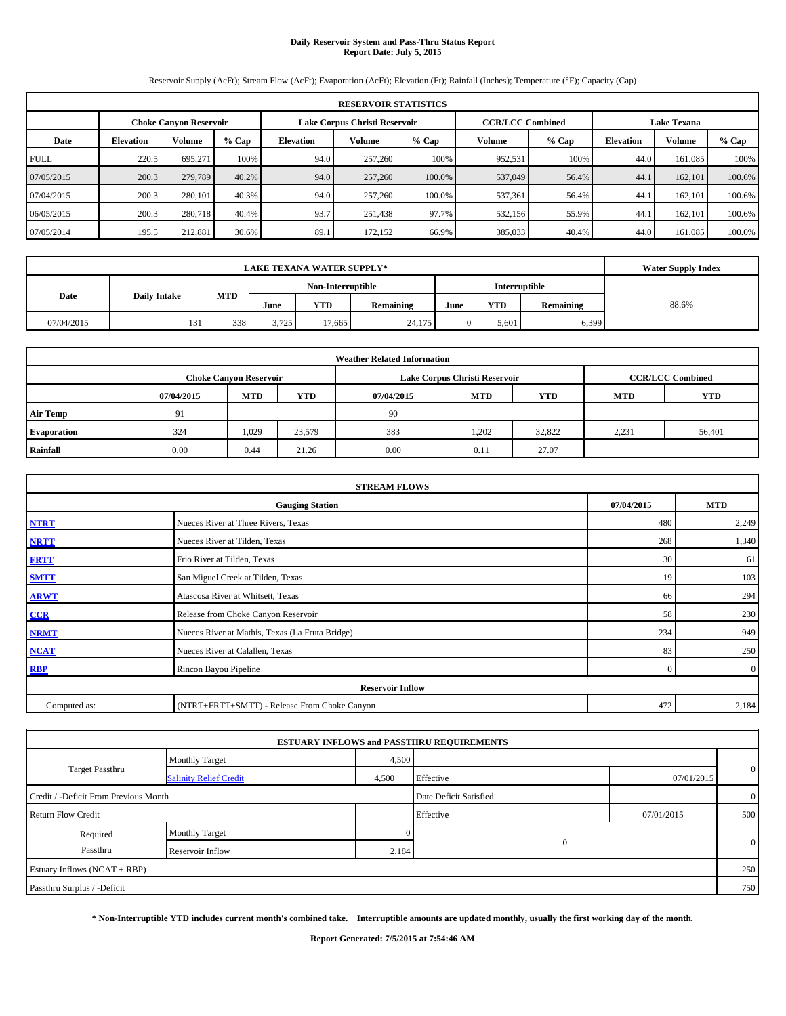## **Daily Reservoir System and Pass-Thru Status Report Report Date: July 5, 2015**

Reservoir Supply (AcFt); Stream Flow (AcFt); Evaporation (AcFt); Elevation (Ft); Rainfall (Inches); Temperature (°F); Capacity (Cap)

|             | <b>RESERVOIR STATISTICS</b> |                               |         |                               |                         |         |                    |         |                  |               |        |  |
|-------------|-----------------------------|-------------------------------|---------|-------------------------------|-------------------------|---------|--------------------|---------|------------------|---------------|--------|--|
|             |                             | <b>Choke Canvon Reservoir</b> |         | Lake Corpus Christi Reservoir | <b>CCR/LCC Combined</b> |         | <b>Lake Texana</b> |         |                  |               |        |  |
| Date        | <b>Elevation</b>            | Volume                        | $%$ Cap | <b>Elevation</b>              | Volume                  | $%$ Cap | Volume             | $%$ Cap | <b>Elevation</b> | <b>Volume</b> | % Cap  |  |
| <b>FULL</b> | 220.5                       | 695.271                       | 100%    | 94.0                          | 257,260                 | 100%    | 952,531            | 100%    | 44.0             | 161.085       | 100%   |  |
| 07/05/2015  | 200.3                       | 279,789                       | 40.2%   | 94.0                          | 257,260                 | 100.0%  | 537,049            | 56.4%   | 44.1             | 162,101       | 100.6% |  |
| 07/04/2015  | 200.3                       | 280,101                       | 40.3%   | 94.0                          | 257,260                 | 100.0%  | 537,361            | 56.4%   | 44.1             | 162.101       | 100.6% |  |
| 06/05/2015  | 200.3                       | 280,718                       | 40.4%   | 93.7                          | 251,438                 | 97.7%   | 532,156            | 55.9%   | 44.1             | 162,101       | 100.6% |  |
| 07/05/2014  | 195.5                       | 212,881                       | 30.6%   | 89.1                          | 172,152                 | 66.9%   | 385,033            | 40.4%   | 44.0             | 161.085       | 100.0% |  |

|            | <b>Water Supply Index</b> |     |                   |        |           |      |                      |           |       |
|------------|---------------------------|-----|-------------------|--------|-----------|------|----------------------|-----------|-------|
|            |                           |     | Non-Interruptible |        |           |      | <b>Interruptible</b> |           |       |
| Date       | <b>Daily Intake</b>       | MTD | June              | YTD    | Remaining | June | YTD                  | Remaining | 88.6% |
| 07/04/2015 | 131                       | 338 | 3.725             | 17.665 | 24,175    |      | 5.601                | 6,399     |       |

| <b>Weather Related Information</b> |            |                               |        |            |                               |                         |            |            |  |  |
|------------------------------------|------------|-------------------------------|--------|------------|-------------------------------|-------------------------|------------|------------|--|--|
|                                    |            | <b>Choke Canyon Reservoir</b> |        |            | Lake Corpus Christi Reservoir | <b>CCR/LCC Combined</b> |            |            |  |  |
|                                    | 07/04/2015 | <b>MTD</b>                    | YTD    | 07/04/2015 | <b>MTD</b>                    | <b>YTD</b>              | <b>MTD</b> | <b>YTD</b> |  |  |
| <b>Air Temp</b>                    | 91         |                               |        | 90         |                               |                         |            |            |  |  |
| <b>Evaporation</b>                 | 324        | 1,029                         | 23,579 | 383        | 1,202                         | 32,822                  | 2,231      | 56,401     |  |  |
| Rainfall                           | 0.00       | 0.44                          | 21.26  | 0.00       | 0.11                          | 27.07                   |            |            |  |  |

| <b>STREAM FLOWS</b> |                                                 |          |                |  |  |  |  |  |  |
|---------------------|-------------------------------------------------|----------|----------------|--|--|--|--|--|--|
|                     | <b>Gauging Station</b>                          |          |                |  |  |  |  |  |  |
| <b>NTRT</b>         | Nueces River at Three Rivers, Texas             | 480      | 2,249          |  |  |  |  |  |  |
| <b>NRTT</b>         | Nueces River at Tilden, Texas                   | 268      | 1,340          |  |  |  |  |  |  |
| <b>FRTT</b>         | Frio River at Tilden, Texas                     | 30       | 61             |  |  |  |  |  |  |
| <b>SMTT</b>         | San Miguel Creek at Tilden, Texas               | 19       | 103            |  |  |  |  |  |  |
| <b>ARWT</b>         | Atascosa River at Whitsett, Texas               | 66       | 294            |  |  |  |  |  |  |
| CCR                 | Release from Choke Canyon Reservoir             | 58       | 230            |  |  |  |  |  |  |
| <b>NRMT</b>         | Nueces River at Mathis, Texas (La Fruta Bridge) | 234      | 949            |  |  |  |  |  |  |
| <b>NCAT</b>         | Nueces River at Calallen, Texas                 | 83       | 250            |  |  |  |  |  |  |
| <b>RBP</b>          | Rincon Bayou Pipeline                           | $\Omega$ | $\overline{0}$ |  |  |  |  |  |  |
|                     | <b>Reservoir Inflow</b>                         |          |                |  |  |  |  |  |  |
| Computed as:        | (NTRT+FRTT+SMTT) - Release From Choke Canyon    | 472      | 2,184          |  |  |  |  |  |  |

|                                       |                               |       | <b>ESTUARY INFLOWS and PASSTHRU REQUIREMENTS</b> |            |                |
|---------------------------------------|-------------------------------|-------|--------------------------------------------------|------------|----------------|
|                                       | <b>Monthly Target</b>         | 4,500 |                                                  |            |                |
| <b>Target Passthru</b>                | <b>Salinity Relief Credit</b> | 4,500 | Effective                                        | 07/01/2015 | $\overline{0}$ |
| Credit / -Deficit From Previous Month |                               |       | Date Deficit Satisfied                           |            | $\overline{0}$ |
| <b>Return Flow Credit</b>             |                               |       | Effective                                        | 07/01/2015 | 500            |
| Required                              | <b>Monthly Target</b>         |       |                                                  |            |                |
| Passthru                              | Reservoir Inflow              | 2,184 |                                                  |            | $\overline{0}$ |
| Estuary Inflows (NCAT + RBP)          |                               |       |                                                  |            | 250            |
| Passthru Surplus / -Deficit           |                               |       |                                                  |            | 750            |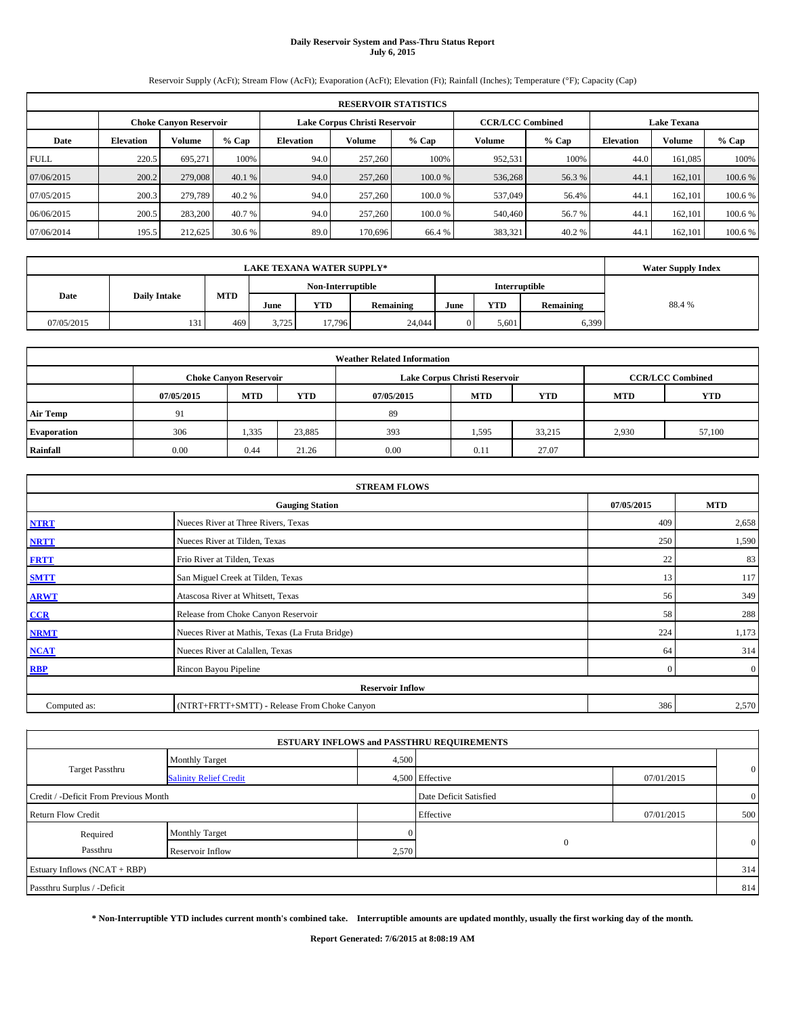#### **Daily Reservoir System and Pass-Thru Status Report July 6, 2015**

Reservoir Supply (AcFt); Stream Flow (AcFt); Evaporation (AcFt); Elevation (Ft); Rainfall (Inches); Temperature (°F); Capacity (Cap)

|             | <b>RESERVOIR STATISTICS</b> |                               |         |                  |                               |         |                         |                  |        |                    |         |  |
|-------------|-----------------------------|-------------------------------|---------|------------------|-------------------------------|---------|-------------------------|------------------|--------|--------------------|---------|--|
|             |                             | <b>Choke Canvon Reservoir</b> |         |                  | Lake Corpus Christi Reservoir |         | <b>CCR/LCC Combined</b> |                  |        | <b>Lake Texana</b> |         |  |
| Date        | <b>Elevation</b>            | <b>Volume</b>                 | $%$ Cap | <b>Elevation</b> | Volume                        | $%$ Cap | $%$ Cap                 | <b>Elevation</b> | Volume | % Cap              |         |  |
| <b>FULL</b> | 220.5                       | 695.271                       | 100%    | 94.0             | 257,260                       | 100%    | 952,531                 | 100%             | 44.0   | 161.085            | 100%    |  |
| 07/06/2015  | 200.2                       | 279,008                       | 40.1%   | 94.0             | 257,260                       | 100.0 % | 536,268                 | 56.3 %           | 44.    | 162,101            | 100.6 % |  |
| 07/05/2015  | 200.3                       | 279,789                       | 40.2 %  | 94.0             | 257,260                       | 100.0 % | 537,049                 | 56.4%            | 44.    | 162.101            | 100.6 % |  |
| 06/06/2015  | 200.5                       | 283,200                       | 40.7 %  | 94.0             | 257,260                       | 100.0%  | 540,460                 | 56.7 %           | 44.    | 162,101            | 100.6 % |  |
| 07/06/2014  | 195.5                       | 212,625                       | 30.6 %  | 89.0             | 170,696                       | 66.4 %  | 383,321                 | 40.2%            | 44.    | 162.101            | 100.6 % |  |

|            | <b>Water Supply Index</b> |            |       |        |           |      |            |               |       |
|------------|---------------------------|------------|-------|--------|-----------|------|------------|---------------|-------|
|            | Non-Interruptible         |            |       |        |           |      |            | Interruptible |       |
| Date       | <b>Daily Intake</b>       | <b>MTD</b> | June  | YTD    | Remaining | June | <b>YTD</b> | Remaining     | 88.4% |
| 07/05/2015 | 131                       | 469        | 3.725 | 17.796 | 24,044    |      | 5,601      | 6,399         |       |

|                    | <b>Weather Related Information</b> |                               |            |            |                               |                         |       |        |  |  |  |
|--------------------|------------------------------------|-------------------------------|------------|------------|-------------------------------|-------------------------|-------|--------|--|--|--|
|                    |                                    | <b>Choke Canyon Reservoir</b> |            |            | Lake Corpus Christi Reservoir | <b>CCR/LCC Combined</b> |       |        |  |  |  |
|                    | 07/05/2015                         | <b>MTD</b>                    | <b>YTD</b> | 07/05/2015 | <b>YTD</b>                    |                         |       |        |  |  |  |
| <b>Air Temp</b>    | 91                                 |                               |            | 89         |                               |                         |       |        |  |  |  |
| <b>Evaporation</b> | 306                                | 1,335                         | 23,885     | 393        | 1,595                         | 33,215                  | 2,930 | 57,100 |  |  |  |
| Rainfall           | 0.00                               | 0.44                          | 21.26      | 0.00       | 0.11                          | 27.07                   |       |        |  |  |  |

|              | <b>STREAM FLOWS</b>                             |                |                |  |  |  |  |  |
|--------------|-------------------------------------------------|----------------|----------------|--|--|--|--|--|
|              | <b>Gauging Station</b>                          |                |                |  |  |  |  |  |
| <b>NTRT</b>  | Nueces River at Three Rivers, Texas             | 409            | 2,658          |  |  |  |  |  |
| <b>NRTT</b>  | Nueces River at Tilden, Texas                   | 250            | 1,590          |  |  |  |  |  |
| <b>FRTT</b>  | Frio River at Tilden, Texas                     | 22             | 83             |  |  |  |  |  |
| <b>SMTT</b>  | San Miguel Creek at Tilden, Texas               | 13             | 117            |  |  |  |  |  |
| <b>ARWT</b>  | Atascosa River at Whitsett, Texas               | 56             | 349            |  |  |  |  |  |
| CCR          | Release from Choke Canyon Reservoir             | 58             | 288            |  |  |  |  |  |
| <b>NRMT</b>  | Nueces River at Mathis, Texas (La Fruta Bridge) | 224            | 1,173          |  |  |  |  |  |
| <b>NCAT</b>  | Nueces River at Calallen, Texas                 | 64             | 314            |  |  |  |  |  |
| <b>RBP</b>   | Rincon Bayou Pipeline                           | $\overline{0}$ | $\overline{0}$ |  |  |  |  |  |
|              | <b>Reservoir Inflow</b>                         |                |                |  |  |  |  |  |
| Computed as: | (NTRT+FRTT+SMTT) - Release From Choke Canyon    | 386            | 2,570          |  |  |  |  |  |

|                                       |                               |       | <b>ESTUARY INFLOWS and PASSTHRU REQUIREMENTS</b> |            |                |
|---------------------------------------|-------------------------------|-------|--------------------------------------------------|------------|----------------|
|                                       | <b>Monthly Target</b>         | 4,500 |                                                  |            |                |
| <b>Target Passthru</b>                | <b>Salinity Relief Credit</b> |       | 4,500 Effective                                  | 07/01/2015 | $\mathbf{0}$   |
| Credit / -Deficit From Previous Month |                               |       | Date Deficit Satisfied                           |            | $\overline{0}$ |
| <b>Return Flow Credit</b>             |                               |       | Effective                                        | 07/01/2015 | 500            |
| Required                              | <b>Monthly Target</b>         |       |                                                  |            |                |
| Passthru                              | Reservoir Inflow              | 2,570 | $\Omega$                                         |            | $\mathbf{0}$   |
| Estuary Inflows (NCAT + RBP)          |                               |       |                                                  |            | 314            |
| Passthru Surplus / -Deficit           |                               |       |                                                  |            | 814            |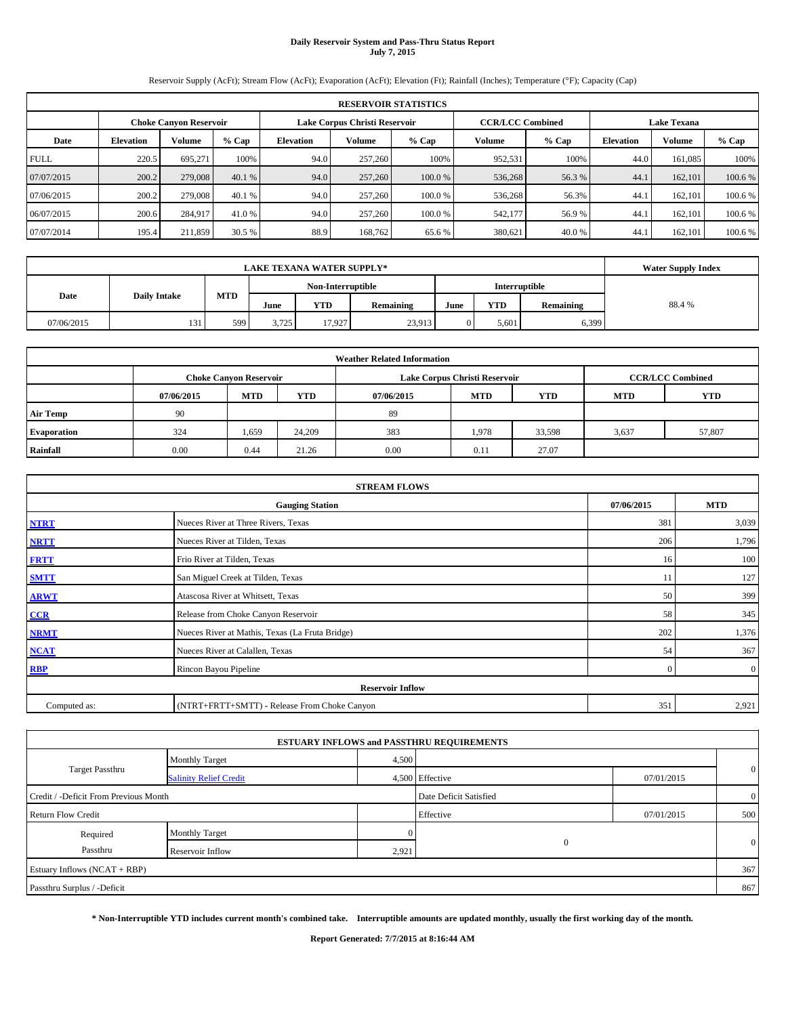#### **Daily Reservoir System and Pass-Thru Status Report July 7, 2015**

Reservoir Supply (AcFt); Stream Flow (AcFt); Evaporation (AcFt); Elevation (Ft); Rainfall (Inches); Temperature (°F); Capacity (Cap)

|             | <b>RESERVOIR STATISTICS</b> |                               |         |                  |                               |         |                         |                  |        |                    |         |  |
|-------------|-----------------------------|-------------------------------|---------|------------------|-------------------------------|---------|-------------------------|------------------|--------|--------------------|---------|--|
|             |                             | <b>Choke Canvon Reservoir</b> |         |                  | Lake Corpus Christi Reservoir |         | <b>CCR/LCC Combined</b> |                  |        | <b>Lake Texana</b> |         |  |
| Date        | <b>Elevation</b>            | <b>Volume</b>                 | $%$ Cap | <b>Elevation</b> | Volume                        | $%$ Cap | $%$ Cap                 | <b>Elevation</b> | Volume | % Cap              |         |  |
| <b>FULL</b> | 220.5                       | 695.271                       | 100%    | 94.0             | 257,260                       | 100%    | 952,531                 | 100%             | 44.0   | 161.085            | 100%    |  |
| 07/07/2015  | 200.2                       | 279,008                       | 40.1%   | 94.0             | 257,260                       | 100.0 % | 536,268                 | 56.3 %           | 44.    | 162,101            | 100.6 % |  |
| 07/06/2015  | 200.2                       | 279,008                       | 40.1 %  | 94.0             | 257,260                       | 100.0 % | 536,268                 | 56.3%            | 44.    | 162.101            | 100.6 % |  |
| 06/07/2015  | 200.6                       | 284,917                       | 41.0 %  | 94.0             | 257,260                       | 100.0%  | 542,177                 | 56.9 %           | 44.    | 162,101            | 100.6 % |  |
| 07/07/2014  | 195.4                       | 211,859                       | 30.5 %  | 88.9             | 168,762                       | 65.6 %  | 380,621                 | 40.0 %           | 44.    | 162.101            | 100.6 % |  |

|            | <b>LAKE TEXANA WATER SUPPLY*</b> |                   |       |            |               |      |       |           |       |  |  |
|------------|----------------------------------|-------------------|-------|------------|---------------|------|-------|-----------|-------|--|--|
|            |                                  | Non-Interruptible |       |            | Interruptible |      |       |           |       |  |  |
| Date       | <b>Daily Intake</b>              | MTD               | June  | <b>YTD</b> | Remaining     | June | YTD   | Remaining | 88.4% |  |  |
| 07/06/2015 | 131                              | 599               | 3,725 | 17.927     | 23,913        |      | 5,601 | 6,399     |       |  |  |

|                    | <b>Weather Related Information</b> |                               |        |            |                               |                         |       |        |  |  |  |
|--------------------|------------------------------------|-------------------------------|--------|------------|-------------------------------|-------------------------|-------|--------|--|--|--|
|                    |                                    | <b>Choke Canyon Reservoir</b> |        |            | Lake Corpus Christi Reservoir | <b>CCR/LCC Combined</b> |       |        |  |  |  |
|                    | 07/06/2015                         | <b>MTD</b>                    | YTD    | 07/06/2015 | <b>YTD</b>                    |                         |       |        |  |  |  |
| <b>Air Temp</b>    | 90                                 |                               |        | 89         |                               |                         |       |        |  |  |  |
| <b>Evaporation</b> | 324                                | 1,659                         | 24,209 | 383        | 1,978                         | 33,598                  | 3,637 | 57,807 |  |  |  |
| Rainfall           | 0.00                               | 0.44                          | 21.26  | 0.00       | 0.11                          | 27.07                   |       |        |  |  |  |

|              | <b>STREAM FLOWS</b>                             |          |                |  |  |  |  |  |  |
|--------------|-------------------------------------------------|----------|----------------|--|--|--|--|--|--|
|              | <b>Gauging Station</b>                          |          |                |  |  |  |  |  |  |
| <b>NTRT</b>  | Nueces River at Three Rivers, Texas             | 381      | 3,039          |  |  |  |  |  |  |
| <b>NRTT</b>  | Nueces River at Tilden, Texas                   | 206      | 1,796          |  |  |  |  |  |  |
| <b>FRTT</b>  | Frio River at Tilden, Texas                     | 16       | 100            |  |  |  |  |  |  |
| <b>SMTT</b>  | San Miguel Creek at Tilden, Texas               | 11       | 127            |  |  |  |  |  |  |
| <b>ARWT</b>  | Atascosa River at Whitsett, Texas               | 50       | 399            |  |  |  |  |  |  |
| CCR          | Release from Choke Canyon Reservoir             | 58       | 345            |  |  |  |  |  |  |
| <b>NRMT</b>  | Nueces River at Mathis, Texas (La Fruta Bridge) | 202      | 1,376          |  |  |  |  |  |  |
| <b>NCAT</b>  | Nueces River at Calallen, Texas                 | 54       | 367            |  |  |  |  |  |  |
| <b>RBP</b>   | Rincon Bayou Pipeline                           | $\Omega$ | $\overline{0}$ |  |  |  |  |  |  |
|              | <b>Reservoir Inflow</b>                         |          |                |  |  |  |  |  |  |
| Computed as: | (NTRT+FRTT+SMTT) - Release From Choke Canyon    | 351      | 2,921          |  |  |  |  |  |  |

|                                       |                               |       | <b>ESTUARY INFLOWS and PASSTHRU REQUIREMENTS</b> |            |                |
|---------------------------------------|-------------------------------|-------|--------------------------------------------------|------------|----------------|
|                                       | <b>Monthly Target</b>         | 4,500 |                                                  |            |                |
| <b>Target Passthru</b>                | <b>Salinity Relief Credit</b> |       | 4,500 Effective                                  | 07/01/2015 | $\mathbf{0}$   |
| Credit / -Deficit From Previous Month |                               |       | Date Deficit Satisfied                           |            | $\overline{0}$ |
| <b>Return Flow Credit</b>             |                               |       | Effective                                        | 07/01/2015 | 500            |
| Required                              | <b>Monthly Target</b>         |       |                                                  |            |                |
| Passthru                              | Reservoir Inflow              | 2,921 | $\Omega$                                         |            | $\mathbf{0}$   |
| Estuary Inflows (NCAT + RBP)          |                               |       |                                                  |            | 367            |
| Passthru Surplus / -Deficit           |                               |       |                                                  |            | 867            |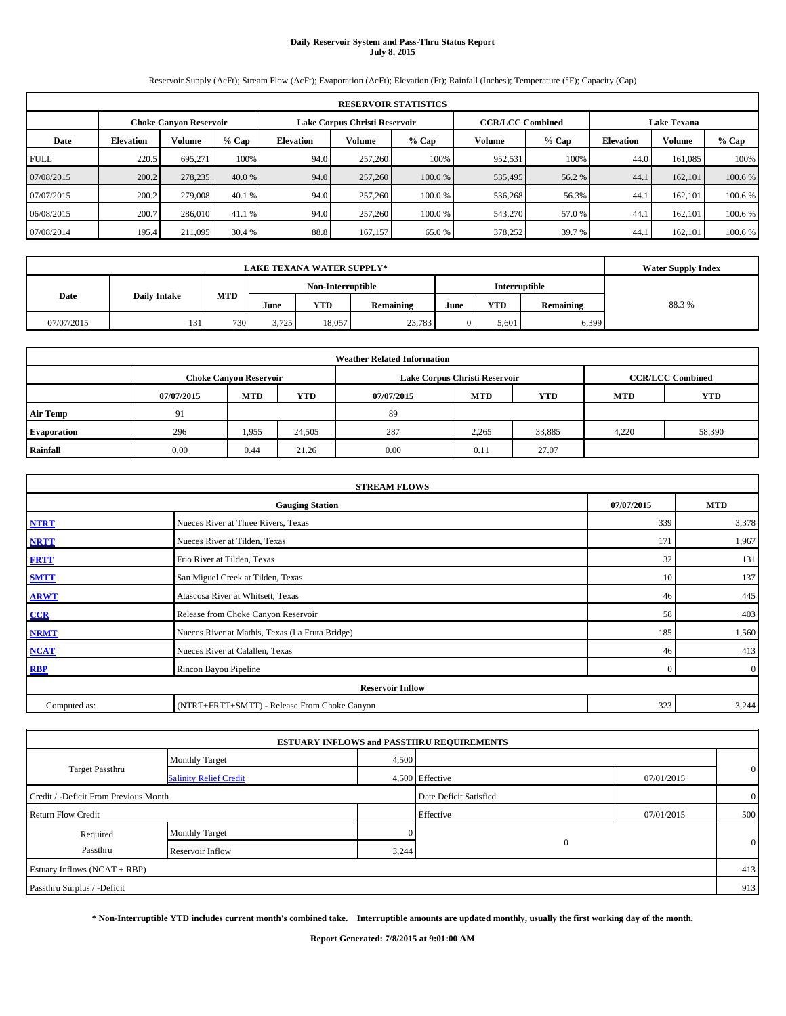## **Daily Reservoir System and Pass-Thru Status Report July 8, 2015**

Reservoir Supply (AcFt); Stream Flow (AcFt); Evaporation (AcFt); Elevation (Ft); Rainfall (Inches); Temperature (°F); Capacity (Cap)

|             | <b>RESERVOIR STATISTICS</b> |                               |         |                  |                               |         |                         |                  |        |                    |         |  |
|-------------|-----------------------------|-------------------------------|---------|------------------|-------------------------------|---------|-------------------------|------------------|--------|--------------------|---------|--|
|             |                             | <b>Choke Canvon Reservoir</b> |         |                  | Lake Corpus Christi Reservoir |         | <b>CCR/LCC Combined</b> |                  |        | <b>Lake Texana</b> |         |  |
| Date        | <b>Elevation</b>            | <b>Volume</b>                 | $%$ Cap | <b>Elevation</b> | Volume                        | $%$ Cap | $%$ Cap                 | <b>Elevation</b> | Volume | % Cap              |         |  |
| <b>FULL</b> | 220.5                       | 695.271                       | 100%    | 94.0             | 257,260                       | 100%    | 952,531                 | 100%             | 44.0   | 161.085            | 100%    |  |
| 07/08/2015  | 200.2                       | 278,235                       | 40.0 %  | 94.0             | 257,260                       | 100.0 % | 535,495                 | 56.2 %           | 44.    | 162,101            | 100.6 % |  |
| 07/07/2015  | 200.2                       | 279,008                       | 40.1 %  | 94.0             | 257,260                       | 100.0 % | 536,268                 | 56.3%            | 44.    | 162.101            | 100.6 % |  |
| 06/08/2015  | 200.7                       | 286,010                       | 41.1 %  | 94.0             | 257,260                       | 100.0%  | 543,270                 | 57.0 %           | 44.    | 162,101            | 100.6 % |  |
| 07/08/2014  | 195.4                       | 211,095                       | 30.4 %  | 88.8             | 167,157                       | 65.0%   | 378,252                 | 39.7 %           | 44.    | 162.101            | 100.6 % |  |

|            | <b>LAKE TEXANA WATER SUPPLY*</b>   |     |                   |            |           |      |               |           |       |  |  |
|------------|------------------------------------|-----|-------------------|------------|-----------|------|---------------|-----------|-------|--|--|
|            |                                    |     | Non-Interruptible |            |           |      | Interruptible |           |       |  |  |
|            | MTD<br>Date<br><b>Daily Intake</b> |     | June              | <b>YTD</b> | Remaining | June | YTD           | Remaining | 88.3% |  |  |
| 07/07/2015 | 131                                | 730 | 3,725             | 18.057     | 23,783    |      | 5,601         | 6,399     |       |  |  |

| <b>Weather Related Information</b> |            |                                                                                           |        |            |            |            |            |            |  |  |  |  |  |  |
|------------------------------------|------------|-------------------------------------------------------------------------------------------|--------|------------|------------|------------|------------|------------|--|--|--|--|--|--|
|                                    |            | <b>CCR/LCC Combined</b><br>Lake Corpus Christi Reservoir<br><b>Choke Canyon Reservoir</b> |        |            |            |            |            |            |  |  |  |  |  |  |
|                                    | 07/07/2015 | <b>MTD</b>                                                                                | YTD    | 07/07/2015 | <b>MTD</b> | <b>YTD</b> | <b>MTD</b> | <b>YTD</b> |  |  |  |  |  |  |
| <b>Air Temp</b>                    | 91         |                                                                                           |        | 89         |            |            |            |            |  |  |  |  |  |  |
| <b>Evaporation</b>                 | 296        | 1,955                                                                                     | 24,505 | 287        | 2,265      | 33,885     | 4,220      | 58,390     |  |  |  |  |  |  |
| Rainfall                           | 0.00       | 0.44                                                                                      | 21.26  | 0.00       | 0.11       | 27.07      |            |            |  |  |  |  |  |  |

| <b>STREAM FLOWS</b> |                                                    |          |                |  |  |  |  |  |  |  |
|---------------------|----------------------------------------------------|----------|----------------|--|--|--|--|--|--|--|
|                     | 07/07/2015<br><b>MTD</b><br><b>Gauging Station</b> |          |                |  |  |  |  |  |  |  |
| <b>NTRT</b>         | Nueces River at Three Rivers, Texas                | 339      | 3,378          |  |  |  |  |  |  |  |
| <b>NRTT</b>         | Nueces River at Tilden, Texas                      | 171      | 1,967          |  |  |  |  |  |  |  |
| <b>FRTT</b>         | Frio River at Tilden, Texas                        | 32       | 131            |  |  |  |  |  |  |  |
| <b>SMTT</b>         | San Miguel Creek at Tilden, Texas                  | 10       | 137            |  |  |  |  |  |  |  |
| <b>ARWT</b>         | Atascosa River at Whitsett, Texas                  | 46       | 445            |  |  |  |  |  |  |  |
| CCR                 | Release from Choke Canyon Reservoir                | 58       | 403            |  |  |  |  |  |  |  |
| <b>NRMT</b>         | Nueces River at Mathis, Texas (La Fruta Bridge)    | 185      | 1,560          |  |  |  |  |  |  |  |
| <b>NCAT</b>         | Nueces River at Calallen, Texas                    | 46       | 413            |  |  |  |  |  |  |  |
| <b>RBP</b>          | Rincon Bayou Pipeline                              | $\Omega$ | $\overline{0}$ |  |  |  |  |  |  |  |
|                     | <b>Reservoir Inflow</b>                            |          |                |  |  |  |  |  |  |  |
| Computed as:        | (NTRT+FRTT+SMTT) - Release From Choke Canyon       | 323      | 3,244          |  |  |  |  |  |  |  |

|                                       |                               |       | <b>ESTUARY INFLOWS and PASSTHRU REQUIREMENTS</b> |            |                |
|---------------------------------------|-------------------------------|-------|--------------------------------------------------|------------|----------------|
|                                       | <b>Monthly Target</b>         | 4,500 |                                                  |            |                |
| <b>Target Passthru</b>                | <b>Salinity Relief Credit</b> |       | 4,500 Effective                                  | 07/01/2015 | $\mathbf{0}$   |
| Credit / -Deficit From Previous Month |                               |       | Date Deficit Satisfied                           |            | $\overline{0}$ |
| <b>Return Flow Credit</b>             |                               |       | Effective                                        | 07/01/2015 | 500            |
| Required                              | <b>Monthly Target</b>         |       |                                                  |            |                |
| Passthru                              | Reservoir Inflow              | 3,244 | $\Omega$                                         |            | $\mathbf{0}$   |
| Estuary Inflows (NCAT + RBP)          |                               |       |                                                  |            | 413            |
| Passthru Surplus / -Deficit           |                               |       |                                                  |            | 913            |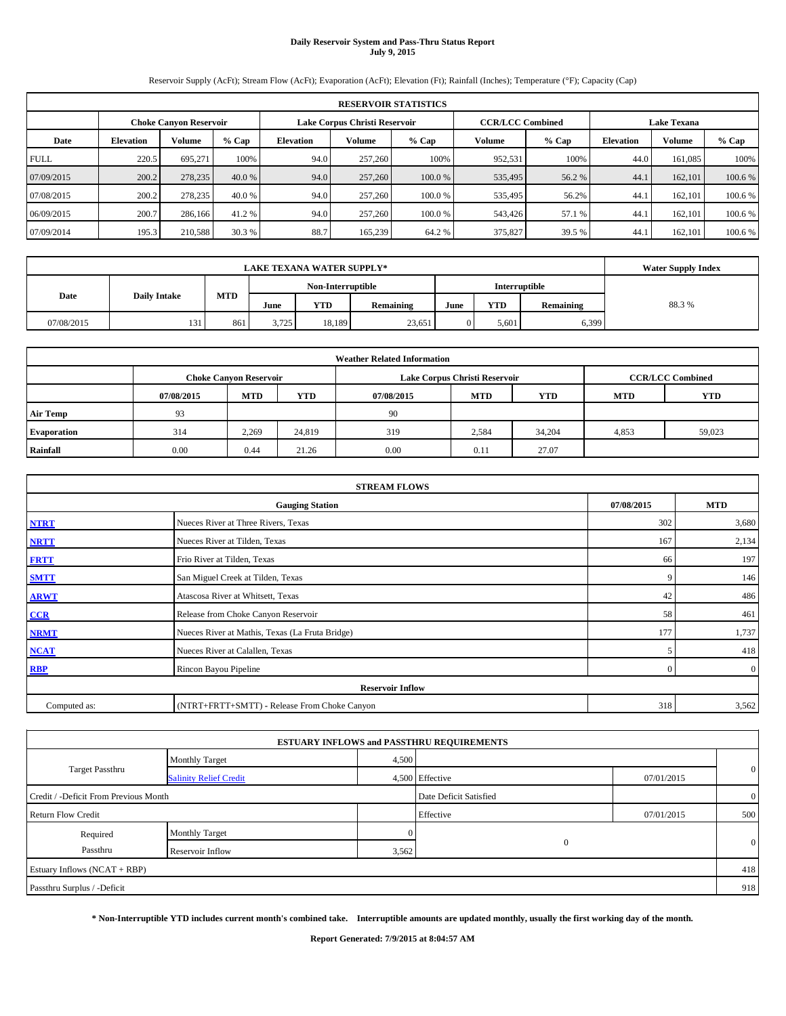#### **Daily Reservoir System and Pass-Thru Status Report July 9, 2015**

Reservoir Supply (AcFt); Stream Flow (AcFt); Evaporation (AcFt); Elevation (Ft); Rainfall (Inches); Temperature (°F); Capacity (Cap)

|             | <b>RESERVOIR STATISTICS</b>                                                                                     |         |         |                  |         |         |         |         |                  |         |         |  |  |  |  |
|-------------|-----------------------------------------------------------------------------------------------------------------|---------|---------|------------------|---------|---------|---------|---------|------------------|---------|---------|--|--|--|--|
|             | Lake Corpus Christi Reservoir<br><b>CCR/LCC Combined</b><br><b>Lake Texana</b><br><b>Choke Canyon Reservoir</b> |         |         |                  |         |         |         |         |                  |         |         |  |  |  |  |
| Date        | <b>Elevation</b>                                                                                                | Volume  | $%$ Cap | <b>Elevation</b> | Volume  | $%$ Cap | Volume  | $%$ Cap | <b>Elevation</b> | Volume  | % Cap   |  |  |  |  |
| <b>FULL</b> | 220.5                                                                                                           | 695,271 | 100%    | 94.0             | 257,260 | 100%    | 952,531 | 100%    | 44.0             | 161,085 | 100%    |  |  |  |  |
| 07/09/2015  | 200.2                                                                                                           | 278,235 | 40.0 %  | 94.0             | 257,260 | 100.0 % | 535,495 | 56.2%   | 44.1             | 162,101 | 100.6 % |  |  |  |  |
| 07/08/2015  | 200.2                                                                                                           | 278,235 | 40.0 %  | 94.0             | 257,260 | 100.0 % | 535,495 | 56.2%   | 44.1             | 162,101 | 100.6 % |  |  |  |  |
| 06/09/2015  | 200.7                                                                                                           | 286,166 | 41.2%   | 94.0             | 257,260 | 100.0%  | 543,426 | 57.1 %  | 44.1             | 162,101 | 100.6 % |  |  |  |  |
| 07/09/2014  | 195.3                                                                                                           | 210,588 | 30.3 %  | 88.7             | 165.239 | 64.2 %  | 375,827 | 39.5 %  | 44.1             | 162.101 | 100.6 % |  |  |  |  |

|            | <b>Water Supply Index</b>                 |     |                   |            |                  |      |               |           |       |
|------------|-------------------------------------------|-----|-------------------|------------|------------------|------|---------------|-----------|-------|
|            |                                           |     | Non-Interruptible |            |                  |      | Interruptible |           |       |
|            | <b>MTD</b><br><b>Daily Intake</b><br>Date |     | June              | <b>YTD</b> | <b>Remaining</b> | June | <b>YTD</b>    | Remaining | 88.3% |
| 07/08/2015 | 131                                       | 861 | 3.725             | 18.189     | 23,651           |      | 5.601         | 6,399     |       |

|                    | <b>Weather Related Information</b> |                                                                                           |            |            |            |            |            |            |  |  |  |  |  |  |
|--------------------|------------------------------------|-------------------------------------------------------------------------------------------|------------|------------|------------|------------|------------|------------|--|--|--|--|--|--|
|                    |                                    | <b>CCR/LCC Combined</b><br>Lake Corpus Christi Reservoir<br><b>Choke Canyon Reservoir</b> |            |            |            |            |            |            |  |  |  |  |  |  |
|                    | 07/08/2015                         | <b>MTD</b>                                                                                | <b>YTD</b> | 07/08/2015 | <b>MTD</b> | <b>YTD</b> | <b>MTD</b> | <b>YTD</b> |  |  |  |  |  |  |
| <b>Air Temp</b>    | 93                                 |                                                                                           |            | 90         |            |            |            |            |  |  |  |  |  |  |
| <b>Evaporation</b> | 314                                | 2.269                                                                                     | 24,819     | 319        | 2,584      | 34,204     | 4,853      | 59,023     |  |  |  |  |  |  |
| Rainfall           | 0.00                               | 0.44                                                                                      | 21.26      | 0.00       | 0.11       | 27.07      |            |            |  |  |  |  |  |  |

|              | <b>STREAM FLOWS</b>                             |                |                |
|--------------|-------------------------------------------------|----------------|----------------|
|              | <b>Gauging Station</b>                          | 07/08/2015     | <b>MTD</b>     |
| <b>NTRT</b>  | Nueces River at Three Rivers, Texas             | 302            | 3,680          |
| <b>NRTT</b>  | Nueces River at Tilden, Texas                   | 167            | 2,134          |
| <b>FRTT</b>  | Frio River at Tilden, Texas                     | 66             | 197            |
| <b>SMTT</b>  | San Miguel Creek at Tilden, Texas               | 9              | 146            |
| <b>ARWT</b>  | Atascosa River at Whitsett, Texas               | 42             | 486            |
| CCR          | Release from Choke Canyon Reservoir             | 58             | 461            |
| <b>NRMT</b>  | Nueces River at Mathis, Texas (La Fruta Bridge) | 177            | 1,737          |
| <b>NCAT</b>  | Nueces River at Calallen, Texas                 | 5              | 418            |
| <b>RBP</b>   | Rincon Bayou Pipeline                           | $\overline{0}$ | $\overline{0}$ |
|              | <b>Reservoir Inflow</b>                         |                |                |
| Computed as: | (NTRT+FRTT+SMTT) - Release From Choke Canyon    | 318            | 3,562          |

|                                       |                               |       | <b>ESTUARY INFLOWS and PASSTHRU REQUIREMENTS</b> |            |                |
|---------------------------------------|-------------------------------|-------|--------------------------------------------------|------------|----------------|
|                                       | <b>Monthly Target</b>         | 4,500 |                                                  |            |                |
| <b>Target Passthru</b>                | <b>Salinity Relief Credit</b> |       | 4,500 Effective                                  | 07/01/2015 | $\mathbf{0}$   |
| Credit / -Deficit From Previous Month |                               |       | Date Deficit Satisfied                           |            | $\overline{0}$ |
| <b>Return Flow Credit</b>             |                               |       | Effective                                        | 07/01/2015 | 500            |
| Required                              | <b>Monthly Target</b>         |       |                                                  |            |                |
| Passthru                              | Reservoir Inflow              | 3,562 | $\Omega$                                         |            | $\mathbf{0}$   |
| Estuary Inflows (NCAT + RBP)          |                               |       |                                                  |            | 418            |
| Passthru Surplus / -Deficit           |                               |       |                                                  |            | 918            |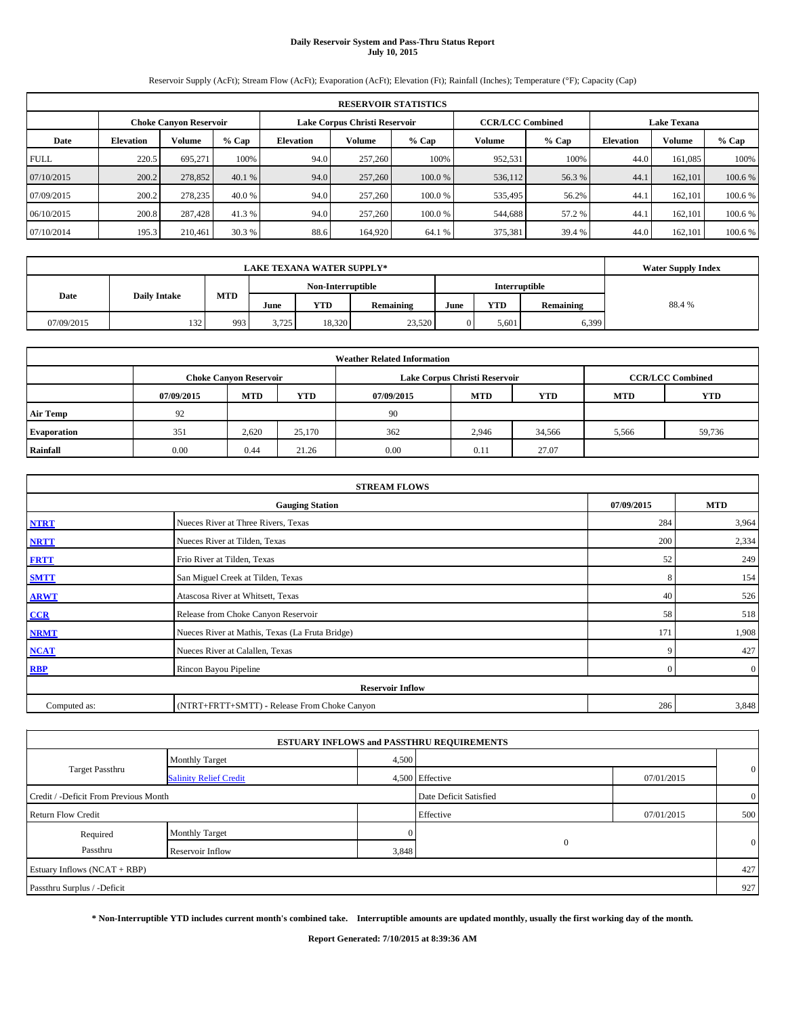# **Daily Reservoir System and Pass-Thru Status Report July 10, 2015**

Reservoir Supply (AcFt); Stream Flow (AcFt); Evaporation (AcFt); Elevation (Ft); Rainfall (Inches); Temperature (°F); Capacity (Cap)

|             | <b>RESERVOIR STATISTICS</b>                                                                                     |         |         |                  |         |         |         |         |                  |         |         |  |  |  |  |
|-------------|-----------------------------------------------------------------------------------------------------------------|---------|---------|------------------|---------|---------|---------|---------|------------------|---------|---------|--|--|--|--|
|             | Lake Corpus Christi Reservoir<br><b>CCR/LCC Combined</b><br><b>Lake Texana</b><br><b>Choke Canyon Reservoir</b> |         |         |                  |         |         |         |         |                  |         |         |  |  |  |  |
| Date        | <b>Elevation</b>                                                                                                | Volume  | $%$ Cap | <b>Elevation</b> | Volume  | $%$ Cap | Volume  | $%$ Cap | <b>Elevation</b> | Volume  | % Cap   |  |  |  |  |
| <b>FULL</b> | 220.5                                                                                                           | 695,271 | 100%    | 94.0             | 257,260 | 100%    | 952,531 | 100%    | 44.0             | 161,085 | 100%    |  |  |  |  |
| 07/10/2015  | 200.2                                                                                                           | 278,852 | 40.1 %  | 94.0             | 257,260 | 100.0 % | 536,112 | 56.3%   | 44.1             | 162,101 | 100.6 % |  |  |  |  |
| 07/09/2015  | 200.2                                                                                                           | 278,235 | 40.0 %  | 94.0             | 257,260 | 100.0 % | 535,495 | 56.2%   | 44.1             | 162,101 | 100.6 % |  |  |  |  |
| 06/10/2015  | 200.8                                                                                                           | 287,428 | 41.3 %  | 94.0             | 257,260 | 100.0%  | 544,688 | 57.2 %  | 44.1             | 162,101 | 100.6 % |  |  |  |  |
| 07/10/2014  | 195.3                                                                                                           | 210,461 | 30.3 %  | 88.6             | 164,920 | 64.1 %  | 375,381 | 39.4 %  | 44.0             | 162.101 | 100.6 % |  |  |  |  |

|            | <b>Water Supply Index</b>                 |     |       |                         |        |  |            |           |       |
|------------|-------------------------------------------|-----|-------|-------------------------|--------|--|------------|-----------|-------|
|            | <b>Interruptible</b><br>Non-Interruptible |     |       |                         |        |  |            |           |       |
| Date       | <b>Daily Intake</b>                       | MTD | June  | <b>YTD</b><br>Remaining |        |  | <b>YTD</b> | Remaining | 88.4% |
| 07/09/2015 | 132                                       | 993 | 3,725 | 18.320                  | 23,520 |  | 5,601      | 6,399     |       |

| <b>Weather Related Information</b> |            |                                                                                           |        |            |            |            |            |            |  |  |  |  |  |
|------------------------------------|------------|-------------------------------------------------------------------------------------------|--------|------------|------------|------------|------------|------------|--|--|--|--|--|
|                                    |            | <b>CCR/LCC Combined</b><br>Lake Corpus Christi Reservoir<br><b>Choke Canyon Reservoir</b> |        |            |            |            |            |            |  |  |  |  |  |
|                                    | 07/09/2015 | <b>MTD</b>                                                                                | YTD    | 07/09/2015 | <b>MTD</b> | <b>YTD</b> | <b>MTD</b> | <b>YTD</b> |  |  |  |  |  |
| <b>Air Temp</b>                    | 92         |                                                                                           |        | 90         |            |            |            |            |  |  |  |  |  |
| <b>Evaporation</b>                 | 351        | 2.620                                                                                     | 25,170 | 362        | 2,946      | 34,566     | 5,566      | 59,736     |  |  |  |  |  |
| Rainfall                           | 0.00       | 0.44                                                                                      | 21.26  | 0.00       | 0.11       | 27.07      |            |            |  |  |  |  |  |

|              | <b>STREAM FLOWS</b>                             |            |                |
|--------------|-------------------------------------------------|------------|----------------|
|              | <b>Gauging Station</b>                          | 07/09/2015 | <b>MTD</b>     |
| <b>NTRT</b>  | Nueces River at Three Rivers, Texas             | 284        | 3,964          |
| <b>NRTT</b>  | Nueces River at Tilden, Texas                   | 200        | 2,334          |
| <b>FRTT</b>  | Frio River at Tilden, Texas                     | 52         | 249            |
| <b>SMTT</b>  | San Miguel Creek at Tilden, Texas               | 8          | 154            |
| <b>ARWT</b>  | Atascosa River at Whitsett, Texas               | 40         | 526            |
| CCR          | Release from Choke Canyon Reservoir             | 58         | 518            |
| <b>NRMT</b>  | Nueces River at Mathis, Texas (La Fruta Bridge) | 171        | 1,908          |
| <b>NCAT</b>  | Nueces River at Calallen, Texas                 | 9          | 427            |
| <b>RBP</b>   | Rincon Bayou Pipeline                           | $\Omega$   | $\overline{0}$ |
|              | <b>Reservoir Inflow</b>                         |            |                |
| Computed as: | (NTRT+FRTT+SMTT) - Release From Choke Canyon    | 286        | 3,848          |

|                                       |                               |                        | <b>ESTUARY INFLOWS and PASSTHRU REQUIREMENTS</b> |                |              |
|---------------------------------------|-------------------------------|------------------------|--------------------------------------------------|----------------|--------------|
|                                       | <b>Monthly Target</b>         | 4,500                  |                                                  |                |              |
| <b>Target Passthru</b>                | <b>Salinity Relief Credit</b> |                        | 4,500 Effective                                  | 07/01/2015     | $\mathbf{0}$ |
| Credit / -Deficit From Previous Month |                               | Date Deficit Satisfied |                                                  | $\overline{0}$ |              |
| <b>Return Flow Credit</b>             |                               |                        | Effective                                        | 07/01/2015     | 500          |
| Required                              | <b>Monthly Target</b>         |                        |                                                  |                |              |
| Passthru                              | Reservoir Inflow              | 3,848                  | $\Omega$                                         |                | $\mathbf{0}$ |
| Estuary Inflows (NCAT + RBP)          |                               |                        |                                                  |                | 427          |
| Passthru Surplus / -Deficit           |                               |                        |                                                  |                | 927          |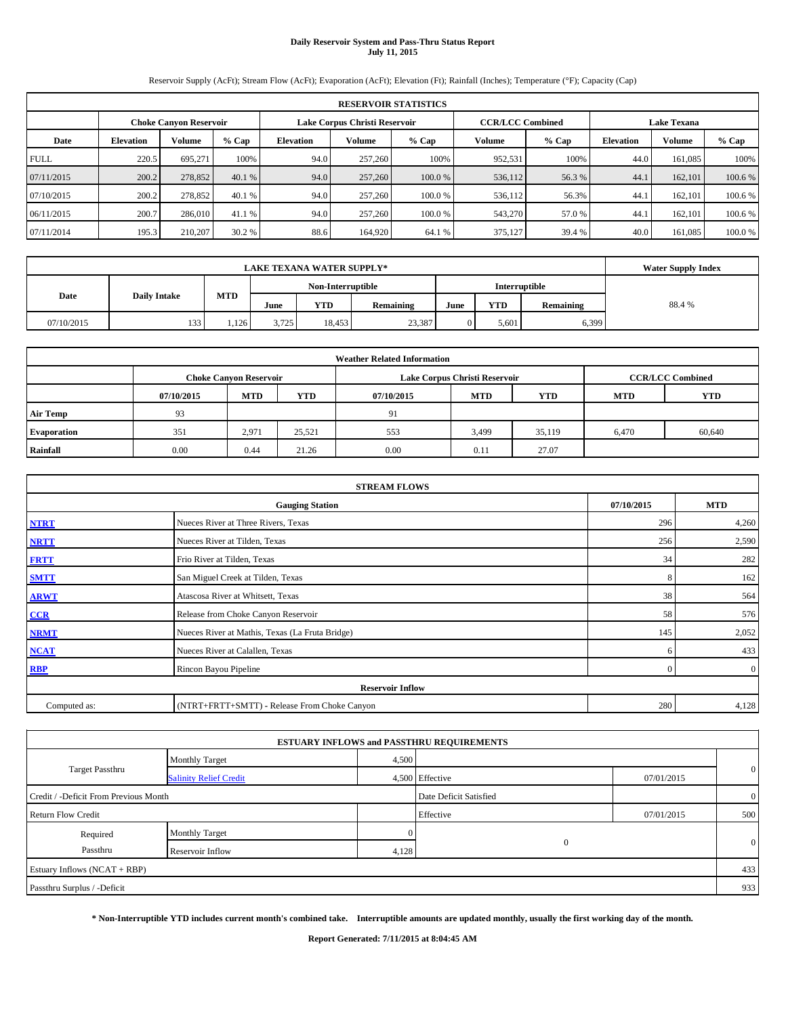# **Daily Reservoir System and Pass-Thru Status Report July 11, 2015**

Reservoir Supply (AcFt); Stream Flow (AcFt); Evaporation (AcFt); Elevation (Ft); Rainfall (Inches); Temperature (°F); Capacity (Cap)

|             | <b>RESERVOIR STATISTICS</b>   |               |         |                               |         |         |                         |         |                  |                    |         |  |
|-------------|-------------------------------|---------------|---------|-------------------------------|---------|---------|-------------------------|---------|------------------|--------------------|---------|--|
|             | <b>Choke Canvon Reservoir</b> |               |         | Lake Corpus Christi Reservoir |         |         | <b>CCR/LCC Combined</b> |         |                  | <b>Lake Texana</b> |         |  |
| Date        | <b>Elevation</b>              | <b>Volume</b> | $%$ Cap | <b>Elevation</b>              | Volume  | $%$ Cap | Volume                  | $%$ Cap | <b>Elevation</b> | Volume             | % Cap   |  |
| <b>FULL</b> | 220.5                         | 695.271       | 100%    | 94.0                          | 257,260 | 100%    | 952,531                 | 100%    | 44.0             | 161.085            | 100%    |  |
| 07/11/2015  | 200.2                         | 278,852       | 40.1 %  | 94.0                          | 257,260 | 100.0 % | 536,112                 | 56.3 %  | 44.              | 162,101            | 100.6 % |  |
| 07/10/2015  | 200.2                         | 278,852       | 40.1 %  | 94.0                          | 257,260 | 100.0 % | 536,112                 | 56.3%   | 44.              | 162.101            | 100.6 % |  |
| 06/11/2015  | 200.7                         | 286,010       | 41.1 %  | 94.0                          | 257,260 | 100.0%  | 543,270                 | 57.0 %  | 44.              | 162,101            | 100.6 % |  |
| 07/11/2014  | 195.3                         | 210,207       | 30.2 %  | 88.6                          | 164,920 | 64.1 %  | 375,127                 | 39.4 %  | 40.0             | 161.085            | 100.0 % |  |

| <b>LAKE TEXANA WATER SUPPLY*</b> |                     |            |       |                   |           |      |               |           | <b>Water Supply Index</b> |
|----------------------------------|---------------------|------------|-------|-------------------|-----------|------|---------------|-----------|---------------------------|
|                                  |                     |            |       | Non-Interruptible |           |      | Interruptible |           |                           |
| Date                             | <b>Daily Intake</b> | <b>MTD</b> | June  | YTD               | Remaining | June | <b>YTD</b>    | Remaining | 88.4%                     |
| 07/10/2015                       | 133                 | .126       | 3,725 | 18.4531           | 23,387    |      | 5.601         | 6,399     |                           |

|                    | <b>Weather Related Information</b> |                               |            |            |                               |                         |            |            |  |  |  |
|--------------------|------------------------------------|-------------------------------|------------|------------|-------------------------------|-------------------------|------------|------------|--|--|--|
|                    |                                    | <b>Choke Canyon Reservoir</b> |            |            | Lake Corpus Christi Reservoir | <b>CCR/LCC Combined</b> |            |            |  |  |  |
|                    | 07/10/2015                         | <b>MTD</b>                    | <b>YTD</b> | 07/10/2015 | <b>MTD</b>                    | <b>YTD</b>              | <b>MTD</b> | <b>YTD</b> |  |  |  |
| <b>Air Temp</b>    | 93                                 |                               |            | 91         |                               |                         |            |            |  |  |  |
| <b>Evaporation</b> | 351                                | 2,971                         | 25,521     | 553        | 3,499                         | 35,119                  | 6,470      | 60,640     |  |  |  |
| Rainfall           | 0.00                               | 0.44                          | 21.26      | 0.00       | 0.11                          | 27.07                   |            |            |  |  |  |

|              | <b>STREAM FLOWS</b>                             |            |                |
|--------------|-------------------------------------------------|------------|----------------|
|              | <b>Gauging Station</b>                          | 07/10/2015 | <b>MTD</b>     |
| <b>NTRT</b>  | Nueces River at Three Rivers, Texas             | 296        | 4,260          |
| <b>NRTT</b>  | Nueces River at Tilden, Texas                   | 256        | 2,590          |
| <b>FRTT</b>  | Frio River at Tilden, Texas                     | 34         | 282            |
| <b>SMTT</b>  | San Miguel Creek at Tilden, Texas               | 8          | 162            |
| <b>ARWT</b>  | Atascosa River at Whitsett, Texas               | 38         | 564            |
| CCR          | Release from Choke Canyon Reservoir             | 58         | 576            |
| <b>NRMT</b>  | Nueces River at Mathis, Texas (La Fruta Bridge) | 145        | 2,052          |
| <b>NCAT</b>  | Nueces River at Calallen, Texas                 | 6          | 433            |
| <b>RBP</b>   | Rincon Bayou Pipeline                           | $\Omega$   | $\overline{0}$ |
|              | <b>Reservoir Inflow</b>                         |            |                |
| Computed as: | (NTRT+FRTT+SMTT) - Release From Choke Canyon    | 280        | 4,128          |

|                                       |                               |                        | <b>ESTUARY INFLOWS and PASSTHRU REQUIREMENTS</b> |                |              |
|---------------------------------------|-------------------------------|------------------------|--------------------------------------------------|----------------|--------------|
|                                       | <b>Monthly Target</b>         | 4,500                  |                                                  |                |              |
| <b>Target Passthru</b>                | <b>Salinity Relief Credit</b> |                        | 4,500 Effective                                  | 07/01/2015     | $\mathbf{0}$ |
| Credit / -Deficit From Previous Month |                               | Date Deficit Satisfied |                                                  | $\overline{0}$ |              |
| <b>Return Flow Credit</b>             |                               |                        | Effective                                        | 07/01/2015     | 500          |
| Required                              | <b>Monthly Target</b>         |                        |                                                  |                |              |
| Passthru                              | Reservoir Inflow              | 4,128                  | $\Omega$                                         |                | $\mathbf{0}$ |
| Estuary Inflows (NCAT + RBP)          |                               |                        |                                                  |                | 433          |
| Passthru Surplus / -Deficit           |                               |                        |                                                  |                | 933          |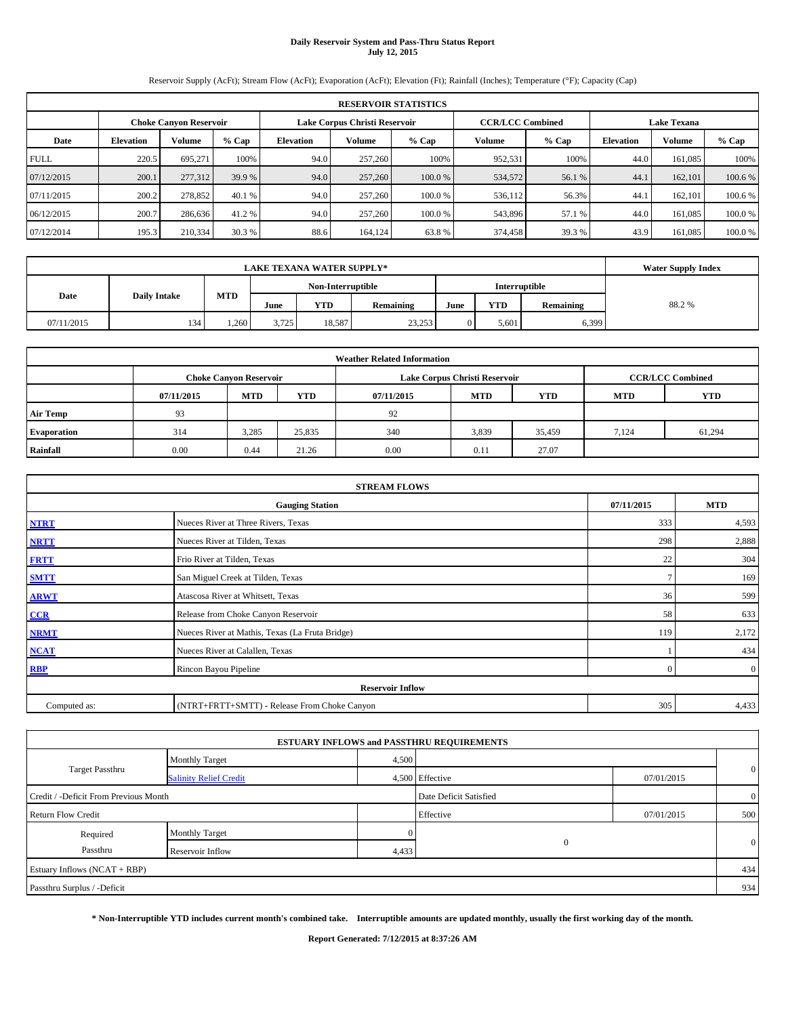# **Daily Reservoir System and Pass-Thru Status Report July 12, 2015**

Reservoir Supply (AcFt); Stream Flow (AcFt); Evaporation (AcFt); Elevation (Ft); Rainfall (Inches); Temperature (°F); Capacity (Cap)

|             | <b>RESERVOIR STATISTICS</b>   |         |         |                  |                               |         |         |                         |                    |         |         |  |
|-------------|-------------------------------|---------|---------|------------------|-------------------------------|---------|---------|-------------------------|--------------------|---------|---------|--|
|             | <b>Choke Canyon Reservoir</b> |         |         |                  | Lake Corpus Christi Reservoir |         |         | <b>CCR/LCC Combined</b> | <b>Lake Texana</b> |         |         |  |
| Date        | <b>Elevation</b>              | Volume  | $%$ Cap | <b>Elevation</b> | Volume                        | $%$ Cap | Volume  | $%$ Cap                 | <b>Elevation</b>   | Volume  | % Cap   |  |
| <b>FULL</b> | 220.5                         | 695.271 | 100%    | 94.0             | 257,260                       | 100%    | 952,531 | 100%                    | 44.0               | 161.085 | 100%    |  |
| 07/12/2015  | 200.1                         | 277,312 | 39.9 %  | 94.0             | 257,260                       | 100.0%  | 534,572 | 56.1 %                  | 44.                | 162,101 | 100.6 % |  |
| 07/11/2015  | 200.2                         | 278,852 | 40.1 %  | 94.0             | 257,260                       | 100.0 % | 536,112 | 56.3%                   | 44.                | 162.101 | 100.6 % |  |
| 06/12/2015  | 200.7                         | 286,636 | 41.2 %  | 94.0             | 257,260                       | 100.0%  | 543,896 | 57.1 %                  | 44.0               | 161.085 | 100.0 % |  |
| 07/12/2014  | 195.3                         | 210,334 | 30.3 %  | 88.6             | 164,124                       | 63.8%   | 374,458 | 39.3 %                  | 43.9               | 161.085 | 100.0 % |  |

|            | <b>Water Supply Index</b> |            |       |                   |           |      |               |           |       |
|------------|---------------------------|------------|-------|-------------------|-----------|------|---------------|-----------|-------|
|            |                           |            |       | Non-Interruptible |           |      | Interruptible |           |       |
| Date       | <b>Daily Intake</b>       | <b>MTD</b> | June  | YTD               | Remaining | June | <b>YTD</b>    | Remaining | 88.2% |
| 07/11/2015 | 134                       | 1.260      | 3.725 | 18,587            | 23,253    |      | 5.601         | 6,399     |       |

|                    | <b>Weather Related Information</b> |                               |        |            |                               |                         |            |            |  |  |  |
|--------------------|------------------------------------|-------------------------------|--------|------------|-------------------------------|-------------------------|------------|------------|--|--|--|
|                    |                                    | <b>Choke Canyon Reservoir</b> |        |            | Lake Corpus Christi Reservoir | <b>CCR/LCC Combined</b> |            |            |  |  |  |
|                    | 07/11/2015                         | <b>MTD</b>                    | YTD    | 07/11/2015 | <b>MTD</b>                    | <b>YTD</b>              | <b>MTD</b> | <b>YTD</b> |  |  |  |
| <b>Air Temp</b>    | 93                                 |                               |        | 92         |                               |                         |            |            |  |  |  |
| <b>Evaporation</b> | 314                                | 3,285                         | 25,835 | 340        | 3,839                         | 35,459                  | 7,124      | 61,294     |  |  |  |
| Rainfall           | 0.00                               | 0.44                          | 21.26  | 0.00       | 0.11                          | 27.07                   |            |            |  |  |  |

|              | <b>STREAM FLOWS</b>                             |            |                |
|--------------|-------------------------------------------------|------------|----------------|
|              | <b>Gauging Station</b>                          | 07/11/2015 | <b>MTD</b>     |
| <b>NTRT</b>  | Nueces River at Three Rivers, Texas             | 333        | 4,593          |
| <b>NRTT</b>  | Nueces River at Tilden, Texas                   | 298        | 2,888          |
| <b>FRTT</b>  | Frio River at Tilden, Texas                     | 22         | 304            |
| <b>SMTT</b>  | San Miguel Creek at Tilden, Texas               |            | 169            |
| <b>ARWT</b>  | Atascosa River at Whitsett, Texas               | 36         | 599            |
| CCR          | Release from Choke Canyon Reservoir             | 58         | 633            |
| <b>NRMT</b>  | Nueces River at Mathis, Texas (La Fruta Bridge) | 119        | 2,172          |
| <b>NCAT</b>  | Nueces River at Calallen, Texas                 |            | 434            |
| <b>RBP</b>   | Rincon Bayou Pipeline                           | $\Omega$   | $\overline{0}$ |
|              | <b>Reservoir Inflow</b>                         |            |                |
| Computed as: | (NTRT+FRTT+SMTT) - Release From Choke Canyon    | 305        | 4,433          |

|                                       |                               |       | <b>ESTUARY INFLOWS and PASSTHRU REQUIREMENTS</b> |            |                |
|---------------------------------------|-------------------------------|-------|--------------------------------------------------|------------|----------------|
|                                       | <b>Monthly Target</b>         | 4,500 |                                                  |            |                |
| <b>Target Passthru</b>                | <b>Salinity Relief Credit</b> |       | 4,500 Effective                                  | 07/01/2015 | $\overline{0}$ |
| Credit / -Deficit From Previous Month |                               |       | Date Deficit Satisfied                           |            | $\overline{0}$ |
| <b>Return Flow Credit</b>             |                               |       | Effective                                        | 07/01/2015 | 500            |
| Required                              | <b>Monthly Target</b>         |       |                                                  |            |                |
| Passthru                              | Reservoir Inflow              | 4,433 | $\Omega$                                         |            | $\mathbf{0}$   |
| Estuary Inflows (NCAT + RBP)          |                               |       |                                                  |            | 434            |
| Passthru Surplus / -Deficit           |                               |       |                                                  |            | 934            |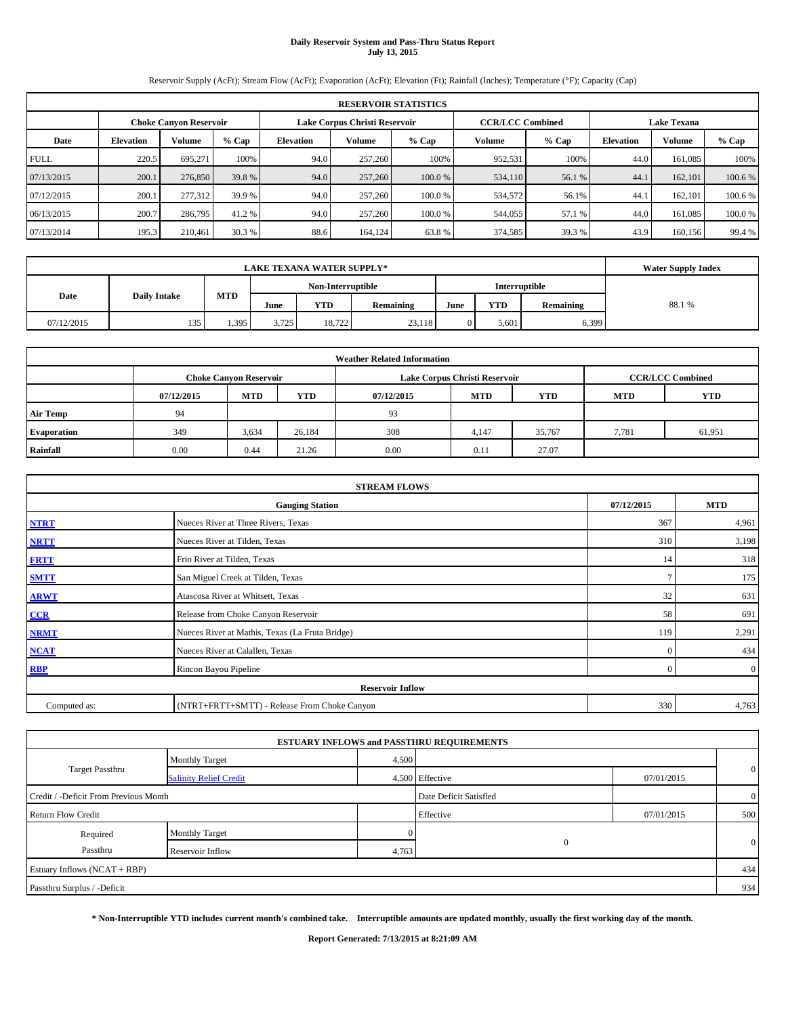# **Daily Reservoir System and Pass-Thru Status Report July 13, 2015**

Reservoir Supply (AcFt); Stream Flow (AcFt); Evaporation (AcFt); Elevation (Ft); Rainfall (Inches); Temperature (°F); Capacity (Cap)

|             | <b>RESERVOIR STATISTICS</b>                                                                                     |               |         |                  |                                                            |         |         |        |      |         |         |  |
|-------------|-----------------------------------------------------------------------------------------------------------------|---------------|---------|------------------|------------------------------------------------------------|---------|---------|--------|------|---------|---------|--|
|             | Lake Corpus Christi Reservoir<br><b>CCR/LCC Combined</b><br><b>Lake Texana</b><br><b>Choke Canvon Reservoir</b> |               |         |                  |                                                            |         |         |        |      |         |         |  |
| Date        | <b>Elevation</b>                                                                                                | <b>Volume</b> | $%$ Cap | <b>Elevation</b> | Volume<br>$%$ Cap<br>$%$ Cap<br>Volume<br><b>Elevation</b> |         |         |        |      |         | % Cap   |  |
| <b>FULL</b> | 220.5                                                                                                           | 695.271       | 100%    | 94.0             | 257,260                                                    | 100%    | 952,531 | 100%   | 44.0 | 161.085 | 100%    |  |
| 07/13/2015  | 200.1                                                                                                           | 276,850       | 39.8 %  | 94.0             | 257,260                                                    | 100.0 % | 534,110 | 56.1 % | 44.  | 162,101 | 100.6 % |  |
| 07/12/2015  | 200.1                                                                                                           | 277,312       | 39.9 %  | 94.0             | 257,260                                                    | 100.0 % | 534,572 | 56.1%  | 44.  | 162.101 | 100.6 % |  |
| 06/13/2015  | 200.7                                                                                                           | 286,795       | 41.2 %  | 94.0             | 257,260                                                    | 100.0%  | 544,055 | 57.1 % | 44.0 | 161.085 | 100.0 % |  |
| 07/13/2014  | 195.3                                                                                                           | 210,461       | 30.3 %  | 88.6             | 164,124                                                    | 63.8%   | 374,585 | 39.3 % | 43.9 | 160.156 | 99.4 %  |  |

|                             | <b>LAKE TEXANA WATER SUPPLY*</b> |                   |       |        |           |               |            |           |       |  |  |
|-----------------------------|----------------------------------|-------------------|-------|--------|-----------|---------------|------------|-----------|-------|--|--|
|                             |                                  | Non-Interruptible |       |        |           | Interruptible |            |           |       |  |  |
| Date<br><b>Daily Intake</b> |                                  | <b>MTD</b>        | June  | YTD    | Remaining | June          | <b>YTD</b> | Remaining | 88.1% |  |  |
| 07/12/2015                  | 135                              | 1.395             | 3,725 | 18.722 | 23.118    |               | 5.601      | 6,399     |       |  |  |

| <b>Weather Related Information</b> |            |                               |        |            |                               |                         |       |        |  |  |  |
|------------------------------------|------------|-------------------------------|--------|------------|-------------------------------|-------------------------|-------|--------|--|--|--|
|                                    |            | <b>Choke Canyon Reservoir</b> |        |            | Lake Corpus Christi Reservoir | <b>CCR/LCC Combined</b> |       |        |  |  |  |
|                                    | 07/12/2015 | <b>MTD</b>                    | YTD    | 07/12/2015 | <b>YTD</b>                    |                         |       |        |  |  |  |
| <b>Air Temp</b>                    | 94         |                               |        | 93         |                               |                         |       |        |  |  |  |
| <b>Evaporation</b>                 | 349        | 3,634                         | 26,184 | 308        | 4,147                         | 35,767                  | 7,781 | 61,951 |  |  |  |
| Rainfall                           | 0.00       | 0.44                          | 21.26  | 0.00       | 0.11                          | 27.07                   |       |        |  |  |  |

| <b>STREAM FLOWS</b> |                                                    |                |                |  |  |  |  |  |  |
|---------------------|----------------------------------------------------|----------------|----------------|--|--|--|--|--|--|
|                     | 07/12/2015<br><b>MTD</b><br><b>Gauging Station</b> |                |                |  |  |  |  |  |  |
| <b>NTRT</b>         | Nueces River at Three Rivers, Texas                | 367            | 4,961          |  |  |  |  |  |  |
| <b>NRTT</b>         | Nueces River at Tilden, Texas                      | 310            | 3,198          |  |  |  |  |  |  |
| <b>FRTT</b>         | Frio River at Tilden, Texas                        | 14             | 318            |  |  |  |  |  |  |
| <b>SMTT</b>         | San Miguel Creek at Tilden, Texas                  | $\overline{ }$ | 175            |  |  |  |  |  |  |
| <b>ARWT</b>         | Atascosa River at Whitsett, Texas                  | 32             | 631            |  |  |  |  |  |  |
| CCR                 | Release from Choke Canyon Reservoir                | 58             | 691            |  |  |  |  |  |  |
| <b>NRMT</b>         | Nueces River at Mathis, Texas (La Fruta Bridge)    | 119            | 2,291          |  |  |  |  |  |  |
| <b>NCAT</b>         | Nueces River at Calallen, Texas                    | $\mathbf{0}$   | 434            |  |  |  |  |  |  |
| <b>RBP</b>          | Rincon Bayou Pipeline                              | $\overline{0}$ | $\overline{0}$ |  |  |  |  |  |  |
|                     | <b>Reservoir Inflow</b>                            |                |                |  |  |  |  |  |  |
| Computed as:        | (NTRT+FRTT+SMTT) - Release From Choke Canyon       |                |                |  |  |  |  |  |  |

|                                       |                               |       | <b>ESTUARY INFLOWS and PASSTHRU REQUIREMENTS</b> |            |                |  |  |  |
|---------------------------------------|-------------------------------|-------|--------------------------------------------------|------------|----------------|--|--|--|
|                                       | <b>Monthly Target</b>         | 4,500 |                                                  |            |                |  |  |  |
| <b>Target Passthru</b>                | <b>Salinity Relief Credit</b> |       | 4,500 Effective                                  | 07/01/2015 | $\overline{0}$ |  |  |  |
| Credit / -Deficit From Previous Month |                               |       | Date Deficit Satisfied                           |            | $\overline{0}$ |  |  |  |
| <b>Return Flow Credit</b>             |                               |       | Effective                                        | 07/01/2015 | 500            |  |  |  |
| Required                              | <b>Monthly Target</b>         |       |                                                  |            |                |  |  |  |
| Passthru                              | Reservoir Inflow              | 4,763 | $\Omega$                                         |            | $\mathbf{0}$   |  |  |  |
| Estuary Inflows (NCAT + RBP)          |                               |       |                                                  |            | 434            |  |  |  |
| Passthru Surplus / -Deficit           |                               |       |                                                  |            | 934            |  |  |  |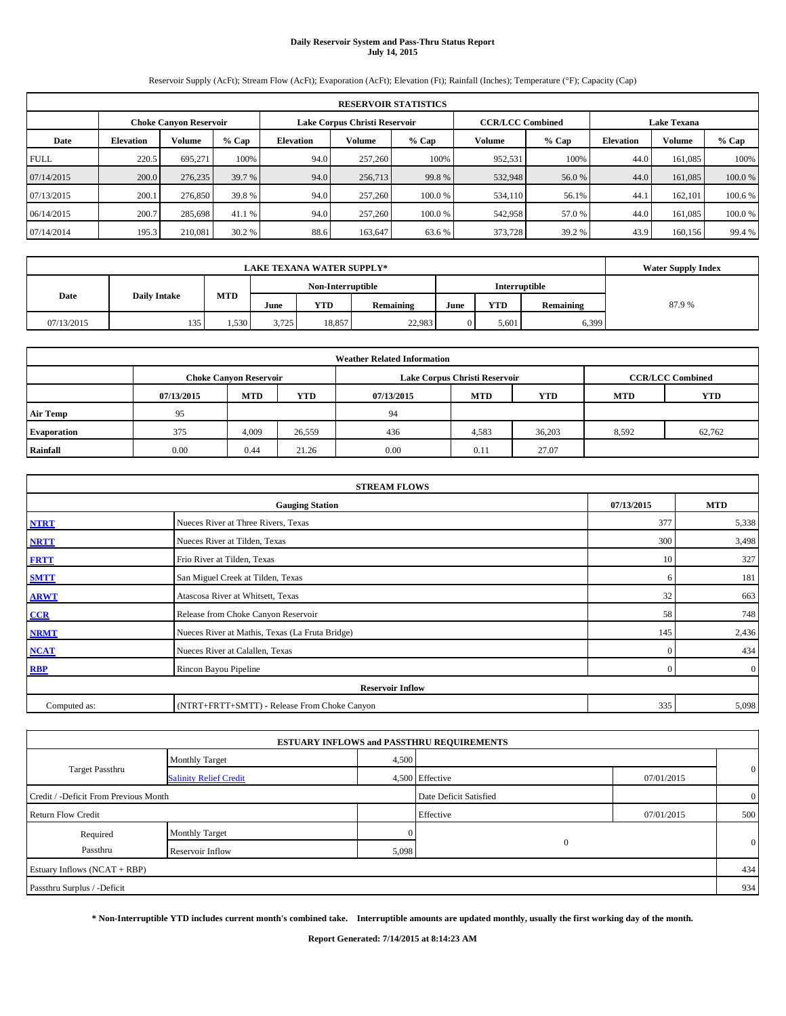# **Daily Reservoir System and Pass-Thru Status Report July 14, 2015**

Reservoir Supply (AcFt); Stream Flow (AcFt); Evaporation (AcFt); Elevation (Ft); Rainfall (Inches); Temperature (°F); Capacity (Cap)

|             | <b>RESERVOIR STATISTICS</b>                                                                                     |         |         |                  |                                                            |         |         |        |      |         |         |  |  |  |
|-------------|-----------------------------------------------------------------------------------------------------------------|---------|---------|------------------|------------------------------------------------------------|---------|---------|--------|------|---------|---------|--|--|--|
|             | Lake Corpus Christi Reservoir<br><b>CCR/LCC Combined</b><br><b>Lake Texana</b><br><b>Choke Canyon Reservoir</b> |         |         |                  |                                                            |         |         |        |      |         |         |  |  |  |
| Date        | <b>Elevation</b>                                                                                                | Volume  | $%$ Cap | <b>Elevation</b> | Volume<br>$%$ Cap<br>Volume<br>$%$ Cap<br><b>Elevation</b> |         |         |        |      |         | % Cap   |  |  |  |
| <b>FULL</b> | 220.5                                                                                                           | 695,271 | 100%    | 94.0             | 257,260                                                    | 100%    | 952,531 | 100%   | 44.0 | 161,085 | 100%    |  |  |  |
| 07/14/2015  | 200.0                                                                                                           | 276,235 | 39.7 %  | 94.0             | 256,713                                                    | 99.8%   | 532,948 | 56.0%  | 44.0 | 161,085 | 100.0%  |  |  |  |
| 07/13/2015  | 200.1                                                                                                           | 276,850 | 39.8%   | 94.0             | 257,260                                                    | 100.0 % | 534,110 | 56.1%  | 44.1 | 162,101 | 100.6 % |  |  |  |
| 06/14/2015  | 200.7                                                                                                           | 285,698 | 41.1 %  | 94.0             | 257,260                                                    | 100.0%  | 542,958 | 57.0 % | 44.0 | 161,085 | 100.0%  |  |  |  |
| 07/14/2014  | 195.3                                                                                                           | 210,081 | 30.2 %  | 88.6             | 163,647                                                    | 63.6 %  | 373,728 | 39.2 % | 43.9 | 160,156 | 99.4 %  |  |  |  |

|                             | <b>Water Supply Index</b> |                                    |       |        |           |      |            |           |       |
|-----------------------------|---------------------------|------------------------------------|-------|--------|-----------|------|------------|-----------|-------|
|                             |                           | Non-Interruptible<br>Interruptible |       |        |           |      |            |           |       |
| <b>Daily Intake</b><br>Date |                           | <b>MTD</b>                         | June  | YTD    | Remaining | June | <b>YTD</b> | Remaining | 87.9% |
| 07/13/2015                  | 135                       | 1.530                              | 3.725 | 18,857 | 22.983    |      | 5.601      | 6,399     |       |

| <b>Weather Related Information</b> |            |                               |        |            |                               |                         |       |        |  |  |  |
|------------------------------------|------------|-------------------------------|--------|------------|-------------------------------|-------------------------|-------|--------|--|--|--|
|                                    |            | <b>Choke Canyon Reservoir</b> |        |            | Lake Corpus Christi Reservoir | <b>CCR/LCC Combined</b> |       |        |  |  |  |
|                                    | 07/13/2015 | <b>MTD</b>                    | YTD    | 07/13/2015 | <b>YTD</b>                    |                         |       |        |  |  |  |
| <b>Air Temp</b>                    | 95         |                               |        | 94         |                               |                         |       |        |  |  |  |
| <b>Evaporation</b>                 | 375        | 4,009                         | 26,559 | 436        | 4,583                         | 36,203                  | 8,592 | 62,762 |  |  |  |
| Rainfall                           | 0.00       | 0.44                          | 21.26  | 0.00       | 0.11                          | 27.07                   |       |        |  |  |  |

| <b>STREAM FLOWS</b> |                                                    |          |                |  |  |  |  |  |  |
|---------------------|----------------------------------------------------|----------|----------------|--|--|--|--|--|--|
|                     | 07/13/2015<br><b>MTD</b><br><b>Gauging Station</b> |          |                |  |  |  |  |  |  |
| <b>NTRT</b>         | Nueces River at Three Rivers, Texas                | 377      | 5,338          |  |  |  |  |  |  |
| <b>NRTT</b>         | Nueces River at Tilden, Texas                      | 300      | 3,498          |  |  |  |  |  |  |
| <b>FRTT</b>         | Frio River at Tilden, Texas                        | 10       | 327            |  |  |  |  |  |  |
| <b>SMTT</b>         | San Miguel Creek at Tilden, Texas                  | -6       | 181            |  |  |  |  |  |  |
| <b>ARWT</b>         | Atascosa River at Whitsett, Texas                  | 32       | 663            |  |  |  |  |  |  |
| CCR                 | Release from Choke Canyon Reservoir                | 58       | 748            |  |  |  |  |  |  |
| <b>NRMT</b>         | Nueces River at Mathis, Texas (La Fruta Bridge)    | 145      | 2,436          |  |  |  |  |  |  |
| <b>NCAT</b>         | Nueces River at Calallen, Texas                    | $\Omega$ | 434            |  |  |  |  |  |  |
| <b>RBP</b>          | Rincon Bayou Pipeline                              | $\Omega$ | $\overline{0}$ |  |  |  |  |  |  |
|                     | <b>Reservoir Inflow</b>                            |          |                |  |  |  |  |  |  |
| Computed as:        | (NTRT+FRTT+SMTT) - Release From Choke Canyon       |          |                |  |  |  |  |  |  |

|                                       |                               |       | <b>ESTUARY INFLOWS and PASSTHRU REQUIREMENTS</b> |            |              |
|---------------------------------------|-------------------------------|-------|--------------------------------------------------|------------|--------------|
|                                       | <b>Monthly Target</b>         | 4,500 |                                                  |            |              |
| <b>Target Passthru</b>                | <b>Salinity Relief Credit</b> |       | 4,500 Effective                                  | 07/01/2015 | $\mathbf{0}$ |
| Credit / -Deficit From Previous Month | Date Deficit Satisfied        |       | $\overline{0}$                                   |            |              |
| <b>Return Flow Credit</b>             |                               |       | Effective                                        | 07/01/2015 | 500          |
| Required                              | <b>Monthly Target</b>         |       |                                                  |            |              |
| Passthru                              | Reservoir Inflow              | 5,098 | $\Omega$                                         |            | $\mathbf{0}$ |
| Estuary Inflows (NCAT + RBP)          |                               |       |                                                  |            | 434          |
| Passthru Surplus / -Deficit           |                               |       |                                                  |            | 934          |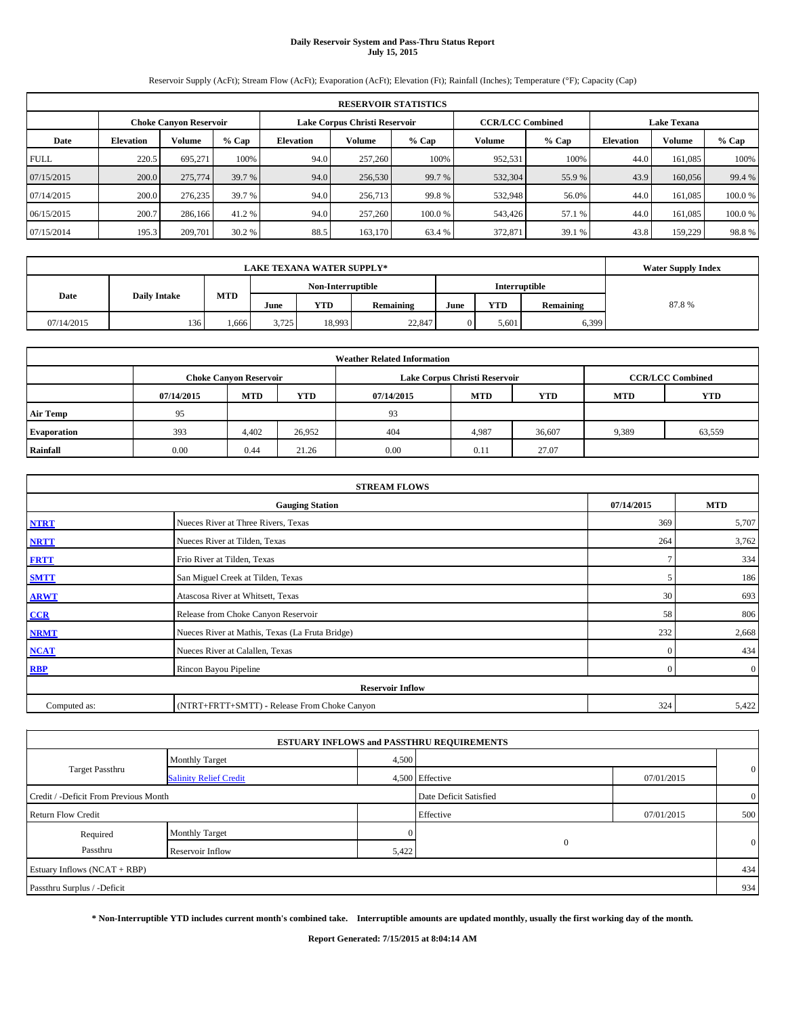# **Daily Reservoir System and Pass-Thru Status Report July 15, 2015**

Reservoir Supply (AcFt); Stream Flow (AcFt); Evaporation (AcFt); Elevation (Ft); Rainfall (Inches); Temperature (°F); Capacity (Cap)

|             | <b>RESERVOIR STATISTICS</b>                                                                                     |         |        |                  |                                                          |        |         |        |      |         |         |  |  |
|-------------|-----------------------------------------------------------------------------------------------------------------|---------|--------|------------------|----------------------------------------------------------|--------|---------|--------|------|---------|---------|--|--|
|             | <b>CCR/LCC Combined</b><br>Lake Corpus Christi Reservoir<br><b>Lake Texana</b><br><b>Choke Canyon Reservoir</b> |         |        |                  |                                                          |        |         |        |      |         |         |  |  |
| Date        | <b>Elevation</b>                                                                                                | Volume  | % Cap  | <b>Elevation</b> | % Cap<br>Volume<br>Volume<br>$%$ Cap<br><b>Elevation</b> |        |         |        |      |         | $%$ Cap |  |  |
| <b>FULL</b> | 220.5                                                                                                           | 695,271 | 100%   | 94.0             | 257,260                                                  | 100%   | 952,531 | 100%   | 44.0 | 161,085 | 100%    |  |  |
| 07/15/2015  | 200.0                                                                                                           | 275,774 | 39.7 % | 94.0             | 256,530                                                  | 99.7 % | 532,304 | 55.9%  | 43.9 | 160,056 | 99.4 %  |  |  |
| 07/14/2015  | 200.0                                                                                                           | 276,235 | 39.7 % | 94.0             | 256,713                                                  | 99.8%  | 532,948 | 56.0%  | 44.0 | 161,085 | 100.0%  |  |  |
| 06/15/2015  | 200.7                                                                                                           | 286,166 | 41.2 % | 94.0             | 257,260                                                  | 100.0% | 543,426 | 57.1 % | 44.0 | 161.085 | 100.0%  |  |  |
| 07/15/2014  | 195.3                                                                                                           | 209,701 | 30.2 % | 88.5             | 163,170                                                  | 63.4 % | 372,871 | 39.1 % | 43.8 | 159,229 | 98.8%   |  |  |

|                             | <b>Water Supply Index</b> |            |                   |        |           |               |       |           |       |
|-----------------------------|---------------------------|------------|-------------------|--------|-----------|---------------|-------|-----------|-------|
|                             |                           |            | Non-Interruptible |        |           | Interruptible |       |           |       |
| Date<br><b>Daily Intake</b> |                           | <b>MTD</b> | June              | YTD    | Remaining | June          | YTD   | Remaining | 87.8% |
| 07/14/2015                  | 136 <sup>1</sup>          | 666        | 3.725             | 18.993 | 22,847    |               | 5.601 | 6,399     |       |

| <b>Weather Related Information</b> |            |                               |        |            |                               |                         |            |        |  |  |
|------------------------------------|------------|-------------------------------|--------|------------|-------------------------------|-------------------------|------------|--------|--|--|
|                                    |            | <b>Choke Canyon Reservoir</b> |        |            | Lake Corpus Christi Reservoir | <b>CCR/LCC Combined</b> |            |        |  |  |
|                                    | 07/14/2015 | <b>MTD</b>                    | YTD    | 07/14/2015 | <b>MTD</b>                    | <b>MTD</b>              | <b>YTD</b> |        |  |  |
| <b>Air Temp</b>                    | 95         |                               |        | 93         |                               |                         |            |        |  |  |
| <b>Evaporation</b>                 | 393        | 4.402                         | 26,952 | 404        | 4,987                         | 36,607                  | 9,389      | 63,559 |  |  |
| Rainfall                           | 0.00       | 0.44                          | 21.26  | 0.00       | 0.11                          | 27.07                   |            |        |  |  |

| <b>STREAM FLOWS</b> |                                                 |              |                |  |  |  |  |  |  |
|---------------------|-------------------------------------------------|--------------|----------------|--|--|--|--|--|--|
|                     | <b>Gauging Station</b>                          |              |                |  |  |  |  |  |  |
| <b>NTRT</b>         | Nueces River at Three Rivers, Texas             | 369          | 5,707          |  |  |  |  |  |  |
| <b>NRTT</b>         | Nueces River at Tilden, Texas                   | 264          | 3,762          |  |  |  |  |  |  |
| <b>FRTT</b>         | Frio River at Tilden, Texas                     |              | 334            |  |  |  |  |  |  |
| <b>SMTT</b>         | San Miguel Creek at Tilden, Texas               |              | 186            |  |  |  |  |  |  |
| <b>ARWT</b>         | Atascosa River at Whitsett, Texas               | 30           | 693            |  |  |  |  |  |  |
| CCR                 | Release from Choke Canyon Reservoir             | 58           | 806            |  |  |  |  |  |  |
| <b>NRMT</b>         | Nueces River at Mathis, Texas (La Fruta Bridge) | 232          | 2,668          |  |  |  |  |  |  |
| <b>NCAT</b>         | Nueces River at Calallen, Texas                 | $\mathbf{0}$ | 434            |  |  |  |  |  |  |
| <b>RBP</b>          | Rincon Bayou Pipeline                           | $\Omega$     | $\overline{0}$ |  |  |  |  |  |  |
|                     | <b>Reservoir Inflow</b>                         |              |                |  |  |  |  |  |  |
| Computed as:        | (NTRT+FRTT+SMTT) - Release From Choke Canyon    | 324          | 5,422          |  |  |  |  |  |  |

|                                       |                               |                        | <b>ESTUARY INFLOWS and PASSTHRU REQUIREMENTS</b> |                |                |
|---------------------------------------|-------------------------------|------------------------|--------------------------------------------------|----------------|----------------|
|                                       | <b>Monthly Target</b>         | 4,500                  |                                                  |                |                |
| <b>Target Passthru</b>                | <b>Salinity Relief Credit</b> |                        | 4,500 Effective                                  | 07/01/2015     | $\overline{0}$ |
| Credit / -Deficit From Previous Month |                               | Date Deficit Satisfied |                                                  | $\overline{0}$ |                |
| <b>Return Flow Credit</b>             |                               |                        | Effective                                        | 07/01/2015     | 500            |
| Required                              | Monthly Target                |                        |                                                  |                |                |
| Passthru                              | Reservoir Inflow              | 5,422                  | $\Omega$                                         |                | $\mathbf{0}$   |
| Estuary Inflows (NCAT + RBP)          |                               |                        |                                                  |                | 434            |
| Passthru Surplus / -Deficit           |                               |                        |                                                  |                | 934            |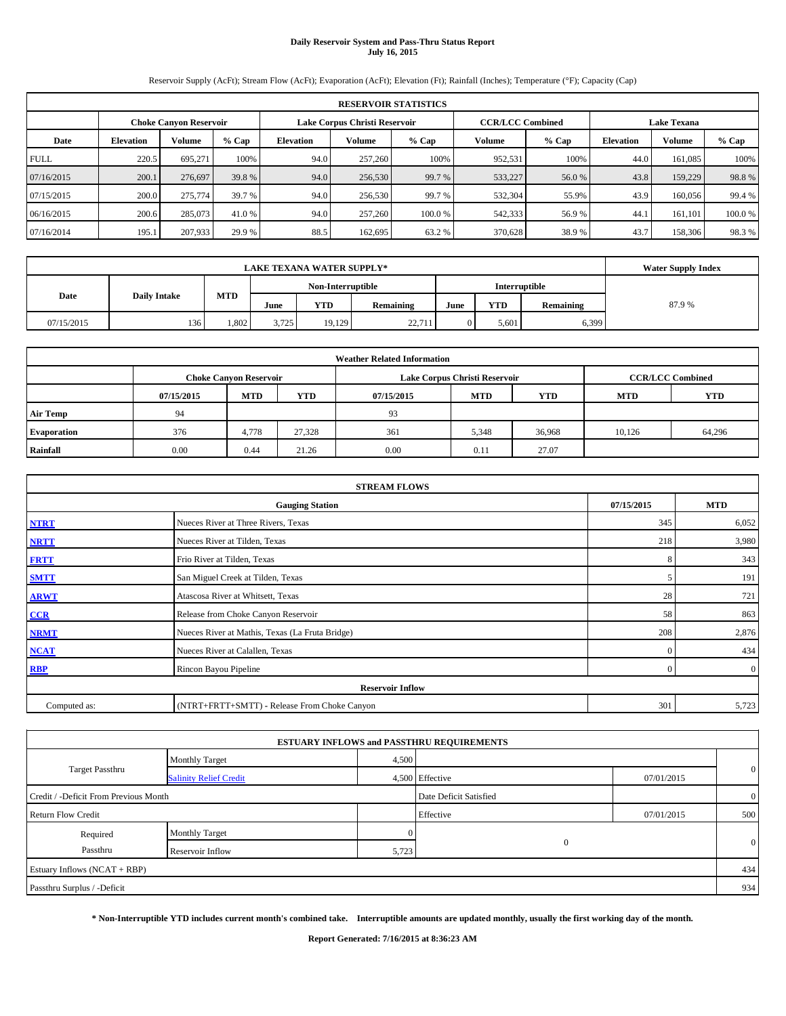# **Daily Reservoir System and Pass-Thru Status Report July 16, 2015**

Reservoir Supply (AcFt); Stream Flow (AcFt); Evaporation (AcFt); Elevation (Ft); Rainfall (Inches); Temperature (°F); Capacity (Cap)

|             | <b>RESERVOIR STATISTICS</b> |                               |        |                  |                               |        |                         |         |                  |                    |        |  |
|-------------|-----------------------------|-------------------------------|--------|------------------|-------------------------------|--------|-------------------------|---------|------------------|--------------------|--------|--|
|             |                             | <b>Choke Canyon Reservoir</b> |        |                  | Lake Corpus Christi Reservoir |        | <b>CCR/LCC Combined</b> |         |                  | <b>Lake Texana</b> |        |  |
| Date        | <b>Elevation</b>            | Volume                        | % Cap  | <b>Elevation</b> | Volume                        | % Cap  | Volume                  | $%$ Cap | <b>Elevation</b> | <b>Volume</b>      | % Cap  |  |
| <b>FULL</b> | 220.5                       | 695,271                       | 100%   | 94.0             | 257,260                       | 100%   | 952,531                 | 100%    | 44.0             | 161,085            | 100%   |  |
| 07/16/2015  | 200.1                       | 276,697                       | 39.8 % | 94.0             | 256,530                       | 99.7 % | 533,227                 | 56.0%   | 43.8             | 159,229            | 98.8%  |  |
| 07/15/2015  | 200.0                       | 275,774                       | 39.7 % | 94.0             | 256,530                       | 99.7 % | 532,304                 | 55.9%   | 43.9             | 160,056            | 99.4 % |  |
| 06/16/2015  | 200.6                       | 285,073                       | 41.0 % | 94.0             | 257,260                       | 100.0% | 542,333                 | 56.9%   | 44.1             | 161.101            | 100.0% |  |
| 07/16/2014  | 195.1                       | 207,933                       | 29.9 % | 88.5             | 162,695                       | 63.2 % | 370,628                 | 38.9%   | 43.7             | 158,306            | 98.3%  |  |

|            | <b>Water Supply Index</b> |            |       |                   |           |      |               |           |       |
|------------|---------------------------|------------|-------|-------------------|-----------|------|---------------|-----------|-------|
|            |                           |            |       | Non-Interruptible |           |      | Interruptible |           |       |
| Date       | <b>Daily Intake</b>       | <b>MTD</b> | June  | YTD               | Remaining | June | <b>YTD</b>    | Remaining | 87.9% |
| 07/15/2015 | 136                       | 1.802      | 3.725 | 19.129            | 22,711    |      | 5.601         | 6,399     |       |

| <b>Weather Related Information</b> |            |                               |        |            |                               |                         |            |            |  |  |
|------------------------------------|------------|-------------------------------|--------|------------|-------------------------------|-------------------------|------------|------------|--|--|
|                                    |            | <b>Choke Canyon Reservoir</b> |        |            | Lake Corpus Christi Reservoir | <b>CCR/LCC Combined</b> |            |            |  |  |
|                                    | 07/15/2015 | <b>MTD</b>                    | YTD    | 07/15/2015 | <b>MTD</b>                    | <b>YTD</b>              | <b>MTD</b> | <b>YTD</b> |  |  |
| <b>Air Temp</b>                    | 94         |                               |        | 93         |                               |                         |            |            |  |  |
| <b>Evaporation</b>                 | 376        | 4,778                         | 27,328 | 361        | 5,348                         | 36,968                  | 10.126     | 64,296     |  |  |
| Rainfall                           | 0.00       | 0.44                          | 21.26  | 0.00       | 0.11                          | 27.07                   |            |            |  |  |

| <b>STREAM FLOWS</b> |                                                 |            |                |  |  |  |  |  |  |
|---------------------|-------------------------------------------------|------------|----------------|--|--|--|--|--|--|
|                     | 07/15/2015                                      | <b>MTD</b> |                |  |  |  |  |  |  |
| <b>NTRT</b>         | Nueces River at Three Rivers, Texas             |            |                |  |  |  |  |  |  |
| <b>NRTT</b>         | Nueces River at Tilden, Texas                   | 218        | 3,980          |  |  |  |  |  |  |
| <b>FRTT</b>         | Frio River at Tilden, Texas                     | 8          | 343            |  |  |  |  |  |  |
| <b>SMTT</b>         | San Miguel Creek at Tilden, Texas               |            | 191            |  |  |  |  |  |  |
| <b>ARWT</b>         | Atascosa River at Whitsett, Texas               | 28         | 721            |  |  |  |  |  |  |
| CCR                 | Release from Choke Canyon Reservoir             | 58         | 863            |  |  |  |  |  |  |
| <b>NRMT</b>         | Nueces River at Mathis, Texas (La Fruta Bridge) | 208        | 2,876          |  |  |  |  |  |  |
| <b>NCAT</b>         | Nueces River at Calallen, Texas                 | $\Omega$   | 434            |  |  |  |  |  |  |
| <b>RBP</b>          | Rincon Bayou Pipeline                           | $\Omega$   | $\overline{0}$ |  |  |  |  |  |  |
|                     | <b>Reservoir Inflow</b>                         |            |                |  |  |  |  |  |  |
| Computed as:        | (NTRT+FRTT+SMTT) - Release From Choke Canyon    | 301        | 5,723          |  |  |  |  |  |  |

|                                       |                               |       | <b>ESTUARY INFLOWS and PASSTHRU REQUIREMENTS</b> |            |                |
|---------------------------------------|-------------------------------|-------|--------------------------------------------------|------------|----------------|
|                                       | <b>Monthly Target</b>         | 4,500 |                                                  |            |                |
| <b>Target Passthru</b>                | <b>Salinity Relief Credit</b> |       | 4,500 Effective                                  | 07/01/2015 | $\overline{0}$ |
| Credit / -Deficit From Previous Month |                               |       | Date Deficit Satisfied                           |            | $\overline{0}$ |
| <b>Return Flow Credit</b>             |                               |       | Effective                                        | 07/01/2015 | 500            |
| Required                              | Monthly Target                |       |                                                  |            |                |
| Passthru                              | Reservoir Inflow              | 5,723 | $\Omega$                                         |            | $\mathbf{0}$   |
| Estuary Inflows (NCAT + RBP)          |                               |       |                                                  |            | 434            |
| Passthru Surplus / -Deficit           |                               |       |                                                  |            | 934            |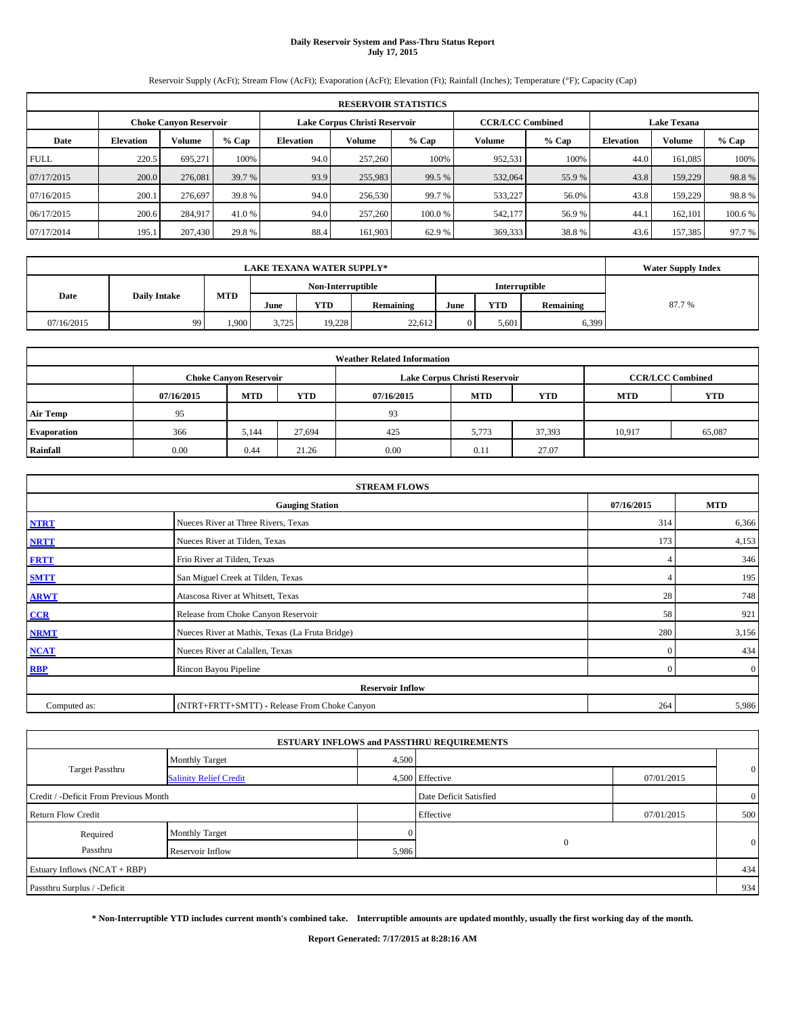# **Daily Reservoir System and Pass-Thru Status Report July 17, 2015**

Reservoir Supply (AcFt); Stream Flow (AcFt); Evaporation (AcFt); Elevation (Ft); Rainfall (Inches); Temperature (°F); Capacity (Cap)

|            | <b>RESERVOIR STATISTICS</b>                                    |         |        |                  |         |         |         |                                               |                  |         |         |
|------------|----------------------------------------------------------------|---------|--------|------------------|---------|---------|---------|-----------------------------------------------|------------------|---------|---------|
|            | Lake Corpus Christi Reservoir<br><b>Choke Canvon Reservoir</b> |         |        |                  |         |         |         | <b>CCR/LCC Combined</b><br><b>Lake Texana</b> |                  |         |         |
| Date       | <b>Elevation</b>                                               | Volume  | % Cap  | <b>Elevation</b> | Volume  | % Cap   | Volume  | $%$ Cap                                       | <b>Elevation</b> | Volume  | % Cap   |
| FULL       | 220.5                                                          | 695,271 | 100%   | 94.0             | 257,260 | 100%    | 952,531 | 100%                                          | 44.0             | 161,085 | 100%    |
| 07/17/2015 | 200.0                                                          | 276,081 | 39.7 % | 93.9             | 255,983 | 99.5 %  | 532,064 | 55.9%                                         | 43.8             | 159,229 | 98.8%   |
| 07/16/2015 | 200.1                                                          | 276,697 | 39.8 % | 94.0             | 256,530 | 99.7 %  | 533,227 | 56.0%                                         | 43.8             | 159,229 | 98.8%   |
| 06/17/2015 | 200.6                                                          | 284,917 | 41.0 % | 94.0             | 257,260 | 100.0 % | 542,177 | 56.9%                                         | 44.1             | 162,101 | 100.6 % |
| 07/17/2014 | 195.1                                                          | 207,430 | 29.8 % | 88.4             | 161,903 | 62.9%   | 369,333 | 38.8%                                         | 43.6             | 157,385 | 97.7 %  |

|            | <b>Water Supply Index</b> |            |       |                   |           |      |               |           |       |
|------------|---------------------------|------------|-------|-------------------|-----------|------|---------------|-----------|-------|
|            |                           |            |       | Non-Interruptible |           |      | Interruptible |           |       |
| Date       | <b>Daily Intake</b>       | <b>MTD</b> | June  | YTD               | Remaining | June | <b>YTD</b>    | Remaining | 87.7% |
| 07/16/2015 | 99                        | .900       | 3,725 | 19.228            | 22.612    |      | 5.601         | 6,399     |       |

| <b>Weather Related Information</b> |            |                               |            |            |                               |                         |            |            |  |  |
|------------------------------------|------------|-------------------------------|------------|------------|-------------------------------|-------------------------|------------|------------|--|--|
|                                    |            | <b>Choke Canyon Reservoir</b> |            |            | Lake Corpus Christi Reservoir | <b>CCR/LCC Combined</b> |            |            |  |  |
|                                    | 07/16/2015 | <b>MTD</b>                    | <b>YTD</b> | 07/16/2015 | <b>MTD</b>                    | <b>YTD</b>              | <b>MTD</b> | <b>YTD</b> |  |  |
| <b>Air Temp</b>                    | 95         |                               |            | 93         |                               |                         |            |            |  |  |
| <b>Evaporation</b>                 | 366        | 5,144                         | 27,694     | 425        | 5,773                         | 37,393                  | 10,917     | 65,087     |  |  |
| Rainfall                           | 0.00       | 0.44                          | 21.26      | 0.00       | 0.11                          | 27.07                   |            |            |  |  |

| <b>STREAM FLOWS</b> |                                                 |                |                |  |  |  |  |  |  |
|---------------------|-------------------------------------------------|----------------|----------------|--|--|--|--|--|--|
|                     | 07/16/2015                                      | <b>MTD</b>     |                |  |  |  |  |  |  |
| <b>NTRT</b>         | Nueces River at Three Rivers, Texas             |                |                |  |  |  |  |  |  |
| <b>NRTT</b>         | Nueces River at Tilden, Texas                   | 173            | 4,153          |  |  |  |  |  |  |
| <b>FRTT</b>         | Frio River at Tilden, Texas                     |                | 346            |  |  |  |  |  |  |
| <b>SMTT</b>         | San Miguel Creek at Tilden, Texas               |                | 195            |  |  |  |  |  |  |
| <b>ARWT</b>         | Atascosa River at Whitsett, Texas               | 28             | 748            |  |  |  |  |  |  |
| CCR                 | Release from Choke Canyon Reservoir             | 58             | 921            |  |  |  |  |  |  |
| <b>NRMT</b>         | Nueces River at Mathis, Texas (La Fruta Bridge) | 280            | 3,156          |  |  |  |  |  |  |
| <b>NCAT</b>         | Nueces River at Calallen, Texas                 | $\mathbf{0}$   | 434            |  |  |  |  |  |  |
| <b>RBP</b>          | Rincon Bayou Pipeline                           | $\overline{0}$ | $\overline{0}$ |  |  |  |  |  |  |
|                     | <b>Reservoir Inflow</b>                         |                |                |  |  |  |  |  |  |
| Computed as:        | (NTRT+FRTT+SMTT) - Release From Choke Canyon    | 264            | 5,986          |  |  |  |  |  |  |

| <b>Monthly Target</b>                 |                        |                                                                                                   |                |
|---------------------------------------|------------------------|---------------------------------------------------------------------------------------------------|----------------|
| <b>Salinity Relief Credit</b>         |                        | 07/01/2015                                                                                        | $\mathbf{0}$   |
| Credit / -Deficit From Previous Month | Date Deficit Satisfied |                                                                                                   | $\overline{0}$ |
|                                       | Effective              | 07/01/2015                                                                                        | 500            |
| Monthly Target                        |                        |                                                                                                   |                |
| Reservoir Inflow                      |                        |                                                                                                   | $\mathbf{0}$   |
|                                       |                        |                                                                                                   | 434            |
|                                       |                        |                                                                                                   | 934            |
|                                       |                        | <b>ESTUARY INFLOWS and PASSTHRU REQUIREMENTS</b><br>4,500<br>4,500 Effective<br>$\Omega$<br>5,986 |                |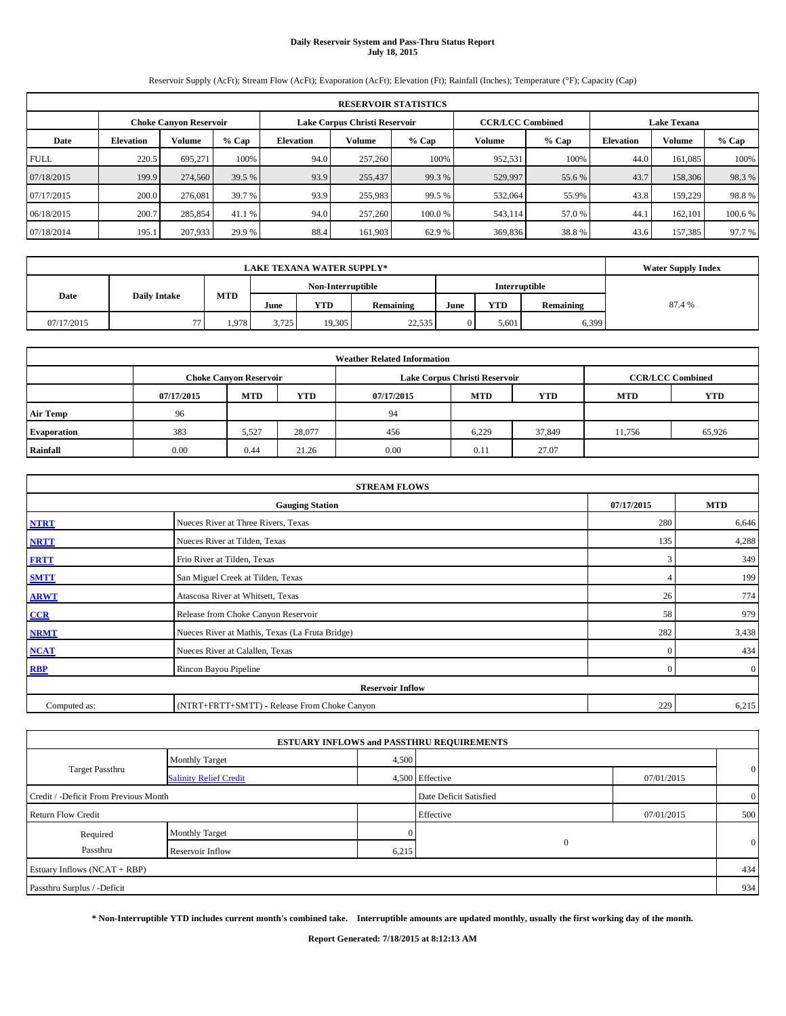# **Daily Reservoir System and Pass-Thru Status Report July 18, 2015**

Reservoir Supply (AcFt); Stream Flow (AcFt); Evaporation (AcFt); Elevation (Ft); Rainfall (Inches); Temperature (°F); Capacity (Cap)

|             | <b>RESERVOIR STATISTICS</b> |                               |         |                  |                               |         |                         |         |                  |                    |        |  |  |
|-------------|-----------------------------|-------------------------------|---------|------------------|-------------------------------|---------|-------------------------|---------|------------------|--------------------|--------|--|--|
|             |                             | <b>Choke Canyon Reservoir</b> |         |                  | Lake Corpus Christi Reservoir |         | <b>CCR/LCC Combined</b> |         |                  | <b>Lake Texana</b> |        |  |  |
| Date        | <b>Elevation</b>            | Volume                        | $%$ Cap | <b>Elevation</b> | Volume                        | $%$ Cap | Volume                  | $%$ Cap | <b>Elevation</b> | Volume             | % Cap  |  |  |
| <b>FULL</b> | 220.5                       | 695.271                       | 100%    | 94.0             | 257,260                       | 100%    | 952,531                 | 100%    | 44.0             | 161,085            | 100%   |  |  |
| 07/18/2015  | 199.9                       | 274,560                       | 39.5 %  | 93.9             | 255,437                       | 99.3 %  | 529,997                 | 55.6 %  | 43.7             | 158,306            | 98.3%  |  |  |
| 07/17/2015  | 200.0                       | 276,081                       | 39.7 %  | 93.9             | 255,983                       | 99.5 %  | 532,064                 | 55.9%   | 43.8             | 159,229            | 98.8%  |  |  |
| 06/18/2015  | 200.7                       | 285,854                       | 41.1 %  | 94.0             | 257,260                       | 100.0%  | 543,114                 | 57.0 %  | 44.1             | 162,101            | 100.6% |  |  |
| 07/18/2014  | 195.1                       | 207,933                       | 29.9 %  | 88.4             | 161,903                       | 62.9 %  | 369,836                 | 38.8%   | 43.6             | 157,385            | 97.7 % |  |  |

|            | <b>Water Supply Index</b> |            |       |                          |        |               |           |        |  |
|------------|---------------------------|------------|-------|--------------------------|--------|---------------|-----------|--------|--|
|            |                           |            |       | Non-Interruptible        |        | Interruptible |           |        |  |
| Date       | <b>Daily Intake</b>       | <b>MTD</b> | June  | YTD<br>Remaining<br>June |        | <b>YTD</b>    | Remaining | 87.4 % |  |
| 07/17/2015 | 77                        | .978       | 3.725 | 19.305                   | 22,535 | 5.601         | 6,399     |        |  |

| <b>Weather Related Information</b> |            |                               |            |            |                               |                         |            |        |  |  |
|------------------------------------|------------|-------------------------------|------------|------------|-------------------------------|-------------------------|------------|--------|--|--|
|                                    |            | <b>Choke Canyon Reservoir</b> |            |            | Lake Corpus Christi Reservoir | <b>CCR/LCC Combined</b> |            |        |  |  |
|                                    | 07/17/2015 | <b>MTD</b>                    | <b>YTD</b> | 07/17/2015 | <b>MTD</b>                    | <b>MTD</b>              | <b>YTD</b> |        |  |  |
| <b>Air Temp</b>                    | 96         |                               |            | 94         |                               |                         |            |        |  |  |
| <b>Evaporation</b>                 | 383        | 5,527                         | 28,077     | 456        | 6,229                         | 37,849                  | 11,756     | 65,926 |  |  |
| Rainfall                           | 0.00       | 0.44                          | 21.26      | 0.00       | 0.11                          | 27.07                   |            |        |  |  |

|              | <b>STREAM FLOWS</b>                             |                |                |  |  |  |  |  |  |  |
|--------------|-------------------------------------------------|----------------|----------------|--|--|--|--|--|--|--|
|              | <b>Gauging Station</b>                          |                |                |  |  |  |  |  |  |  |
| <b>NTRT</b>  | Nueces River at Three Rivers, Texas             |                |                |  |  |  |  |  |  |  |
| <b>NRTT</b>  | Nueces River at Tilden, Texas                   | 135            | 4,288          |  |  |  |  |  |  |  |
| <b>FRTT</b>  | Frio River at Tilden, Texas                     | 3              | 349            |  |  |  |  |  |  |  |
| <b>SMTT</b>  | San Miguel Creek at Tilden, Texas               |                | 199            |  |  |  |  |  |  |  |
| <b>ARWT</b>  | Atascosa River at Whitsett, Texas               | 26             | 774            |  |  |  |  |  |  |  |
| CCR          | Release from Choke Canyon Reservoir             | 58             | 979            |  |  |  |  |  |  |  |
| <b>NRMT</b>  | Nueces River at Mathis, Texas (La Fruta Bridge) | 282            | 3,438          |  |  |  |  |  |  |  |
| <b>NCAT</b>  | Nueces River at Calallen, Texas                 | $\mathbf{0}$   | 434            |  |  |  |  |  |  |  |
| <b>RBP</b>   | Rincon Bayou Pipeline                           | $\overline{0}$ | $\overline{0}$ |  |  |  |  |  |  |  |
|              | <b>Reservoir Inflow</b>                         |                |                |  |  |  |  |  |  |  |
| Computed as: | (NTRT+FRTT+SMTT) - Release From Choke Canyon    | 229            | 6,215          |  |  |  |  |  |  |  |

|                                       |                               |       | <b>ESTUARY INFLOWS and PASSTHRU REQUIREMENTS</b> |            |                |  |
|---------------------------------------|-------------------------------|-------|--------------------------------------------------|------------|----------------|--|
|                                       | <b>Monthly Target</b>         | 4,500 |                                                  |            |                |  |
| <b>Target Passthru</b>                | <b>Salinity Relief Credit</b> |       | 4,500 Effective                                  | 07/01/2015 | $\overline{0}$ |  |
| Credit / -Deficit From Previous Month |                               |       | Date Deficit Satisfied                           |            | $\overline{0}$ |  |
| <b>Return Flow Credit</b>             |                               |       | Effective                                        | 07/01/2015 | 500            |  |
| Required                              | Monthly Target                |       |                                                  |            |                |  |
| Passthru                              | Reservoir Inflow              | 6,215 | $\Omega$                                         |            | $\mathbf{0}$   |  |
| Estuary Inflows (NCAT + RBP)          |                               |       |                                                  |            | 434            |  |
| Passthru Surplus / -Deficit           |                               |       |                                                  |            | 934            |  |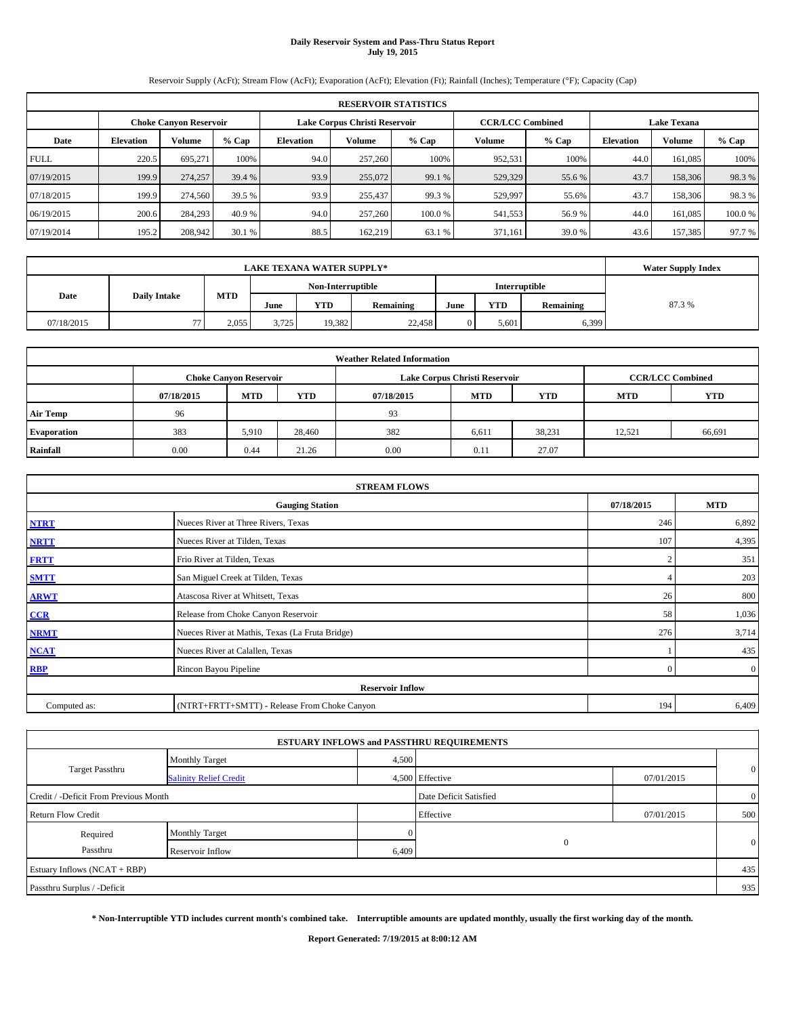# **Daily Reservoir System and Pass-Thru Status Report July 19, 2015**

Reservoir Supply (AcFt); Stream Flow (AcFt); Evaporation (AcFt); Elevation (Ft); Rainfall (Inches); Temperature (°F); Capacity (Cap)

|             | <b>RESERVOIR STATISTICS</b> |                               |         |                  |                               |         |                         |         |                  |                    |        |  |
|-------------|-----------------------------|-------------------------------|---------|------------------|-------------------------------|---------|-------------------------|---------|------------------|--------------------|--------|--|
|             |                             | <b>Choke Canyon Reservoir</b> |         |                  | Lake Corpus Christi Reservoir |         | <b>CCR/LCC Combined</b> |         |                  | <b>Lake Texana</b> |        |  |
| Date        | <b>Elevation</b>            | Volume                        | $%$ Cap | <b>Elevation</b> | Volume                        | $%$ Cap | Volume                  | $%$ Cap | <b>Elevation</b> | Volume             | % Cap  |  |
| <b>FULL</b> | 220.5                       | 695,271                       | 100%    | 94.0             | 257,260                       | 100%    | 952,531                 | 100%    | 44.0             | 161,085            | 100%   |  |
| 07/19/2015  | 199.9                       | 274,257                       | 39.4 %  | 93.9             | 255,072                       | 99.1 %  | 529,329                 | 55.6 %  | 43.7             | 158,306            | 98.3%  |  |
| 07/18/2015  | 199.9                       | 274,560                       | 39.5 %  | 93.9             | 255,437                       | 99.3 %  | 529,997                 | 55.6%   | 43.7             | 158,306            | 98.3%  |  |
| 06/19/2015  | 200.6                       | 284,293                       | 40.9 %  | 94.0             | 257,260                       | 100.0 % | 541,553                 | 56.9%   | 44.0             | 161,085            | 100.0% |  |
| 07/19/2014  | 195.2                       | 208,942                       | 30.1 %  | 88.5             | 162,219                       | 63.1 %  | 371,161                 | 39.0%   | 43.6             | 157,385            | 97.7 % |  |

|            | <b>Water Supply Index</b> |            |       |            |                   |      |               |           |       |
|------------|---------------------------|------------|-------|------------|-------------------|------|---------------|-----------|-------|
|            |                           |            |       |            | Non-Interruptible |      | Interruptible |           |       |
| Date       | <b>Daily Intake</b>       | <b>MTD</b> | June  | <b>YTD</b> | Remaining         | June | <b>YTD</b>    | Remaining | 87.3% |
| 07/18/2015 | 77                        | 2.055      | 3.725 | 19,382     | 22,458            |      | 5.601         | 6,399     |       |

| <b>Weather Related Information</b> |            |                               |            |            |                               |                         |        |        |  |  |
|------------------------------------|------------|-------------------------------|------------|------------|-------------------------------|-------------------------|--------|--------|--|--|
|                                    |            | <b>Choke Canyon Reservoir</b> |            |            | Lake Corpus Christi Reservoir | <b>CCR/LCC Combined</b> |        |        |  |  |
|                                    | 07/18/2015 | <b>MTD</b>                    | <b>YTD</b> | 07/18/2015 | <b>MTD</b>                    | <b>YTD</b>              |        |        |  |  |
| <b>Air Temp</b>                    | 96         |                               |            | 93         |                               |                         |        |        |  |  |
| <b>Evaporation</b>                 | 383        | 5,910                         | 28.460     | 382        | 6,611                         | 38,231                  | 12,521 | 66,691 |  |  |
| Rainfall                           | 0.00       | 0.44                          | 21.26      | 0.00       | 0.11                          | 27.07                   |        |        |  |  |

|              | <b>STREAM FLOWS</b>                             |            |                |
|--------------|-------------------------------------------------|------------|----------------|
|              | 07/18/2015                                      | <b>MTD</b> |                |
| <b>NTRT</b>  | 246                                             | 6,892      |                |
| <b>NRTT</b>  | Nueces River at Tilden, Texas                   | 107        | 4,395          |
| <b>FRTT</b>  | Frio River at Tilden, Texas                     |            | 351            |
| <b>SMTT</b>  | San Miguel Creek at Tilden, Texas               |            | 203            |
| <b>ARWT</b>  | Atascosa River at Whitsett, Texas               | 26         | 800            |
| CCR          | Release from Choke Canyon Reservoir             | 58         | 1,036          |
| <b>NRMT</b>  | Nueces River at Mathis, Texas (La Fruta Bridge) | 276        | 3,714          |
| <b>NCAT</b>  | Nueces River at Calallen, Texas                 |            | 435            |
| <b>RBP</b>   | Rincon Bayou Pipeline                           | $\Omega$   | $\overline{0}$ |
|              | <b>Reservoir Inflow</b>                         |            |                |
| Computed as: | (NTRT+FRTT+SMTT) - Release From Choke Canyon    | 194        | 6,409          |

|                                       |                               |                        | <b>ESTUARY INFLOWS and PASSTHRU REQUIREMENTS</b> |                |              |
|---------------------------------------|-------------------------------|------------------------|--------------------------------------------------|----------------|--------------|
|                                       | <b>Monthly Target</b>         | 4,500                  |                                                  |                |              |
| <b>Target Passthru</b>                | <b>Salinity Relief Credit</b> |                        | 4,500 Effective                                  | 07/01/2015     | $\mathbf{0}$ |
| Credit / -Deficit From Previous Month |                               | Date Deficit Satisfied |                                                  | $\overline{0}$ |              |
| <b>Return Flow Credit</b>             |                               |                        | Effective                                        | 07/01/2015     | 500          |
| Required                              | <b>Monthly Target</b>         |                        |                                                  |                |              |
| Passthru                              | Reservoir Inflow              | 6,409                  | $\Omega$                                         |                | $\mathbf{0}$ |
| Estuary Inflows (NCAT + RBP)          |                               |                        |                                                  |                | 435          |
| Passthru Surplus / -Deficit           |                               |                        |                                                  |                | 935          |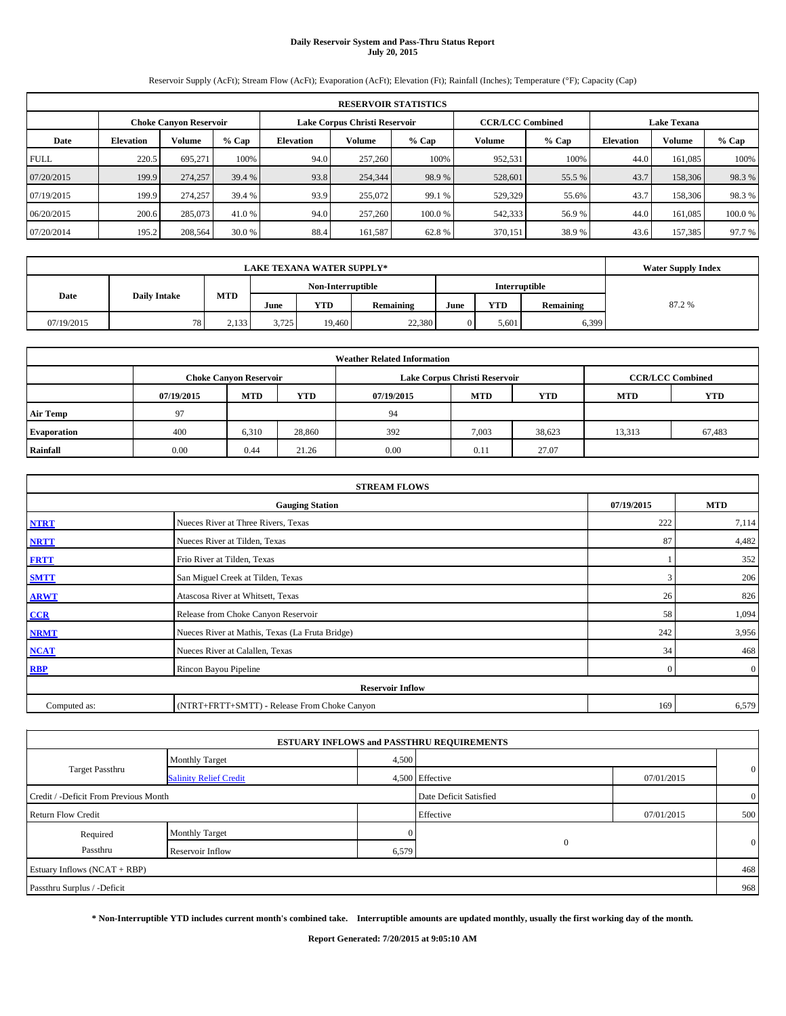# **Daily Reservoir System and Pass-Thru Status Report July 20, 2015**

Reservoir Supply (AcFt); Stream Flow (AcFt); Evaporation (AcFt); Elevation (Ft); Rainfall (Inches); Temperature (°F); Capacity (Cap)

|             | <b>RESERVOIR STATISTICS</b> |                               |        |                  |                               |        |                         |         |                  |                    |        |  |  |
|-------------|-----------------------------|-------------------------------|--------|------------------|-------------------------------|--------|-------------------------|---------|------------------|--------------------|--------|--|--|
|             |                             | <b>Choke Canyon Reservoir</b> |        |                  | Lake Corpus Christi Reservoir |        | <b>CCR/LCC Combined</b> |         |                  | <b>Lake Texana</b> |        |  |  |
| Date        | <b>Elevation</b>            | Volume                        | % Cap  | <b>Elevation</b> | Volume                        | % Cap  | Volume                  | $%$ Cap | <b>Elevation</b> | Volume             | % Cap  |  |  |
| <b>FULL</b> | 220.5                       | 695,271                       | 100%   | 94.0             | 257,260                       | 100%   | 952,531                 | 100%    | 44.0             | 161,085            | 100%   |  |  |
| 07/20/2015  | 199.9                       | 274,257                       | 39.4 % | 93.8             | 254,344                       | 98.9%  | 528,601                 | 55.5 %  | 43.7             | 158,306            | 98.3%  |  |  |
| 07/19/2015  | 199.9                       | 274,257                       | 39.4 % | 93.9             | 255,072                       | 99.1 % | 529,329                 | 55.6%   | 43.7             | 158,306            | 98.3%  |  |  |
| 06/20/2015  | 200.6                       | 285,073                       | 41.0 % | 94.0             | 257,260                       | 100.0% | 542,333                 | 56.9%   | 44.0             | 161,085            | 100.0% |  |  |
| 07/20/2014  | 195.2                       | 208,564                       | 30.0 % | 88.4             | 161,587                       | 62.8%  | 370,151                 | 38.9%   | 43.6             | 157,385            | 97.7 % |  |  |

|                             | <b>LAKE TEXANA WATER SUPPLY*</b> |            |       |                   |           |      |               |           |       |  |  |  |
|-----------------------------|----------------------------------|------------|-------|-------------------|-----------|------|---------------|-----------|-------|--|--|--|
|                             |                                  |            |       | Non-Interruptible |           |      | Interruptible |           |       |  |  |  |
| Date<br><b>Daily Intake</b> |                                  | <b>MTD</b> | June  | YTD               | Remaining | June | YTD           | Remaining | 87.2% |  |  |  |
| 07/19/2015                  | 781                              | 2,133      | 3.725 | 19.460            | 22,380    |      | 5.601         | 6,399     |       |  |  |  |

| <b>Weather Related Information</b> |            |                               |            |            |                               |                         |            |            |  |  |  |  |  |
|------------------------------------|------------|-------------------------------|------------|------------|-------------------------------|-------------------------|------------|------------|--|--|--|--|--|
|                                    |            | <b>Choke Canyon Reservoir</b> |            |            | Lake Corpus Christi Reservoir | <b>CCR/LCC Combined</b> |            |            |  |  |  |  |  |
|                                    | 07/19/2015 | <b>MTD</b>                    | <b>YTD</b> | 07/19/2015 | <b>MTD</b>                    | <b>YTD</b>              | <b>MTD</b> | <b>YTD</b> |  |  |  |  |  |
| <b>Air Temp</b>                    | 97         |                               |            | 94         |                               |                         |            |            |  |  |  |  |  |
| <b>Evaporation</b>                 | 400        | 6,310                         | 28,860     | 392        | 7,003                         | 38,623                  | 13,313     | 67,483     |  |  |  |  |  |
| Rainfall                           | 0.00       | 0.44                          | 21.26      | 0.00       | 0.11                          | 27.07                   |            |            |  |  |  |  |  |

|                                      | <b>STREAM FLOWS</b>                             |                |                |  |  |  |  |  |
|--------------------------------------|-------------------------------------------------|----------------|----------------|--|--|--|--|--|
| 07/19/2015<br><b>Gauging Station</b> |                                                 |                |                |  |  |  |  |  |
| <b>NTRT</b>                          | Nueces River at Three Rivers, Texas             | 222            | 7,114          |  |  |  |  |  |
| <b>NRTT</b>                          | Nueces River at Tilden, Texas                   | 87             | 4,482          |  |  |  |  |  |
| <b>FRTT</b>                          | Frio River at Tilden, Texas                     |                | 352            |  |  |  |  |  |
| <b>SMTT</b>                          | San Miguel Creek at Tilden, Texas               | 3              | 206            |  |  |  |  |  |
| <b>ARWT</b>                          | Atascosa River at Whitsett, Texas               | 26             | 826            |  |  |  |  |  |
| CCR                                  | Release from Choke Canyon Reservoir             | 58             | 1,094          |  |  |  |  |  |
| <b>NRMT</b>                          | Nueces River at Mathis, Texas (La Fruta Bridge) | 242            | 3,956          |  |  |  |  |  |
| <b>NCAT</b>                          | Nueces River at Calallen, Texas                 | 34             | 468            |  |  |  |  |  |
| <b>RBP</b>                           | Rincon Bayou Pipeline                           | $\overline{0}$ | $\overline{0}$ |  |  |  |  |  |
|                                      | <b>Reservoir Inflow</b>                         |                |                |  |  |  |  |  |
| Computed as:                         | (NTRT+FRTT+SMTT) - Release From Choke Canyon    | 169            | 6,579          |  |  |  |  |  |

|                                       |                               |       | <b>ESTUARY INFLOWS and PASSTHRU REQUIREMENTS</b> |            |                |
|---------------------------------------|-------------------------------|-------|--------------------------------------------------|------------|----------------|
|                                       | <b>Monthly Target</b>         | 4,500 |                                                  |            |                |
| <b>Target Passthru</b>                | <b>Salinity Relief Credit</b> |       | 4,500 Effective                                  | 07/01/2015 | $\overline{0}$ |
| Credit / -Deficit From Previous Month |                               |       | Date Deficit Satisfied                           |            | $\overline{0}$ |
| <b>Return Flow Credit</b>             |                               |       | Effective                                        | 07/01/2015 | 500            |
| Required                              | Monthly Target                |       |                                                  |            |                |
| Passthru                              | Reservoir Inflow              | 6,579 | $\Omega$                                         |            | $\mathbf{0}$   |
| Estuary Inflows (NCAT + RBP)          |                               |       |                                                  |            | 468            |
| Passthru Surplus / -Deficit           |                               |       |                                                  |            | 968            |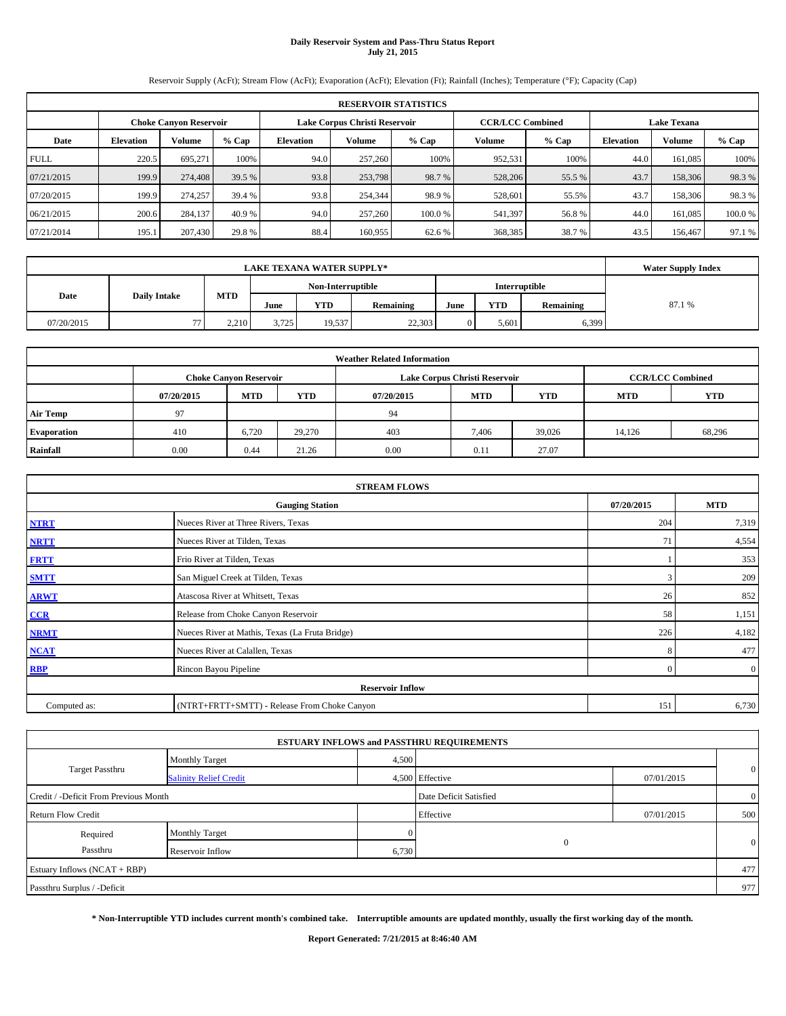#### **Daily Reservoir System and Pass-Thru Status Report July 21, 2015**

Reservoir Supply (AcFt); Stream Flow (AcFt); Evaporation (AcFt); Elevation (Ft); Rainfall (Inches); Temperature (°F); Capacity (Cap)

|             | <b>RESERVOIR STATISTICS</b> |                               |         |                               |                         |         |         |                    |                  |         |        |  |  |  |  |
|-------------|-----------------------------|-------------------------------|---------|-------------------------------|-------------------------|---------|---------|--------------------|------------------|---------|--------|--|--|--|--|
|             |                             | <b>Choke Canvon Reservoir</b> |         | Lake Corpus Christi Reservoir | <b>CCR/LCC Combined</b> |         |         | <b>Lake Texana</b> |                  |         |        |  |  |  |  |
| Date        | <b>Elevation</b>            | Volume                        | $%$ Cap | <b>Elevation</b>              | Volume                  | $%$ Cap | Volume  | $%$ Cap            | <b>Elevation</b> | Volume  | % Cap  |  |  |  |  |
| <b>FULL</b> | 220.5                       | 695,271                       | 100%    | 94.0                          | 257,260                 | 100%    | 952,531 | 100%               | 44.0             | 161,085 | 100%   |  |  |  |  |
| 07/21/2015  | 199.9                       | 274,408                       | 39.5 %  | 93.8                          | 253,798                 | 98.7 %  | 528,206 | 55.5 %             | 43.7             | 158,306 | 98.3%  |  |  |  |  |
| 07/20/2015  | 199.9                       | 274,257                       | 39.4 %  | 93.8                          | 254,344                 | 98.9%   | 528,601 | 55.5%              | 43.7             | 158,306 | 98.3%  |  |  |  |  |
| 06/21/2015  | 200.6                       | 284,137                       | 40.9 %  | 94.0                          | 257,260                 | 100.0 % | 541,397 | 56.8%              | 44.0             | 161,085 | 100.0% |  |  |  |  |
| 07/21/2014  | 195.1                       | 207,430                       | 29.8%   | 88.4                          | 160,955                 | 62.6 %  | 368,385 | 38.7%              | 43.5             | 156,467 | 97.1 % |  |  |  |  |

|                             | <b>LAKE TEXANA WATER SUPPLY*</b> |            |       |                   |                  |      |               |           |        |  |  |
|-----------------------------|----------------------------------|------------|-------|-------------------|------------------|------|---------------|-----------|--------|--|--|
|                             |                                  |            |       | Non-Interruptible |                  |      | Interruptible |           |        |  |  |
| Date<br><b>Daily Intake</b> |                                  | <b>MTD</b> | June  | YTD               | <b>Remaining</b> | June | <b>YTD</b>    | Remaining | 87.1 % |  |  |
| 07/20/2015                  | 77                               | 2.210      | 3.725 | 19,537            | 22,303           |      | 5.601         | 6,399     |        |  |  |

| <b>Weather Related Information</b> |            |                               |        |            |                               |                         |            |            |  |  |  |  |  |
|------------------------------------|------------|-------------------------------|--------|------------|-------------------------------|-------------------------|------------|------------|--|--|--|--|--|
|                                    |            | <b>Choke Canyon Reservoir</b> |        |            | Lake Corpus Christi Reservoir | <b>CCR/LCC Combined</b> |            |            |  |  |  |  |  |
|                                    | 07/20/2015 | <b>MTD</b>                    | YTD    | 07/20/2015 | <b>MTD</b>                    | <b>YTD</b>              | <b>MTD</b> | <b>YTD</b> |  |  |  |  |  |
| <b>Air Temp</b>                    | 97         |                               |        | 94         |                               |                         |            |            |  |  |  |  |  |
| <b>Evaporation</b>                 | 410        | 6,720                         | 29,270 | 403        | 7.406                         | 39,026                  | 14,126     | 68,296     |  |  |  |  |  |
| Rainfall                           | 0.00       | 0.44                          | 21.26  | 0.00       | 0.11                          | 27.07                   |            |            |  |  |  |  |  |

|                                      | <b>STREAM FLOWS</b>                             |          |                |  |  |  |  |  |
|--------------------------------------|-------------------------------------------------|----------|----------------|--|--|--|--|--|
| 07/20/2015<br><b>Gauging Station</b> |                                                 |          |                |  |  |  |  |  |
| <b>NTRT</b>                          | Nueces River at Three Rivers, Texas             | 204      | 7,319          |  |  |  |  |  |
| <b>NRTT</b>                          | Nueces River at Tilden, Texas                   | 71       | 4,554          |  |  |  |  |  |
| <b>FRTT</b>                          | Frio River at Tilden, Texas                     |          | 353            |  |  |  |  |  |
| <b>SMTT</b>                          | San Miguel Creek at Tilden, Texas               | 3        | 209            |  |  |  |  |  |
| <b>ARWT</b>                          | Atascosa River at Whitsett, Texas               | 26       | 852            |  |  |  |  |  |
| CCR                                  | Release from Choke Canyon Reservoir             | 58       | 1,151          |  |  |  |  |  |
| <b>NRMT</b>                          | Nueces River at Mathis, Texas (La Fruta Bridge) | 226      | 4,182          |  |  |  |  |  |
| <b>NCAT</b>                          | Nueces River at Calallen, Texas                 | 8        | 477            |  |  |  |  |  |
| <b>RBP</b>                           | Rincon Bayou Pipeline                           | $\Omega$ | $\overline{0}$ |  |  |  |  |  |
|                                      | <b>Reservoir Inflow</b>                         |          |                |  |  |  |  |  |
| Computed as:                         | (NTRT+FRTT+SMTT) - Release From Choke Canyon    | 151      | 6,730          |  |  |  |  |  |

| <b>Monthly Target</b>                 |                        |                                                                                                   |                |
|---------------------------------------|------------------------|---------------------------------------------------------------------------------------------------|----------------|
| <b>Salinity Relief Credit</b>         |                        | 07/01/2015                                                                                        | $\mathbf{0}$   |
| Credit / -Deficit From Previous Month | Date Deficit Satisfied |                                                                                                   | $\overline{0}$ |
|                                       | Effective              | 07/01/2015                                                                                        | 500            |
| Monthly Target                        |                        |                                                                                                   |                |
| Reservoir Inflow                      |                        |                                                                                                   | $\mathbf{0}$   |
|                                       |                        |                                                                                                   | 477            |
|                                       |                        |                                                                                                   | 977            |
|                                       |                        | <b>ESTUARY INFLOWS and PASSTHRU REQUIREMENTS</b><br>4,500<br>4,500 Effective<br>$\Omega$<br>6,730 |                |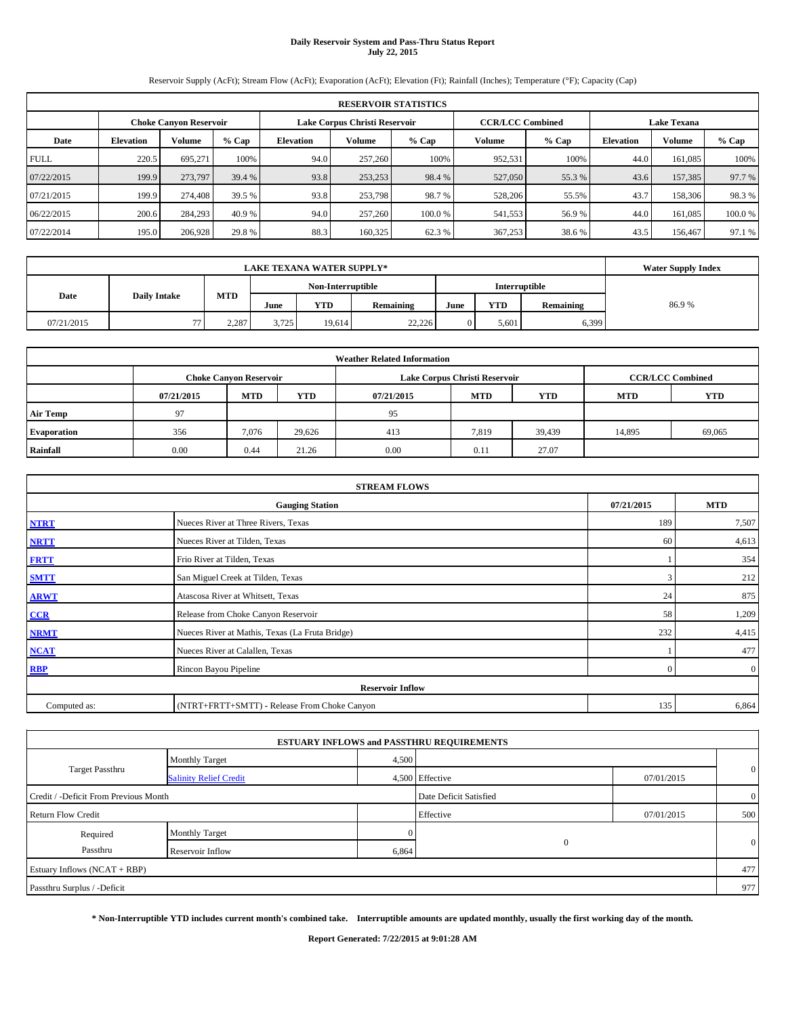# **Daily Reservoir System and Pass-Thru Status Report July 22, 2015**

Reservoir Supply (AcFt); Stream Flow (AcFt); Evaporation (AcFt); Elevation (Ft); Rainfall (Inches); Temperature (°F); Capacity (Cap)

|             | <b>RESERVOIR STATISTICS</b>                                                                                     |         |         |                  |         |         |         |         |                  |         |        |  |  |  |  |
|-------------|-----------------------------------------------------------------------------------------------------------------|---------|---------|------------------|---------|---------|---------|---------|------------------|---------|--------|--|--|--|--|
|             | Lake Corpus Christi Reservoir<br><b>CCR/LCC Combined</b><br><b>Lake Texana</b><br><b>Choke Canyon Reservoir</b> |         |         |                  |         |         |         |         |                  |         |        |  |  |  |  |
| Date        | <b>Elevation</b>                                                                                                | Volume  | $%$ Cap | <b>Elevation</b> | Volume  | $%$ Cap | Volume  | $%$ Cap | <b>Elevation</b> | Volume  | % Cap  |  |  |  |  |
| <b>FULL</b> | 220.5                                                                                                           | 695.271 | 100%    | 94.0             | 257,260 | 100%    | 952,531 | 100%    | 44.0             | 161,085 | 100%   |  |  |  |  |
| 07/22/2015  | 199.9                                                                                                           | 273,797 | 39.4 %  | 93.8             | 253,253 | 98.4 %  | 527,050 | 55.3 %  | 43.6             | 157,385 | 97.7 % |  |  |  |  |
| 07/21/2015  | 199.9                                                                                                           | 274,408 | 39.5 %  | 93.8             | 253,798 | 98.7 %  | 528,206 | 55.5%   | 43.7             | 158,306 | 98.3%  |  |  |  |  |
| 06/22/2015  | 200.6                                                                                                           | 284,293 | 40.9%   | 94.0             | 257,260 | 100.0%  | 541,553 | 56.9 %  | 44.0             | 161.085 | 100.0% |  |  |  |  |
| 07/22/2014  | 195.0                                                                                                           | 206,928 | 29.8%   | 88.3             | 160,325 | 62.3 %  | 367,253 | 38.6%   | 43.5             | 156,467 | 97.1 % |  |  |  |  |

|                             | <b>Water Supply Index</b> |            |                                    |        |           |      |            |           |       |
|-----------------------------|---------------------------|------------|------------------------------------|--------|-----------|------|------------|-----------|-------|
|                             |                           |            | Non-Interruptible<br>Interruptible |        |           |      |            |           |       |
| <b>Daily Intake</b><br>Date |                           | <b>MTD</b> | June                               | YTD    | Remaining | June | <b>YTD</b> | Remaining | 86.9% |
| 07/21/2015                  | 77                        | 2.287      | 3.725                              | 19.614 | 22.226    |      | 5.601      | 6,399     |       |

| <b>Weather Related Information</b> |            |                               |            |            |                               |                         |            |            |  |  |  |  |  |
|------------------------------------|------------|-------------------------------|------------|------------|-------------------------------|-------------------------|------------|------------|--|--|--|--|--|
|                                    |            | <b>Choke Canyon Reservoir</b> |            |            | Lake Corpus Christi Reservoir | <b>CCR/LCC Combined</b> |            |            |  |  |  |  |  |
|                                    | 07/21/2015 | <b>MTD</b>                    | <b>YTD</b> | 07/21/2015 | <b>MTD</b>                    | <b>YTD</b>              | <b>MTD</b> | <b>YTD</b> |  |  |  |  |  |
| <b>Air Temp</b>                    | 97         |                               |            | 95         |                               |                         |            |            |  |  |  |  |  |
| <b>Evaporation</b>                 | 356        | 7.076                         | 29,626     | 413        | 7,819                         | 39,439                  | 14,895     | 69,065     |  |  |  |  |  |
| Rainfall                           | 0.00       | 0.44                          | 21.26      | 0.00       | 0.11                          | 27.07                   |            |            |  |  |  |  |  |

|              | <b>STREAM FLOWS</b>                             |            |                |  |  |  |  |  |  |  |  |
|--------------|-------------------------------------------------|------------|----------------|--|--|--|--|--|--|--|--|
|              | <b>Gauging Station</b>                          | 07/21/2015 | <b>MTD</b>     |  |  |  |  |  |  |  |  |
| <b>NTRT</b>  | Nueces River at Three Rivers, Texas             | 189        | 7,507          |  |  |  |  |  |  |  |  |
| <b>NRTT</b>  | Nueces River at Tilden, Texas                   | 60         | 4,613          |  |  |  |  |  |  |  |  |
| <b>FRTT</b>  | Frio River at Tilden, Texas                     |            | 354            |  |  |  |  |  |  |  |  |
| <b>SMTT</b>  | San Miguel Creek at Tilden, Texas               | 3          | 212            |  |  |  |  |  |  |  |  |
| <b>ARWT</b>  | Atascosa River at Whitsett, Texas               | 24         | 875            |  |  |  |  |  |  |  |  |
| CCR          | Release from Choke Canyon Reservoir             | 58         | 1,209          |  |  |  |  |  |  |  |  |
| <b>NRMT</b>  | Nueces River at Mathis, Texas (La Fruta Bridge) | 232        | 4,415          |  |  |  |  |  |  |  |  |
| <b>NCAT</b>  | Nueces River at Calallen, Texas                 |            | 477            |  |  |  |  |  |  |  |  |
| <b>RBP</b>   | Rincon Bayou Pipeline                           | $\Omega$   | $\overline{0}$ |  |  |  |  |  |  |  |  |
|              | <b>Reservoir Inflow</b>                         |            |                |  |  |  |  |  |  |  |  |
| Computed as: | (NTRT+FRTT+SMTT) - Release From Choke Canyon    | 135        | 6,864          |  |  |  |  |  |  |  |  |

|                                       |                               |                        | <b>ESTUARY INFLOWS and PASSTHRU REQUIREMENTS</b> |                |              |
|---------------------------------------|-------------------------------|------------------------|--------------------------------------------------|----------------|--------------|
|                                       | <b>Monthly Target</b>         | 4,500                  |                                                  |                |              |
| <b>Target Passthru</b>                | <b>Salinity Relief Credit</b> |                        | 4,500 Effective                                  | 07/01/2015     | $\mathbf{0}$ |
| Credit / -Deficit From Previous Month |                               | Date Deficit Satisfied |                                                  | $\overline{0}$ |              |
| <b>Return Flow Credit</b>             |                               |                        | Effective                                        | 07/01/2015     | 500          |
| Required                              | <b>Monthly Target</b>         |                        |                                                  |                |              |
| Passthru                              | Reservoir Inflow              | 6,864                  | $\Omega$                                         |                | $\mathbf{0}$ |
| Estuary Inflows (NCAT + RBP)          |                               |                        |                                                  |                | 477          |
| Passthru Surplus / -Deficit           |                               |                        |                                                  |                | 977          |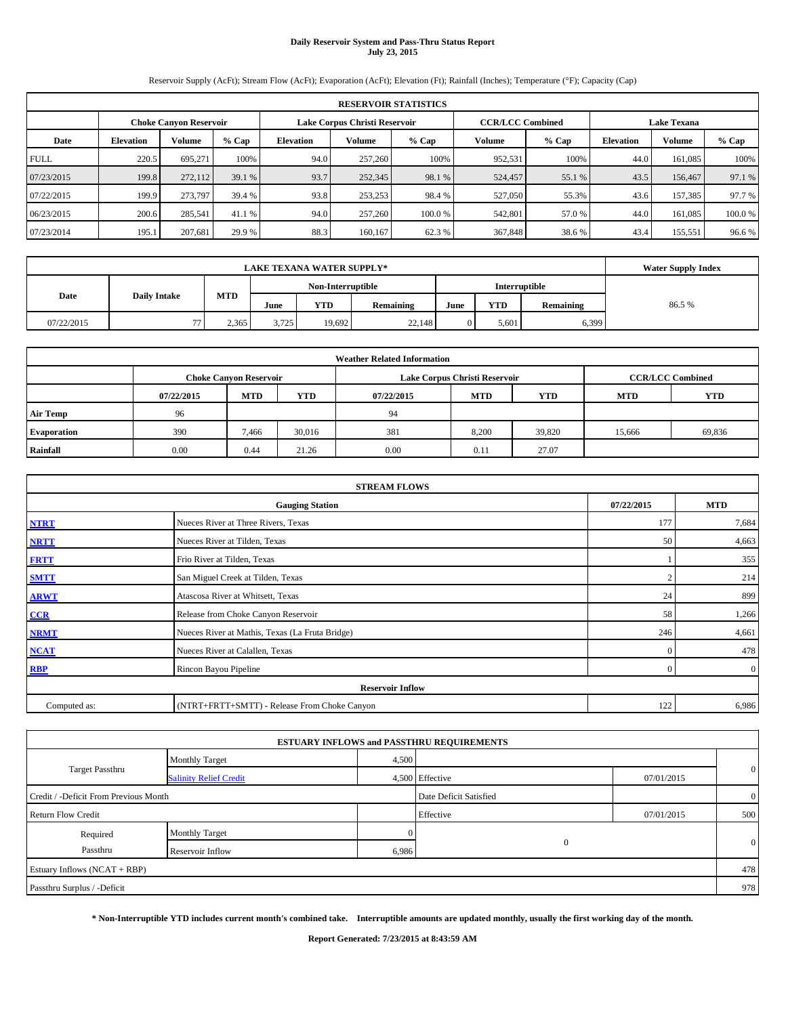# **Daily Reservoir System and Pass-Thru Status Report July 23, 2015**

Reservoir Supply (AcFt); Stream Flow (AcFt); Evaporation (AcFt); Elevation (Ft); Rainfall (Inches); Temperature (°F); Capacity (Cap)

|             | <b>RESERVOIR STATISTICS</b>   |         |         |                  |                               |         |                         |         |                    |         |        |  |
|-------------|-------------------------------|---------|---------|------------------|-------------------------------|---------|-------------------------|---------|--------------------|---------|--------|--|
|             | <b>Choke Canyon Reservoir</b> |         |         |                  | Lake Corpus Christi Reservoir |         | <b>CCR/LCC Combined</b> |         | <b>Lake Texana</b> |         |        |  |
| Date        | <b>Elevation</b>              | Volume  | $%$ Cap | <b>Elevation</b> | Volume                        | $%$ Cap | Volume                  | $%$ Cap | <b>Elevation</b>   | Volume  | % Cap  |  |
| <b>FULL</b> | 220.5                         | 695.271 | 100%    | 94.0             | 257,260                       | 100%    | 952,531                 | 100%    | 44.0               | 161,085 | 100%   |  |
| 07/23/2015  | 199.8                         | 272,112 | 39.1 %  | 93.7             | 252,345                       | 98.1 %  | 524,457                 | 55.1 %  | 43.5               | 156,467 | 97.1 % |  |
| 07/22/2015  | 199.9                         | 273,797 | 39.4 %  | 93.8             | 253,253                       | 98.4 %  | 527,050                 | 55.3%   | 43.6               | 157,385 | 97.7 % |  |
| 06/23/2015  | 200.6                         | 285,541 | 41.1 %  | 94.0             | 257,260                       | 100.0%  | 542,801                 | 57.0 %  | 44.0               | 161.085 | 100.0% |  |
| 07/23/2014  | 195.1                         | 207,681 | 29.9 %  | 88.3             | 160.167                       | 62.3 %  | 367,848                 | 38.6 %  | 43.4               | 155,551 | 96.6%  |  |

| <b>LAKE TEXANA WATER SUPPLY*</b> |                     |            |       |                   |           |      |               |           | <b>Water Supply Index</b> |
|----------------------------------|---------------------|------------|-------|-------------------|-----------|------|---------------|-----------|---------------------------|
|                                  |                     |            |       | Non-Interruptible |           |      | Interruptible |           |                           |
| Date                             | <b>Daily Intake</b> | <b>MTD</b> | June  | YTD               | Remaining | June | <b>YTD</b>    | Remaining | 86.5%                     |
| 07/22/2015                       | 77                  | 2.365      | 3.725 | 19.692            | 22.148    |      | 5.601         | 6,399     |                           |

|                    | <b>Weather Related Information</b> |                               |            |            |                               |                         |            |            |  |  |  |
|--------------------|------------------------------------|-------------------------------|------------|------------|-------------------------------|-------------------------|------------|------------|--|--|--|
|                    |                                    | <b>Choke Canyon Reservoir</b> |            |            | Lake Corpus Christi Reservoir | <b>CCR/LCC Combined</b> |            |            |  |  |  |
|                    | 07/22/2015                         | <b>MTD</b>                    | <b>YTD</b> | 07/22/2015 | <b>MTD</b>                    | <b>YTD</b>              | <b>MTD</b> | <b>YTD</b> |  |  |  |
| <b>Air Temp</b>    | 96                                 |                               |            | 94         |                               |                         |            |            |  |  |  |
| <b>Evaporation</b> | 390                                | 7.466                         | 30,016     | 381        | 8,200                         | 39,820                  | 15,666     | 69,836     |  |  |  |
| Rainfall           | 0.00                               | 0.44                          | 21.26      | 0.00       | 0.11                          | 27.07                   |            |            |  |  |  |

|              | <b>STREAM FLOWS</b>                             |            |                |
|--------------|-------------------------------------------------|------------|----------------|
|              | <b>Gauging Station</b>                          | 07/22/2015 | <b>MTD</b>     |
| <b>NTRT</b>  | Nueces River at Three Rivers, Texas             | 177        | 7,684          |
| <b>NRTT</b>  | Nueces River at Tilden, Texas                   | 50         | 4,663          |
| <b>FRTT</b>  | Frio River at Tilden, Texas                     |            | 355            |
| <b>SMTT</b>  | San Miguel Creek at Tilden, Texas               |            | 214            |
| <b>ARWT</b>  | Atascosa River at Whitsett, Texas               | 24         | 899            |
| CCR          | Release from Choke Canyon Reservoir             | 58         | 1,266          |
| <b>NRMT</b>  | Nueces River at Mathis, Texas (La Fruta Bridge) | 246        | 4,661          |
| <b>NCAT</b>  | Nueces River at Calallen, Texas                 | $\Omega$   | 478            |
| <b>RBP</b>   | Rincon Bayou Pipeline                           | $\Omega$   | $\overline{0}$ |
|              | <b>Reservoir Inflow</b>                         |            |                |
| Computed as: | (NTRT+FRTT+SMTT) - Release From Choke Canyon    | 122        | 6,986          |

|                                       |                               |                        | <b>ESTUARY INFLOWS and PASSTHRU REQUIREMENTS</b> |                |              |
|---------------------------------------|-------------------------------|------------------------|--------------------------------------------------|----------------|--------------|
|                                       | <b>Monthly Target</b>         | 4,500                  |                                                  |                |              |
| <b>Target Passthru</b>                | <b>Salinity Relief Credit</b> |                        | 4,500 Effective                                  | 07/01/2015     | $\mathbf{0}$ |
| Credit / -Deficit From Previous Month |                               | Date Deficit Satisfied |                                                  | $\overline{0}$ |              |
| <b>Return Flow Credit</b>             |                               |                        | Effective                                        | 07/01/2015     | 500          |
| Required                              | <b>Monthly Target</b>         |                        |                                                  |                |              |
| Passthru                              | Reservoir Inflow              | 6,986                  | $\Omega$                                         |                | $\mathbf{0}$ |
| Estuary Inflows (NCAT + RBP)          |                               |                        |                                                  |                | 478          |
| Passthru Surplus / -Deficit           |                               |                        |                                                  |                | 978          |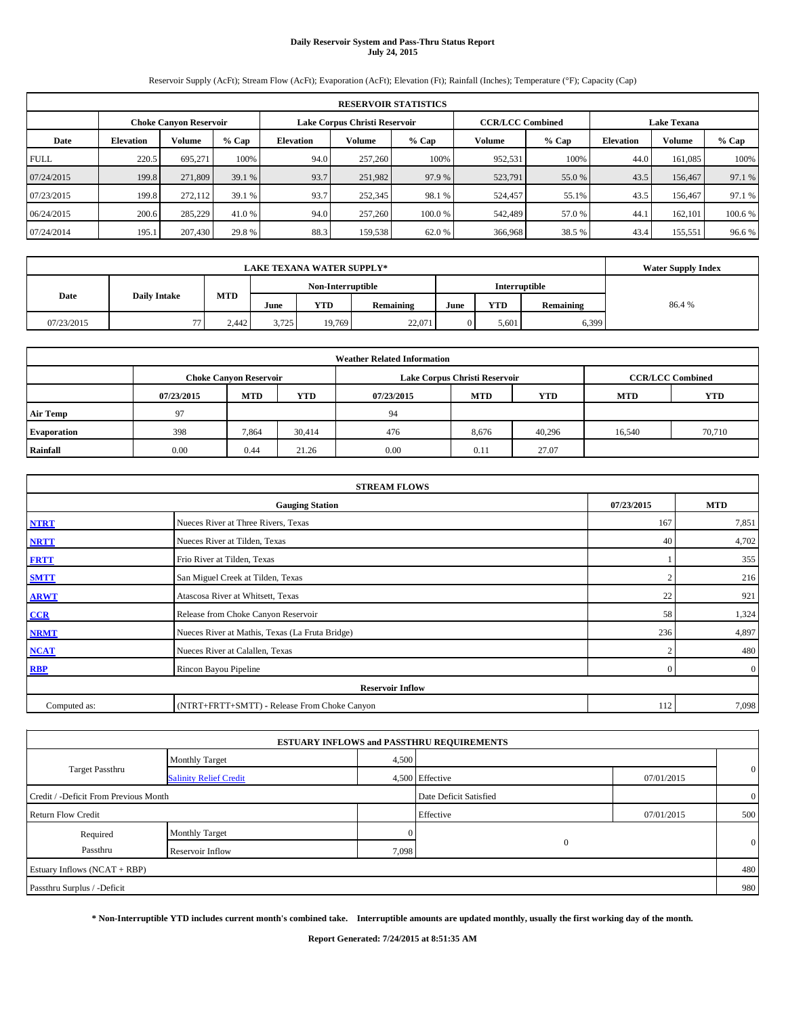# **Daily Reservoir System and Pass-Thru Status Report July 24, 2015**

Reservoir Supply (AcFt); Stream Flow (AcFt); Evaporation (AcFt); Elevation (Ft); Rainfall (Inches); Temperature (°F); Capacity (Cap)

|             | <b>RESERVOIR STATISTICS</b>                                    |         |         |                  |         |                         |               |                    |                  |               |         |  |
|-------------|----------------------------------------------------------------|---------|---------|------------------|---------|-------------------------|---------------|--------------------|------------------|---------------|---------|--|
|             | Lake Corpus Christi Reservoir<br><b>Choke Canyon Reservoir</b> |         |         |                  |         | <b>CCR/LCC Combined</b> |               | <b>Lake Texana</b> |                  |               |         |  |
| Date        | <b>Elevation</b>                                               | Volume  | $%$ Cap | <b>Elevation</b> | Volume  | % Cap                   | <b>Volume</b> | $%$ Cap            | <b>Elevation</b> | <b>Volume</b> | $%$ Cap |  |
| <b>FULL</b> | 220.5                                                          | 695.271 | 100%    | 94.0             | 257,260 | 100%                    | 952,531       | 100%               | 44.0             | 161.085       | 100%    |  |
| 07/24/2015  | 199.8                                                          | 271,809 | 39.1 %  | 93.7             | 251,982 | 97.9 %                  | 523,791       | 55.0 %             | 43.5             | 156,467       | 97.1 %  |  |
| 07/23/2015  | 199.8                                                          | 272.112 | 39.1 %  | 93.7             | 252,345 | 98.1 %                  | 524,457       | 55.1%              | 43.5             | 156,467       | 97.1 %  |  |
| 06/24/2015  | 200.6                                                          | 285,229 | 41.0 %  | 94.0             | 257,260 | 100.0%                  | 542,489       | 57.0 %             | 44.              | 162,101       | 100.6 % |  |
| 07/24/2014  | 195.1                                                          | 207,430 | 29.8 %  | 88.3             | 159,538 | 62.0%                   | 366,968       | 38.5 %             | 43.4             | 155,551       | 96.6%   |  |

| <b>LAKE TEXANA WATER SUPPLY*</b> |                     |            |       |                   |           |      |               |           | <b>Water Supply Index</b> |
|----------------------------------|---------------------|------------|-------|-------------------|-----------|------|---------------|-----------|---------------------------|
|                                  |                     |            |       | Non-Interruptible |           |      | Interruptible |           |                           |
| Date                             | <b>Daily Intake</b> | <b>MTD</b> | June  | <b>YTD</b>        | Remaining | June | <b>YTD</b>    | Remaining | 86.4%                     |
| 07/23/2015                       | 77                  | 2.442      | 3.725 | 19.769            | 22,071    |      | 5.601         | 6,399     |                           |

| <b>Weather Related Information</b> |            |                               |            |            |                               |                         |            |            |  |  |
|------------------------------------|------------|-------------------------------|------------|------------|-------------------------------|-------------------------|------------|------------|--|--|
|                                    |            | <b>Choke Canyon Reservoir</b> |            |            | Lake Corpus Christi Reservoir | <b>CCR/LCC Combined</b> |            |            |  |  |
|                                    | 07/23/2015 | <b>MTD</b>                    | <b>YTD</b> | 07/23/2015 | <b>MTD</b>                    | <b>YTD</b>              | <b>MTD</b> | <b>YTD</b> |  |  |
| <b>Air Temp</b>                    | 97         |                               |            | 94         |                               |                         |            |            |  |  |
| <b>Evaporation</b>                 | 398        | 7,864                         | 30,414     | 476        | 8,676                         | 40,296                  | 16,540     | 70,710     |  |  |
| Rainfall                           | 0.00       | 0.44                          | 21.26      | 0.00       | 0.11                          | 27.07                   |            |            |  |  |

|              | <b>STREAM FLOWS</b>                             |            |                |
|--------------|-------------------------------------------------|------------|----------------|
|              | <b>Gauging Station</b>                          | 07/23/2015 | <b>MTD</b>     |
| <b>NTRT</b>  | Nueces River at Three Rivers, Texas             | 167        | 7,851          |
| <b>NRTT</b>  | Nueces River at Tilden, Texas                   | 40         | 4,702          |
| <b>FRTT</b>  | Frio River at Tilden, Texas                     |            | 355            |
| <b>SMTT</b>  | San Miguel Creek at Tilden, Texas               |            | 216            |
| <b>ARWT</b>  | Atascosa River at Whitsett, Texas               | 22         | 921            |
| CCR          | Release from Choke Canyon Reservoir             | 58         | 1,324          |
| <b>NRMT</b>  | Nueces River at Mathis, Texas (La Fruta Bridge) | 236        | 4,897          |
| <b>NCAT</b>  | Nueces River at Calallen, Texas                 | $\sim$     | 480            |
| <b>RBP</b>   | Rincon Bayou Pipeline                           | $\Omega$   | $\overline{0}$ |
|              | <b>Reservoir Inflow</b>                         |            |                |
| Computed as: | (NTRT+FRTT+SMTT) - Release From Choke Canyon    | 112        | 7,098          |

|                                       |                               |                        | <b>ESTUARY INFLOWS and PASSTHRU REQUIREMENTS</b> |                |              |
|---------------------------------------|-------------------------------|------------------------|--------------------------------------------------|----------------|--------------|
|                                       | <b>Monthly Target</b>         | 4,500                  |                                                  |                |              |
| <b>Target Passthru</b>                | <b>Salinity Relief Credit</b> |                        | 4,500 Effective                                  | 07/01/2015     | $\mathbf{0}$ |
| Credit / -Deficit From Previous Month |                               | Date Deficit Satisfied |                                                  | $\overline{0}$ |              |
| <b>Return Flow Credit</b>             |                               |                        | Effective                                        | 07/01/2015     | 500          |
| Required                              | <b>Monthly Target</b>         |                        |                                                  |                |              |
| Passthru                              | Reservoir Inflow              | 7,098                  | $\Omega$                                         |                | $\mathbf{0}$ |
| Estuary Inflows (NCAT + RBP)          |                               |                        |                                                  |                | 480          |
| Passthru Surplus / -Deficit           |                               |                        |                                                  |                | 980          |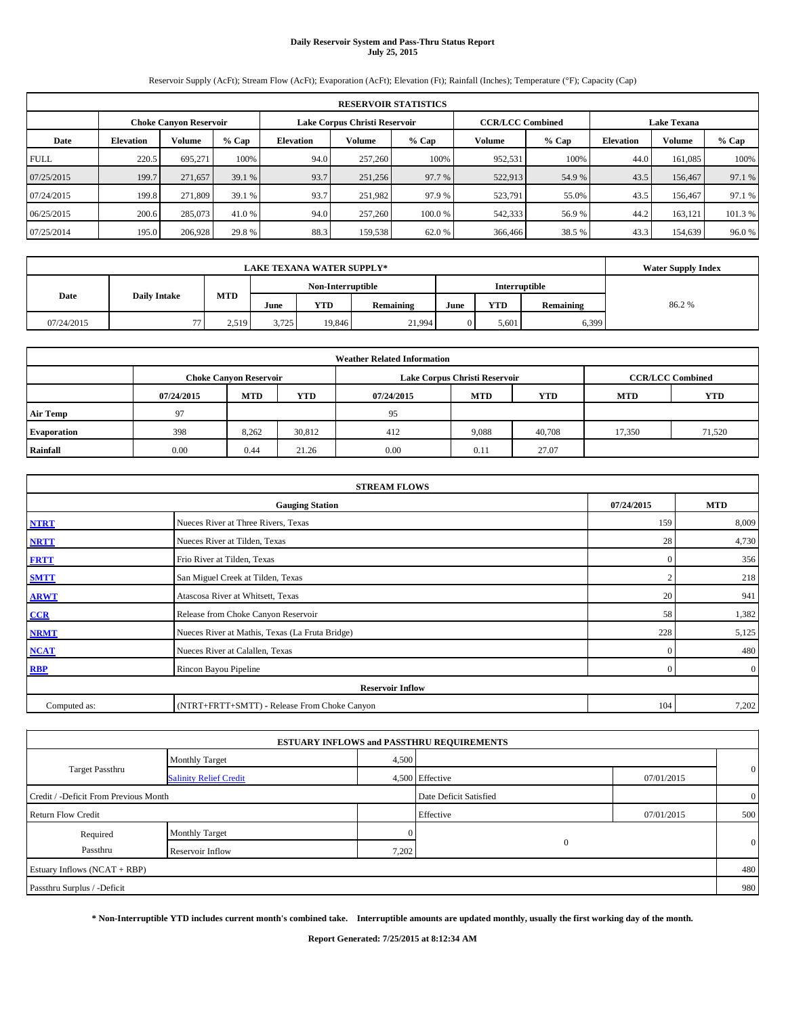# **Daily Reservoir System and Pass-Thru Status Report July 25, 2015**

Reservoir Supply (AcFt); Stream Flow (AcFt); Evaporation (AcFt); Elevation (Ft); Rainfall (Inches); Temperature (°F); Capacity (Cap)

|             | <b>RESERVOIR STATISTICS</b>                                                                                     |         |         |                  |                                                            |        |         |        |      |               |        |  |
|-------------|-----------------------------------------------------------------------------------------------------------------|---------|---------|------------------|------------------------------------------------------------|--------|---------|--------|------|---------------|--------|--|
|             | Lake Corpus Christi Reservoir<br><b>CCR/LCC Combined</b><br><b>Lake Texana</b><br><b>Choke Canyon Reservoir</b> |         |         |                  |                                                            |        |         |        |      |               |        |  |
| Date        | <b>Elevation</b>                                                                                                | Volume  | $%$ Cap | <b>Elevation</b> | Volume<br>$%$ Cap<br>$%$ Cap<br>Volume<br><b>Elevation</b> |        |         |        |      | <b>Volume</b> | % Cap  |  |
| <b>FULL</b> | 220.5                                                                                                           | 695,271 | 100%    | 94.0             | 257,260                                                    | 100%   | 952,531 | 100%   | 44.0 | 161,085       | 100%   |  |
| 07/25/2015  | 199.7                                                                                                           | 271,657 | 39.1 %  | 93.7             | 251,256                                                    | 97.7 % | 522,913 | 54.9 % | 43.5 | 156,467       | 97.1 % |  |
| 07/24/2015  | 199.8                                                                                                           | 271,809 | 39.1 %  | 93.7             | 251,982                                                    | 97.9 % | 523,791 | 55.0%  | 43.5 | 156,467       | 97.1 % |  |
| 06/25/2015  | 200.6                                                                                                           | 285,073 | 41.0 %  | 94.0             | 257,260                                                    | 100.0% | 542,333 | 56.9%  | 44.2 | 163,121       | 101.3% |  |
| 07/25/2014  | 195.0                                                                                                           | 206,928 | 29.8%   | 88.3             | 159,538                                                    | 62.0 % | 366,466 | 38.5 % | 43.3 | 154,639       | 96.0%  |  |

|                             |    | <b>Water Supply Index</b> |       |                   |           |      |               |           |       |
|-----------------------------|----|---------------------------|-------|-------------------|-----------|------|---------------|-----------|-------|
|                             |    |                           |       | Non-Interruptible |           |      | Interruptible |           |       |
| Date<br><b>Daily Intake</b> |    | <b>MTD</b>                | June  | <b>YTD</b>        | Remaining | June | <b>YTD</b>    | Remaining | 86.2% |
| 07/24/2015                  | 77 | 2.519                     | 3.725 | 19,846            | 21.994    |      | 5.601         | 6,399     |       |

| <b>Weather Related Information</b> |            |                               |            |            |                               |                         |        |        |  |  |  |
|------------------------------------|------------|-------------------------------|------------|------------|-------------------------------|-------------------------|--------|--------|--|--|--|
|                                    |            | <b>Choke Canyon Reservoir</b> |            |            | Lake Corpus Christi Reservoir | <b>CCR/LCC Combined</b> |        |        |  |  |  |
|                                    | 07/24/2015 | <b>MTD</b>                    | <b>YTD</b> | 07/24/2015 | <b>YTD</b>                    |                         |        |        |  |  |  |
| <b>Air Temp</b>                    | 97         |                               |            | 95         |                               |                         |        |        |  |  |  |
| <b>Evaporation</b>                 | 398        | 8,262                         | 30,812     | 412        | 9,088                         | 40,708                  | 17,350 | 71,520 |  |  |  |
| Rainfall                           | 0.00       | 0.44                          | 21.26      | 0.00       | 0.11                          | 27.07                   |        |        |  |  |  |

| <b>STREAM FLOWS</b> |                                                    |                |                |  |  |  |  |  |  |
|---------------------|----------------------------------------------------|----------------|----------------|--|--|--|--|--|--|
|                     | 07/24/2015<br><b>MTD</b><br><b>Gauging Station</b> |                |                |  |  |  |  |  |  |
| <b>NTRT</b>         | Nueces River at Three Rivers, Texas                | 159            | 8,009          |  |  |  |  |  |  |
| <b>NRTT</b>         | Nueces River at Tilden, Texas                      | 28             | 4,730          |  |  |  |  |  |  |
| <b>FRTT</b>         | Frio River at Tilden, Texas                        | $\mathbf{0}$   | 356            |  |  |  |  |  |  |
| <b>SMTT</b>         | San Miguel Creek at Tilden, Texas                  | $\sim$         | 218            |  |  |  |  |  |  |
| <b>ARWT</b>         | Atascosa River at Whitsett, Texas                  | 20             | 941            |  |  |  |  |  |  |
| CCR                 | Release from Choke Canyon Reservoir                | 58             | 1,382          |  |  |  |  |  |  |
| <b>NRMT</b>         | Nueces River at Mathis, Texas (La Fruta Bridge)    | 228            | 5,125          |  |  |  |  |  |  |
| <b>NCAT</b>         | Nueces River at Calallen, Texas                    | $\mathbf{0}$   | 480            |  |  |  |  |  |  |
| <b>RBP</b>          | Rincon Bayou Pipeline                              | $\overline{0}$ | $\overline{0}$ |  |  |  |  |  |  |
|                     | <b>Reservoir Inflow</b>                            |                |                |  |  |  |  |  |  |
| Computed as:        | (NTRT+FRTT+SMTT) - Release From Choke Canyon       |                |                |  |  |  |  |  |  |

|                                       |                               |                        | <b>ESTUARY INFLOWS and PASSTHRU REQUIREMENTS</b> |                |              |  |  |
|---------------------------------------|-------------------------------|------------------------|--------------------------------------------------|----------------|--------------|--|--|
|                                       | <b>Monthly Target</b>         | 4,500                  |                                                  |                |              |  |  |
| <b>Target Passthru</b>                | <b>Salinity Relief Credit</b> |                        | 4,500 Effective                                  | 07/01/2015     | $\mathbf{0}$ |  |  |
| Credit / -Deficit From Previous Month |                               | Date Deficit Satisfied |                                                  | $\overline{0}$ |              |  |  |
| <b>Return Flow Credit</b>             |                               |                        | Effective                                        | 07/01/2015     | 500          |  |  |
| Required                              | <b>Monthly Target</b>         |                        |                                                  |                |              |  |  |
| Passthru                              | Reservoir Inflow              | 7,202                  | $\Omega$                                         |                | $\mathbf{0}$ |  |  |
| Estuary Inflows (NCAT + RBP)          |                               |                        |                                                  |                |              |  |  |
| Passthru Surplus / -Deficit           |                               |                        |                                                  |                | 980          |  |  |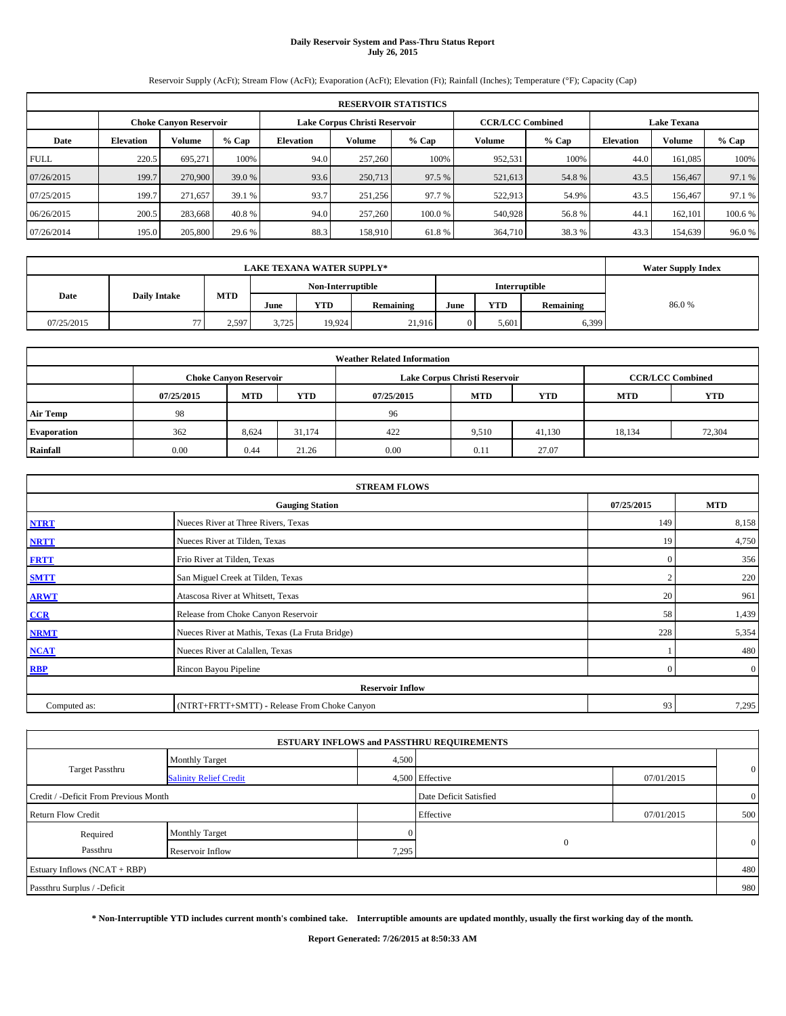## **Daily Reservoir System and Pass-Thru Status Report July 26, 2015**

Reservoir Supply (AcFt); Stream Flow (AcFt); Evaporation (AcFt); Elevation (Ft); Rainfall (Inches); Temperature (°F); Capacity (Cap)

|             | <b>RESERVOIR STATISTICS</b>                                                                              |         |        |                  |                                                          |        |         |        |      |               |        |  |  |
|-------------|----------------------------------------------------------------------------------------------------------|---------|--------|------------------|----------------------------------------------------------|--------|---------|--------|------|---------------|--------|--|--|
|             | <b>CCR/LCC Combined</b><br><b>Lake Texana</b><br>Lake Corpus Christi Reservoir<br>Choke Canvon Reservoir |         |        |                  |                                                          |        |         |        |      |               |        |  |  |
| Date        | <b>Elevation</b>                                                                                         | Volume  | % Cap  | <b>Elevation</b> | Volume<br>Volume<br>$%$ Cap<br>% Cap<br><b>Elevation</b> |        |         |        |      | <b>Volume</b> | % Cap  |  |  |
| <b>FULL</b> | 220.5                                                                                                    | 695.271 | 100%   | 94.0             | 257,260                                                  | 100%   | 952.531 | 100%   | 44.0 | 161.085       | 100%   |  |  |
| 07/26/2015  | 199.7                                                                                                    | 270,900 | 39.0 % | 93.6             | 250,713                                                  | 97.5 % | 521,613 | 54.8%  | 43.5 | 156,467       | 97.1 % |  |  |
| 07/25/2015  | 199.7                                                                                                    | 271.657 | 39.1 % | 93.7             | 251,256                                                  | 97.7 % | 522,913 | 54.9%  | 43.5 | 156,467       | 97.1 % |  |  |
| 06/26/2015  | 200.5                                                                                                    | 283,668 | 40.8 % | 94.0             | 257,260                                                  | 100.0% | 540,928 | 56.8%  | 44.  | 162,101       | 100.6% |  |  |
| 07/26/2014  | 195.0                                                                                                    | 205,800 | 29.6 % | 88.3             | 158,910                                                  | 61.8%  | 364,710 | 38.3 % | 43.3 | 154.639       | 96.0%  |  |  |

|                             |    | <b>Water Supply Index</b> |                   |            |           |               |            |           |       |
|-----------------------------|----|---------------------------|-------------------|------------|-----------|---------------|------------|-----------|-------|
|                             |    |                           | Non-Interruptible |            |           | Interruptible |            |           |       |
| <b>Daily Intake</b><br>Date |    | <b>MTD</b>                | June              | <b>YTD</b> | Remaining | June          | <b>YTD</b> | Remaining | 86.0% |
| 07/25/2015                  | 77 | 2.597                     | 3.725             | 19.924     | 21.916    |               | 5.601      | 6,399     |       |

| <b>Weather Related Information</b> |            |                               |            |                                                      |                               |                         |        |        |  |  |  |
|------------------------------------|------------|-------------------------------|------------|------------------------------------------------------|-------------------------------|-------------------------|--------|--------|--|--|--|
|                                    |            | <b>Choke Canyon Reservoir</b> |            |                                                      | Lake Corpus Christi Reservoir | <b>CCR/LCC Combined</b> |        |        |  |  |  |
|                                    | 07/25/2015 | <b>MTD</b>                    | <b>YTD</b> | <b>MTD</b><br><b>MTD</b><br><b>YTD</b><br>07/25/2015 |                               |                         |        |        |  |  |  |
| <b>Air Temp</b>                    | 98         |                               |            | 96                                                   |                               |                         |        |        |  |  |  |
| <b>Evaporation</b>                 | 362        | 8,624                         | 31.174     | 422                                                  | 9,510                         | 41,130                  | 18,134 | 72,304 |  |  |  |
| Rainfall                           | 0.00       | 0.44                          | 21.26      | 0.00                                                 | 0.11                          | 27.07                   |        |        |  |  |  |

| <b>STREAM FLOWS</b> |                                                    |          |                |  |  |  |  |  |  |
|---------------------|----------------------------------------------------|----------|----------------|--|--|--|--|--|--|
|                     | 07/25/2015<br><b>MTD</b><br><b>Gauging Station</b> |          |                |  |  |  |  |  |  |
| <b>NTRT</b>         | Nueces River at Three Rivers, Texas                | 149      | 8,158          |  |  |  |  |  |  |
| <b>NRTT</b>         | Nueces River at Tilden, Texas                      | 19       | 4,750          |  |  |  |  |  |  |
| <b>FRTT</b>         | Frio River at Tilden, Texas                        | $\Omega$ | 356            |  |  |  |  |  |  |
| <b>SMTT</b>         | San Miguel Creek at Tilden, Texas                  |          | 220            |  |  |  |  |  |  |
| <b>ARWT</b>         | Atascosa River at Whitsett, Texas                  | 20       | 961            |  |  |  |  |  |  |
| CCR                 | Release from Choke Canyon Reservoir                | 58       | 1,439          |  |  |  |  |  |  |
| <b>NRMT</b>         | Nueces River at Mathis, Texas (La Fruta Bridge)    | 228      | 5,354          |  |  |  |  |  |  |
| <b>NCAT</b>         | Nueces River at Calallen, Texas                    |          | 480            |  |  |  |  |  |  |
| <b>RBP</b>          | Rincon Bayou Pipeline                              | $\Omega$ | $\overline{0}$ |  |  |  |  |  |  |
|                     | <b>Reservoir Inflow</b>                            |          |                |  |  |  |  |  |  |
| Computed as:        | (NTRT+FRTT+SMTT) - Release From Choke Canyon       | 93       | 7,295          |  |  |  |  |  |  |

|                                       |                               |                        | <b>ESTUARY INFLOWS and PASSTHRU REQUIREMENTS</b> |                |              |
|---------------------------------------|-------------------------------|------------------------|--------------------------------------------------|----------------|--------------|
|                                       | <b>Monthly Target</b>         | 4,500                  |                                                  |                |              |
| <b>Target Passthru</b>                | <b>Salinity Relief Credit</b> |                        | 4,500 Effective                                  | 07/01/2015     | $\mathbf{0}$ |
| Credit / -Deficit From Previous Month |                               | Date Deficit Satisfied |                                                  | $\overline{0}$ |              |
| <b>Return Flow Credit</b>             |                               |                        | Effective                                        | 07/01/2015     | 500          |
| Required                              | <b>Monthly Target</b>         |                        |                                                  |                |              |
| Passthru                              | Reservoir Inflow              | 7,295                  | $\Omega$                                         |                | $\mathbf{0}$ |
| Estuary Inflows (NCAT + RBP)          |                               |                        |                                                  |                | 480          |
| Passthru Surplus / -Deficit           |                               |                        |                                                  |                | 980          |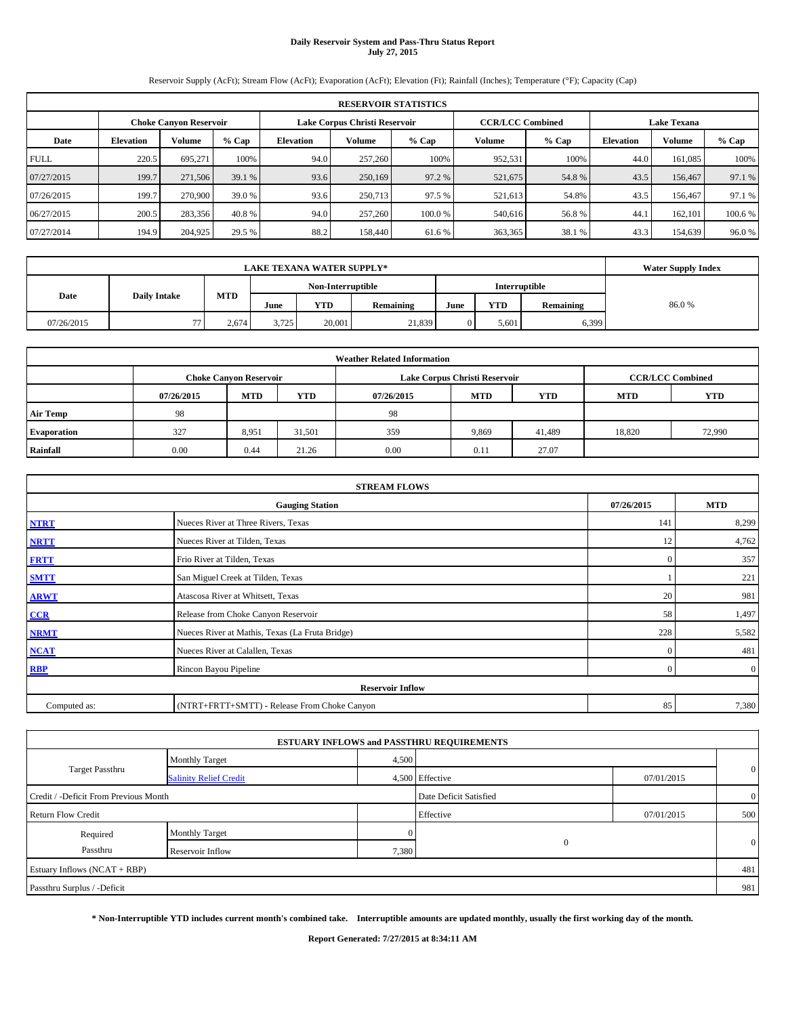# **Daily Reservoir System and Pass-Thru Status Report July 27, 2015**

Reservoir Supply (AcFt); Stream Flow (AcFt); Evaporation (AcFt); Elevation (Ft); Rainfall (Inches); Temperature (°F); Capacity (Cap)

|             | <b>RESERVOIR STATISTICS</b>                                                                                     |         |         |                                                                                |         |        |         |        |      |         |        |  |  |
|-------------|-----------------------------------------------------------------------------------------------------------------|---------|---------|--------------------------------------------------------------------------------|---------|--------|---------|--------|------|---------|--------|--|--|
|             | Lake Corpus Christi Reservoir<br><b>CCR/LCC Combined</b><br><b>Lake Texana</b><br><b>Choke Canyon Reservoir</b> |         |         |                                                                                |         |        |         |        |      |         |        |  |  |
| Date        | <b>Elevation</b>                                                                                                | Volume  | $%$ Cap | Volume<br>$%$ Cap<br>$%$ Cap<br>Volume<br><b>Elevation</b><br><b>Elevation</b> |         |        |         |        |      | Volume  | % Cap  |  |  |
| <b>FULL</b> | 220.5                                                                                                           | 695.271 | 100%    | 94.0                                                                           | 257,260 | 100%   | 952,531 | 100%   | 44.0 | 161,085 | 100%   |  |  |
| 07/27/2015  | 199.7                                                                                                           | 271,506 | 39.1 %  | 93.6                                                                           | 250,169 | 97.2 % | 521,675 | 54.8%  | 43.5 | 156,467 | 97.1 % |  |  |
| 07/26/2015  | 199.7                                                                                                           | 270,900 | 39.0 %  | 93.6                                                                           | 250,713 | 97.5 % | 521,613 | 54.8%  | 43.5 | 156,467 | 97.1 % |  |  |
| 06/27/2015  | 200.5                                                                                                           | 283,356 | 40.8%   | 94.0                                                                           | 257,260 | 100.0% | 540,616 | 56.8%  | 44.1 | 162,101 | 100.6% |  |  |
| 07/27/2014  | 194.9                                                                                                           | 204,925 | 29.5 %  | 88.2                                                                           | 158,440 | 61.6 % | 363,365 | 38.1 % | 43.3 | 154,639 | 96.0 % |  |  |

|                             | <b>Water Supply Index</b> |            |                   |        |                  |      |               |           |       |
|-----------------------------|---------------------------|------------|-------------------|--------|------------------|------|---------------|-----------|-------|
|                             |                           |            | Non-Interruptible |        |                  |      | Interruptible |           |       |
| Date<br><b>Daily Intake</b> |                           | <b>MTD</b> | June              | YTD    | <b>Remaining</b> | June | <b>YTD</b>    | Remaining | 86.0% |
| 07/26/2015                  | 77                        | 2,674      | 3.725             | 20,001 | 21,839           |      | 5.601         | 6,399     |       |

| <b>Weather Related Information</b> |            |                               |            |            |                               |                         |            |            |  |
|------------------------------------|------------|-------------------------------|------------|------------|-------------------------------|-------------------------|------------|------------|--|
|                                    |            | <b>Choke Canyon Reservoir</b> |            |            | Lake Corpus Christi Reservoir | <b>CCR/LCC Combined</b> |            |            |  |
|                                    | 07/26/2015 | <b>MTD</b>                    | <b>YTD</b> | 07/26/2015 | <b>MTD</b>                    | <b>YTD</b>              | <b>MTD</b> | <b>YTD</b> |  |
| <b>Air Temp</b>                    | 98         |                               |            | 98         |                               |                         |            |            |  |
| <b>Evaporation</b>                 | 327        | 8,951                         | 31,501     | 359        | 9,869                         | 41,489                  | 18,820     | 72,990     |  |
| Rainfall                           | 0.00       | 0.44                          | 21.26      | 0.00       | 0.11                          | 27.07                   |            |            |  |

| <b>STREAM FLOWS</b>                  |                                                 |          |                |  |  |  |  |  |  |
|--------------------------------------|-------------------------------------------------|----------|----------------|--|--|--|--|--|--|
| 07/26/2015<br><b>Gauging Station</b> |                                                 |          |                |  |  |  |  |  |  |
| <b>NTRT</b>                          | Nueces River at Three Rivers, Texas             | 141      | 8,299          |  |  |  |  |  |  |
| <b>NRTT</b>                          | Nueces River at Tilden, Texas                   | 12       | 4,762          |  |  |  |  |  |  |
| <b>FRTT</b>                          | Frio River at Tilden, Texas                     | $\Omega$ | 357            |  |  |  |  |  |  |
| <b>SMTT</b>                          | San Miguel Creek at Tilden, Texas               |          | 221            |  |  |  |  |  |  |
| <b>ARWT</b>                          | Atascosa River at Whitsett, Texas               | 20       | 981            |  |  |  |  |  |  |
| CCR                                  | Release from Choke Canyon Reservoir             | 58       | 1,497          |  |  |  |  |  |  |
| <b>NRMT</b>                          | Nueces River at Mathis, Texas (La Fruta Bridge) | 228      | 5,582          |  |  |  |  |  |  |
| <b>NCAT</b>                          | Nueces River at Calallen, Texas                 | $\Omega$ | 481            |  |  |  |  |  |  |
| <b>RBP</b>                           | Rincon Bayou Pipeline                           | $\Omega$ | $\overline{0}$ |  |  |  |  |  |  |
|                                      | <b>Reservoir Inflow</b>                         |          |                |  |  |  |  |  |  |
| Computed as:                         | (NTRT+FRTT+SMTT) - Release From Choke Canyon    | 85       | 7,380          |  |  |  |  |  |  |

|                                       |                               |       | <b>ESTUARY INFLOWS and PASSTHRU REQUIREMENTS</b> |            |                |
|---------------------------------------|-------------------------------|-------|--------------------------------------------------|------------|----------------|
|                                       | <b>Monthly Target</b>         | 4,500 |                                                  |            |                |
| <b>Target Passthru</b>                | <b>Salinity Relief Credit</b> |       | 4,500 Effective                                  | 07/01/2015 | $\mathbf{0}$   |
| Credit / -Deficit From Previous Month |                               |       | Date Deficit Satisfied                           |            | $\overline{0}$ |
| <b>Return Flow Credit</b>             |                               |       | Effective                                        | 07/01/2015 | 500            |
| Required                              | <b>Monthly Target</b>         |       |                                                  |            |                |
| Passthru                              | Reservoir Inflow              | 7,380 | $\Omega$                                         |            | $\mathbf{0}$   |
| Estuary Inflows (NCAT + RBP)          |                               |       |                                                  |            | 481            |
| Passthru Surplus / -Deficit           |                               |       |                                                  |            | 981            |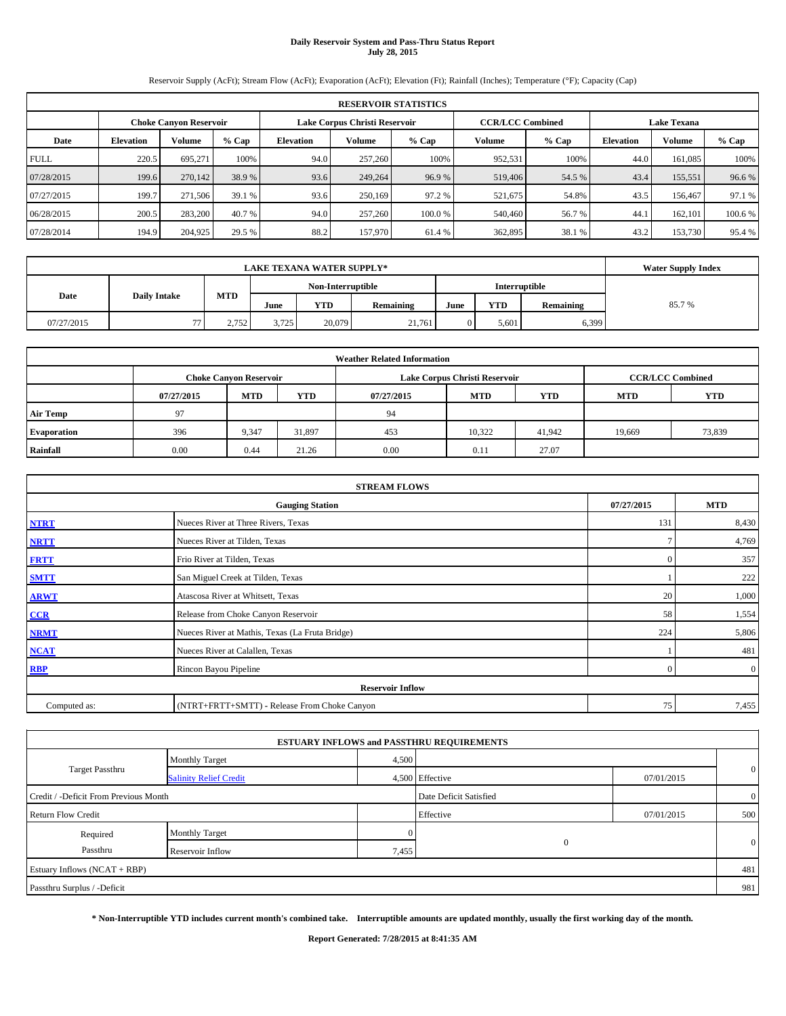# **Daily Reservoir System and Pass-Thru Status Report July 28, 2015**

Reservoir Supply (AcFt); Stream Flow (AcFt); Evaporation (AcFt); Elevation (Ft); Rainfall (Inches); Temperature (°F); Capacity (Cap)

|             | <b>RESERVOIR STATISTICS</b>                                    |         |         |                  |         |         |         |                         |                    |         |         |  |
|-------------|----------------------------------------------------------------|---------|---------|------------------|---------|---------|---------|-------------------------|--------------------|---------|---------|--|
|             | Lake Corpus Christi Reservoir<br><b>Choke Canyon Reservoir</b> |         |         |                  |         |         |         | <b>CCR/LCC Combined</b> | <b>Lake Texana</b> |         |         |  |
| Date        | <b>Elevation</b>                                               | Volume  | $%$ Cap | <b>Elevation</b> | Volume  | $%$ Cap | Volume  | $%$ Cap                 | <b>Elevation</b>   | Volume  | % Cap   |  |
| <b>FULL</b> | 220.5                                                          | 695.271 | 100%    | 94.0             | 257,260 | 100%    | 952,531 | 100%                    | 44.0               | 161.085 | 100%    |  |
| 07/28/2015  | 199.6                                                          | 270,142 | 38.9%   | 93.6             | 249,264 | 96.9%   | 519,406 | 54.5 %                  | 43.4               | 155,551 | 96.6 %  |  |
| 07/27/2015  | 199.7                                                          | 271.506 | 39.1 %  | 93.6             | 250,169 | 97.2 %  | 521,675 | 54.8%                   | 43.5               | 156,467 | 97.1 %  |  |
| 06/28/2015  | 200.5                                                          | 283,200 | 40.7 %  | 94.0             | 257,260 | 100.0%  | 540,460 | 56.7 %                  | 44.                | 162.101 | 100.6 % |  |
| 07/28/2014  | 194.9                                                          | 204,925 | 29.5 %  | 88.2             | 157,970 | 61.4 %  | 362,895 | 38.1 %                  | 43.2               | 153,730 | 95.4%   |  |

|            | <b>Water Supply Index</b> |            |                   |        |           |      |               |           |       |
|------------|---------------------------|------------|-------------------|--------|-----------|------|---------------|-----------|-------|
|            |                           |            | Non-Interruptible |        |           |      | Interruptible |           |       |
| Date       | <b>Daily Intake</b>       | <b>MTD</b> | June              | YTD    | Remaining | June | YTD           | Remaining | 85.7% |
| 07/27/2015 | 77                        | 2.752      | 3.725             | 20,079 | 21.761    |      | 5.601         | 6,399     |       |

| <b>Weather Related Information</b> |            |                               |            |            |                               |                         |            |            |  |  |
|------------------------------------|------------|-------------------------------|------------|------------|-------------------------------|-------------------------|------------|------------|--|--|
|                                    |            | <b>Choke Canyon Reservoir</b> |            |            | Lake Corpus Christi Reservoir | <b>CCR/LCC Combined</b> |            |            |  |  |
|                                    | 07/27/2015 | <b>MTD</b>                    | <b>YTD</b> | 07/27/2015 | <b>MTD</b>                    | <b>YTD</b>              | <b>MTD</b> | <b>YTD</b> |  |  |
| <b>Air Temp</b>                    | 97         |                               |            | 94         |                               |                         |            |            |  |  |
| <b>Evaporation</b>                 | 396        | 9,347                         | 31,897     | 453        | 10.322                        | 41.942                  | 19.669     | 73,839     |  |  |
| Rainfall                           | 0.00       | 0.44                          | 21.26      | 0.00       | 0.11                          | 27.07                   |            |            |  |  |

| <b>STREAM FLOWS</b> |                                                 |              |                |  |  |  |  |  |  |
|---------------------|-------------------------------------------------|--------------|----------------|--|--|--|--|--|--|
|                     | <b>Gauging Station</b>                          |              |                |  |  |  |  |  |  |
| <b>NTRT</b>         | Nueces River at Three Rivers, Texas             | 131          | 8,430          |  |  |  |  |  |  |
| <b>NRTT</b>         | Nueces River at Tilden, Texas                   | $\tau$       | 4,769          |  |  |  |  |  |  |
| <b>FRTT</b>         | Frio River at Tilden, Texas                     | $\mathbf{0}$ | 357            |  |  |  |  |  |  |
| <b>SMTT</b>         | San Miguel Creek at Tilden, Texas               |              | 222            |  |  |  |  |  |  |
| <b>ARWT</b>         | Atascosa River at Whitsett, Texas               | 20           | 1,000          |  |  |  |  |  |  |
| CCR                 | Release from Choke Canyon Reservoir             | 58           | 1,554          |  |  |  |  |  |  |
| <b>NRMT</b>         | Nueces River at Mathis, Texas (La Fruta Bridge) | 224          | 5,806          |  |  |  |  |  |  |
| <b>NCAT</b>         | Nueces River at Calallen, Texas                 |              | 481            |  |  |  |  |  |  |
| <b>RBP</b>          | Rincon Bayou Pipeline                           | $\mathbf{0}$ | $\overline{0}$ |  |  |  |  |  |  |
|                     | <b>Reservoir Inflow</b>                         |              |                |  |  |  |  |  |  |
| Computed as:        | (NTRT+FRTT+SMTT) - Release From Choke Canyon    | 75           | 7,455          |  |  |  |  |  |  |

|                                       |                               |       | <b>ESTUARY INFLOWS and PASSTHRU REQUIREMENTS</b> |            |                |
|---------------------------------------|-------------------------------|-------|--------------------------------------------------|------------|----------------|
|                                       | <b>Monthly Target</b>         | 4,500 |                                                  |            |                |
| <b>Target Passthru</b>                | <b>Salinity Relief Credit</b> |       | 4,500 Effective                                  | 07/01/2015 | $\mathbf{0}$   |
| Credit / -Deficit From Previous Month |                               |       | Date Deficit Satisfied                           |            | $\overline{0}$ |
| <b>Return Flow Credit</b>             |                               |       | Effective                                        | 07/01/2015 | 500            |
| Required                              | Monthly Target                |       |                                                  |            |                |
| Passthru                              | Reservoir Inflow              | 7,455 | $\Omega$                                         |            | $\mathbf{0}$   |
| Estuary Inflows (NCAT + RBP)          |                               |       |                                                  |            | 481            |
| Passthru Surplus / -Deficit           |                               |       |                                                  |            | 981            |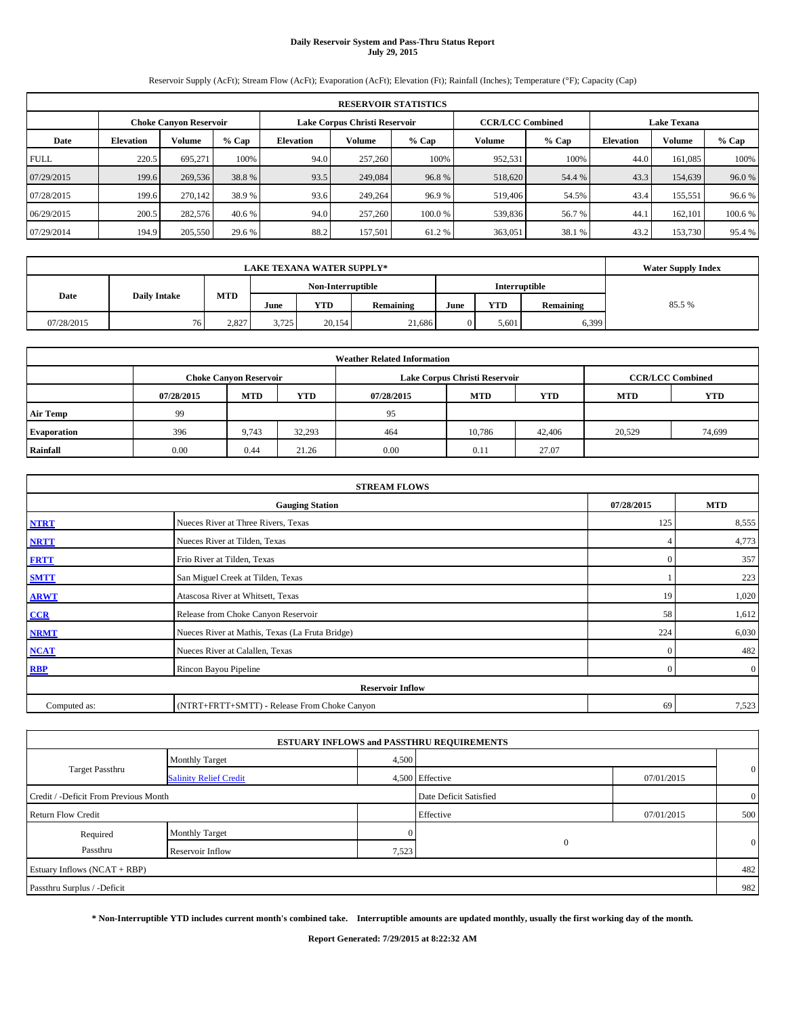# **Daily Reservoir System and Pass-Thru Status Report July 29, 2015**

Reservoir Supply (AcFt); Stream Flow (AcFt); Evaporation (AcFt); Elevation (Ft); Rainfall (Inches); Temperature (°F); Capacity (Cap)

|             | <b>RESERVOIR STATISTICS</b> |                               |         |                               |                         |         |                    |         |                  |         |         |  |
|-------------|-----------------------------|-------------------------------|---------|-------------------------------|-------------------------|---------|--------------------|---------|------------------|---------|---------|--|
|             |                             | <b>Choke Canyon Reservoir</b> |         | Lake Corpus Christi Reservoir | <b>CCR/LCC Combined</b> |         | <b>Lake Texana</b> |         |                  |         |         |  |
| Date        | <b>Elevation</b>            | Volume                        | $%$ Cap | <b>Elevation</b>              | Volume                  | $%$ Cap | Volume             | $%$ Cap | <b>Elevation</b> | Volume  | % Cap   |  |
| <b>FULL</b> | 220.5                       | 695,271                       | 100%    | 94.0                          | 257,260                 | 100%    | 952,531            | 100%    | 44.0             | 161,085 | 100%    |  |
| 07/29/2015  | 199.6                       | 269,536                       | 38.8%   | 93.5                          | 249,084                 | 96.8%   | 518,620            | 54.4 %  | 43.3             | 154,639 | 96.0%   |  |
| 07/28/2015  | 199.6                       | 270.142                       | 38.9%   | 93.6                          | 249,264                 | 96.9%   | 519,406            | 54.5%   | 43.4             | 155,551 | 96.6%   |  |
| 06/29/2015  | 200.5                       | 282,576                       | 40.6 %  | 94.0                          | 257,260                 | 100.0%  | 539,836            | 56.7 %  | 44.1             | 162,101 | 100.6 % |  |
| 07/29/2014  | 194.9                       | 205,550                       | 29.6 %  | 88.2                          | 157,501                 | 61.2%   | 363,051            | 38.1 %  | 43.2             | 153,730 | 95.4 %  |  |

|            | <b>Water Supply Index</b> |            |       |                   |           |      |            |           |        |
|------------|---------------------------|------------|-------|-------------------|-----------|------|------------|-----------|--------|
|            |                           |            |       | Non-Interruptible |           |      |            |           |        |
| Date       | <b>Daily Intake</b>       | <b>MTD</b> | June  | <b>YTD</b>        | Remaining | June | <b>YTD</b> | Remaining | 85.5 % |
| 07/28/2015 | 761                       | 2.827      | 3.725 | 20,154            | 21.686    |      | 5.601      | 6,399     |        |

| <b>Weather Related Information</b> |            |                               |            |            |                               |                         |            |            |  |  |
|------------------------------------|------------|-------------------------------|------------|------------|-------------------------------|-------------------------|------------|------------|--|--|
|                                    |            | <b>Choke Canyon Reservoir</b> |            |            | Lake Corpus Christi Reservoir | <b>CCR/LCC Combined</b> |            |            |  |  |
|                                    | 07/28/2015 | <b>MTD</b>                    | <b>YTD</b> | 07/28/2015 | <b>MTD</b>                    | <b>YTD</b>              | <b>MTD</b> | <b>YTD</b> |  |  |
| <b>Air Temp</b>                    | 99         |                               |            | 95         |                               |                         |            |            |  |  |
| <b>Evaporation</b>                 | 396        | 9.743                         | 32,293     | 464        | 10.786                        | 42,406                  | 20.529     | 74,699     |  |  |
| Rainfall                           | 0.00       | 0.44                          | 21.26      | 0.00       | 0.11                          | 27.07                   |            |            |  |  |

| <b>STREAM FLOWS</b> |                                                 |            |                |  |  |  |  |  |  |  |
|---------------------|-------------------------------------------------|------------|----------------|--|--|--|--|--|--|--|
|                     | 07/28/2015                                      | <b>MTD</b> |                |  |  |  |  |  |  |  |
| <b>NTRT</b>         | Nueces River at Three Rivers, Texas             | 125        | 8,555          |  |  |  |  |  |  |  |
| <b>NRTT</b>         | Nueces River at Tilden, Texas                   |            | 4,773          |  |  |  |  |  |  |  |
| <b>FRTT</b>         | Frio River at Tilden, Texas                     | $\Omega$   | 357            |  |  |  |  |  |  |  |
| <b>SMTT</b>         | San Miguel Creek at Tilden, Texas               |            | 223            |  |  |  |  |  |  |  |
| <b>ARWT</b>         | Atascosa River at Whitsett, Texas               | 19         | 1,020          |  |  |  |  |  |  |  |
| CCR                 | Release from Choke Canyon Reservoir             | 58         | 1,612          |  |  |  |  |  |  |  |
| <b>NRMT</b>         | Nueces River at Mathis, Texas (La Fruta Bridge) | 224        | 6,030          |  |  |  |  |  |  |  |
| <b>NCAT</b>         | Nueces River at Calallen, Texas                 | $\Omega$   | 482            |  |  |  |  |  |  |  |
| <b>RBP</b>          | Rincon Bayou Pipeline                           | $\Omega$   | $\overline{0}$ |  |  |  |  |  |  |  |
|                     | <b>Reservoir Inflow</b>                         |            |                |  |  |  |  |  |  |  |
| Computed as:        | (NTRT+FRTT+SMTT) - Release From Choke Canyon    | 69         | 7,523          |  |  |  |  |  |  |  |

|                                       |                               |       | <b>ESTUARY INFLOWS and PASSTHRU REQUIREMENTS</b> |            |                |
|---------------------------------------|-------------------------------|-------|--------------------------------------------------|------------|----------------|
|                                       | <b>Monthly Target</b>         | 4,500 |                                                  |            |                |
| <b>Target Passthru</b>                | <b>Salinity Relief Credit</b> |       | 4,500 Effective                                  | 07/01/2015 | $\mathbf{0}$   |
| Credit / -Deficit From Previous Month |                               |       | Date Deficit Satisfied                           |            | $\overline{0}$ |
| <b>Return Flow Credit</b>             |                               |       | Effective                                        | 07/01/2015 | 500            |
| Required                              | Monthly Target                |       |                                                  |            |                |
| Passthru                              | Reservoir Inflow              | 7,523 | $\Omega$                                         |            | $\mathbf{0}$   |
| Estuary Inflows (NCAT + RBP)          |                               |       |                                                  |            | 482            |
| Passthru Surplus / -Deficit           |                               |       |                                                  |            | 982            |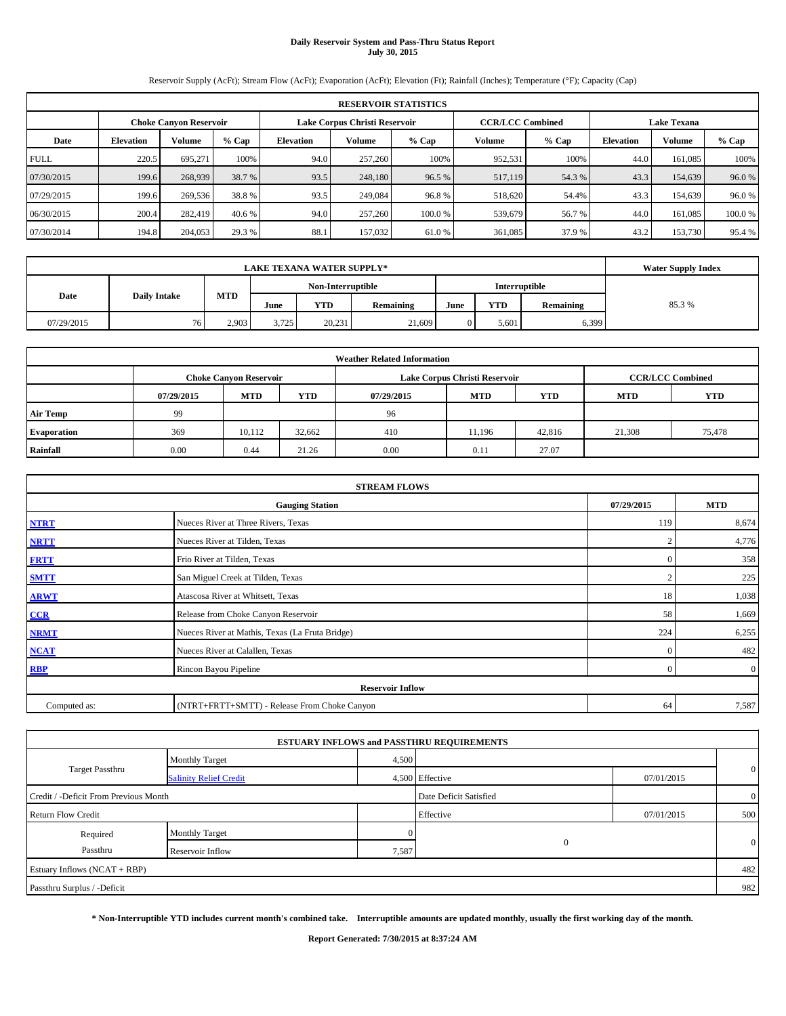## **Daily Reservoir System and Pass-Thru Status Report July 30, 2015**

Reservoir Supply (AcFt); Stream Flow (AcFt); Evaporation (AcFt); Elevation (Ft); Rainfall (Inches); Temperature (°F); Capacity (Cap)

|             | <b>RESERVOIR STATISTICS</b> |                                                                |         |                  |         |                         |         |                    |                  |         |         |
|-------------|-----------------------------|----------------------------------------------------------------|---------|------------------|---------|-------------------------|---------|--------------------|------------------|---------|---------|
|             |                             | Lake Corpus Christi Reservoir<br><b>Choke Canyon Reservoir</b> |         |                  |         | <b>CCR/LCC Combined</b> |         | <b>Lake Texana</b> |                  |         |         |
| Date        | <b>Elevation</b>            | Volume                                                         | $%$ Cap | <b>Elevation</b> | Volume  | $%$ Cap                 | Volume  | $%$ Cap            | <b>Elevation</b> | Volume  | % Cap   |
| <b>FULL</b> | 220.5                       | 695.271                                                        | 100%    | 94.0             | 257,260 | 100%                    | 952,531 | 100%               | 44.0             | 161.085 | 100%    |
| 07/30/2015  | 199.6                       | 268,939                                                        | 38.7 %  | 93.5             | 248,180 | 96.5 %                  | 517,119 | 54.3 %             | 43.3             | 154,639 | 96.0%   |
| 07/29/2015  | 199.6                       | 269,536                                                        | 38.8%   | 93.5             | 249,084 | 96.8%                   | 518,620 | 54.4%              | 43.3             | 154.639 | 96.0%   |
| 06/30/2015  | 200.4                       | 282,419                                                        | 40.6 %  | 94.0             | 257,260 | 100.0%                  | 539,679 | 56.7 %             | 44.0             | 161.085 | 100.0 % |
| 07/30/2014  | 194.8                       | 204,053                                                        | 29.3 %  | 88.1             | 157,032 | 61.0 %                  | 361,085 | 37.9 %             | 43.2             | 153,730 | 95.4%   |

|            | <b>Water Supply Index</b> |            |                   |        |           |               |       |           |       |
|------------|---------------------------|------------|-------------------|--------|-----------|---------------|-------|-----------|-------|
|            |                           |            | Non-Interruptible |        |           | Interruptible |       |           |       |
| Date       | <b>Daily Intake</b>       | <b>MTD</b> | June              | YTD    | Remaining | June          | YTD   | Remaining | 85.3% |
| 07/29/2015 | 76                        | 2.903      | 3.725             | 20,231 | 21,609    |               | 5.601 | 6,399     |       |

|                    |            |                               |            | <b>Weather Related Information</b> |                               |                         |            |            |
|--------------------|------------|-------------------------------|------------|------------------------------------|-------------------------------|-------------------------|------------|------------|
|                    |            | <b>Choke Canyon Reservoir</b> |            |                                    | Lake Corpus Christi Reservoir | <b>CCR/LCC Combined</b> |            |            |
|                    | 07/29/2015 | <b>MTD</b>                    | <b>YTD</b> | 07/29/2015                         | <b>MTD</b>                    | <b>YTD</b>              | <b>MTD</b> | <b>YTD</b> |
| <b>Air Temp</b>    | 99         |                               |            | 96                                 |                               |                         |            |            |
| <b>Evaporation</b> | 369        | 10.112                        | 32,662     | 410                                | 11.196                        | 42,816                  | 21,308     | 75,478     |
| Rainfall           | 0.00       | 0.44                          | 21.26      | 0.00                               | 0.11                          | 27.07                   |            |            |

|              | <b>STREAM FLOWS</b>                             |                |                |  |  |  |  |  |  |  |
|--------------|-------------------------------------------------|----------------|----------------|--|--|--|--|--|--|--|
|              | <b>Gauging Station</b>                          | 07/29/2015     | <b>MTD</b>     |  |  |  |  |  |  |  |
| <b>NTRT</b>  | Nueces River at Three Rivers, Texas             | 119            | 8,674          |  |  |  |  |  |  |  |
| <b>NRTT</b>  | Nueces River at Tilden, Texas                   |                | 4,776          |  |  |  |  |  |  |  |
| <b>FRTT</b>  | Frio River at Tilden, Texas                     | $\mathbf{0}$   | 358            |  |  |  |  |  |  |  |
| <b>SMTT</b>  | San Miguel Creek at Tilden, Texas               | $\sim$         | 225            |  |  |  |  |  |  |  |
| <b>ARWT</b>  | Atascosa River at Whitsett, Texas               | 18             | 1,038          |  |  |  |  |  |  |  |
| CCR          | Release from Choke Canyon Reservoir             | 58             | 1,669          |  |  |  |  |  |  |  |
| <b>NRMT</b>  | Nueces River at Mathis, Texas (La Fruta Bridge) | 224            | 6,255          |  |  |  |  |  |  |  |
| <b>NCAT</b>  | Nueces River at Calallen, Texas                 | $\mathbf{0}$   | 482            |  |  |  |  |  |  |  |
| <b>RBP</b>   | Rincon Bayou Pipeline                           | $\overline{0}$ | $\overline{0}$ |  |  |  |  |  |  |  |
|              | <b>Reservoir Inflow</b>                         |                |                |  |  |  |  |  |  |  |
| Computed as: | (NTRT+FRTT+SMTT) - Release From Choke Canyon    | 64             | 7,587          |  |  |  |  |  |  |  |

|                                       |                               |       | <b>ESTUARY INFLOWS and PASSTHRU REQUIREMENTS</b> |            |                |
|---------------------------------------|-------------------------------|-------|--------------------------------------------------|------------|----------------|
|                                       | <b>Monthly Target</b>         | 4,500 |                                                  |            |                |
| <b>Target Passthru</b>                | <b>Salinity Relief Credit</b> |       | 4,500 Effective                                  | 07/01/2015 | $\mathbf{0}$   |
| Credit / -Deficit From Previous Month |                               |       | Date Deficit Satisfied                           |            | $\overline{0}$ |
| <b>Return Flow Credit</b>             |                               |       | Effective                                        | 07/01/2015 | 500            |
| Required                              | Monthly Target                |       |                                                  |            |                |
| Passthru                              | Reservoir Inflow              | 7,587 | $\Omega$                                         |            | $\mathbf{0}$   |
| Estuary Inflows (NCAT + RBP)          |                               |       |                                                  |            | 482            |
| Passthru Surplus / -Deficit           |                               |       |                                                  |            | 982            |